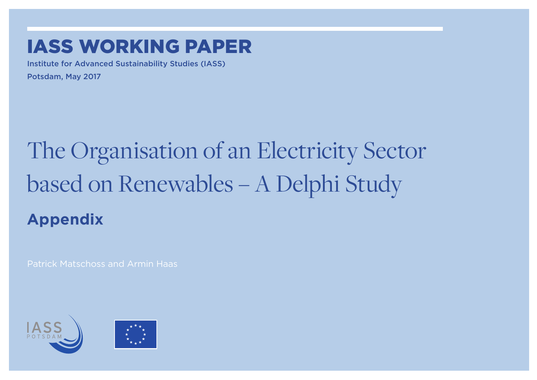## IASS WorkING paper

Institute for Advanced Sustainability Studies (IASS)

Potsdam, May 2017

# The Organisation of an Electricity Sector based on Renewables – A Delphi Study

**Appendix**

Patrick Matschoss and Armin Haas



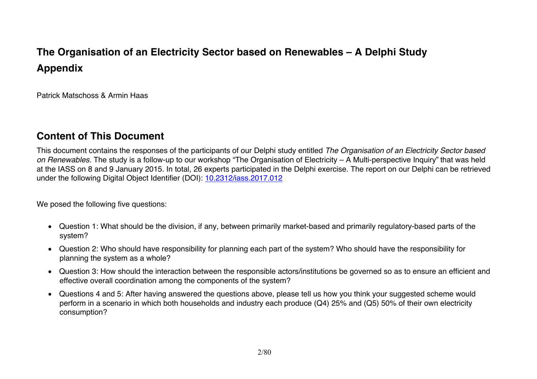### **The Organisation of an Electricity Sector based on Renewables – A Delphi Study Appendix**

Patrick Matschoss & Armin Haas

#### **Content of This Document**

This document contains the responses of the participants of our Delphi study entitled *The Organisation of an Electricity Sector based on Renewables.* The study is a follow-up to our workshop "The Organisation of Electricity – A Multi-perspective Inquiry" that was held at the IASS on 8 and 9 January 2015. In total, 26 experts participated in the Delphi exercise. The report on our Delphi can be retrieved under the following Digital Object Identifier (DOI): 10.2312/iass.2017.012

We posed the following five questions:

- Question 1: What should be the division, if any, between primarily market-based and primarily regulatory-based parts of the system?
- Question 2: Who should have responsibility for planning each part of the system? Who should have the responsibility for planning the system as a whole?
- Question 3: How should the interaction between the responsible actors/institutions be governed so as to ensure an efficient and effective overall coordination among the components of the system?
- Questions 4 and 5: After having answered the questions above, please tell us how you think your suggested scheme would perform in a scenario in which both households and industry each produce (Q4) 25% and (Q5) 50% of their own electricity consumption?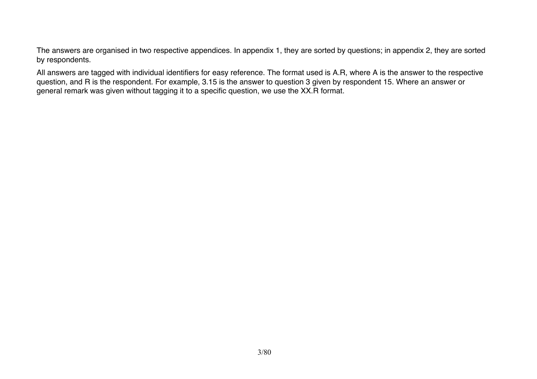The answers are organised in two respective appendices. In appendix 1, they are sorted by questions; in appendix 2, they are sorted by respondents.

All answers are tagged with individual identifiers for easy reference. The format used is A.R, where A is the answer to the respective question, and R is the respondent. For example, 3.15 is the answer to question 3 given by respondent 15. Where an answer or general remark was given without tagging it to a specific question, we use the XX.R format.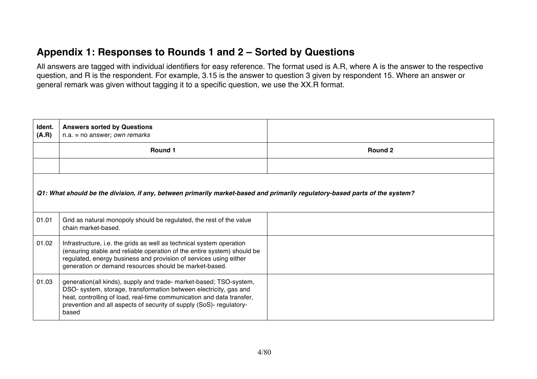#### **Appendix 1: Responses to Rounds 1 and 2 – Sorted by Questions**

All answers are tagged with individual identifiers for easy reference. The format used is A.R, where A is the answer to the respective question, and R is the respondent. For example, 3.15 is the answer to question 3 given by respondent 15. Where an answer or general remark was given without tagging it to a specific question, we use the XX.R format.

| Ident.<br>(A.R)                                                                                                             | <b>Answers sorted by Questions</b><br>$n.a. = no answer; own remarks$                                                                                                                                                                                                                            |                |
|-----------------------------------------------------------------------------------------------------------------------------|--------------------------------------------------------------------------------------------------------------------------------------------------------------------------------------------------------------------------------------------------------------------------------------------------|----------------|
|                                                                                                                             | Round 1                                                                                                                                                                                                                                                                                          | <b>Round 2</b> |
|                                                                                                                             |                                                                                                                                                                                                                                                                                                  |                |
| Q1: What should be the division, if any, between primarily market-based and primarily regulatory-based parts of the system? |                                                                                                                                                                                                                                                                                                  |                |
| 01.01                                                                                                                       | Grid as natural monopoly should be regulated, the rest of the value<br>chain market-based.                                                                                                                                                                                                       |                |
| 01.02                                                                                                                       | Infrastructure, i.e. the grids as well as technical system operation<br>(ensuring stable and reliable operation of the entire system) should be<br>regulated, energy business and provision of services using either<br>generation or demand resources should be market-based.                   |                |
| 01.03                                                                                                                       | generation(all kinds), supply and trade- market-based; TSO-system,<br>DSO- system, storage, transformation between electricity, gas and<br>heat, controlling of load, real-time communication and data transfer,<br>prevention and all aspects of security of supply (SoS)- regulatory-<br>based |                |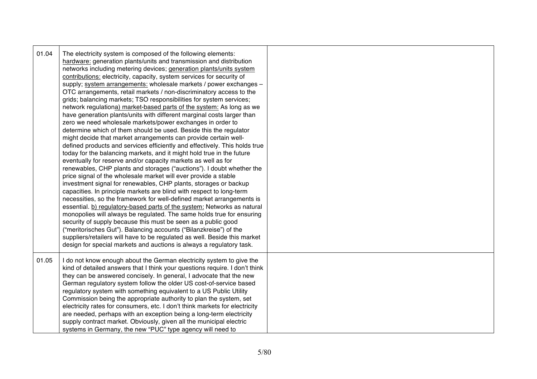| 01.04 | The electricity system is composed of the following elements:<br>hardware: generation plants/units and transmission and distribution<br>networks including metering devices; generation plants/units system<br>contributions: electricity, capacity, system services for security of<br>supply; system arrangements: wholesale markets / power exchanges -<br>OTC arrangements, retail markets / non-discriminatory access to the<br>grids; balancing markets; TSO responsibilities for system services;<br>network regulationa) market-based parts of the system: As long as we<br>have generation plants/units with different marginal costs larger than<br>zero we need wholesale markets/power exchanges in order to<br>determine which of them should be used. Beside this the regulator<br>might decide that market arrangements can provide certain well-<br>defined products and services efficiently and effectively. This holds true<br>today for the balancing markets, and it might hold true in the future<br>eventually for reserve and/or capacity markets as well as for<br>renewables, CHP plants and storages ("auctions"). I doubt whether the<br>price signal of the wholesale market will ever provide a stable<br>investment signal for renewables, CHP plants, storages or backup<br>capacities. In principle markets are blind with respect to long-term<br>necessities, so the framework for well-defined market arrangements is<br>essential. b) regulatory-based parts of the system: Networks as natural<br>monopolies will always be regulated. The same holds true for ensuring<br>security of supply because this must be seen as a public good<br>("meritorisches Gut"). Balancing accounts ("Bilanzkreise") of the<br>suppliers/retailers will have to be regulated as well. Beside this market<br>design for special markets and auctions is always a regulatory task. |  |
|-------|----------------------------------------------------------------------------------------------------------------------------------------------------------------------------------------------------------------------------------------------------------------------------------------------------------------------------------------------------------------------------------------------------------------------------------------------------------------------------------------------------------------------------------------------------------------------------------------------------------------------------------------------------------------------------------------------------------------------------------------------------------------------------------------------------------------------------------------------------------------------------------------------------------------------------------------------------------------------------------------------------------------------------------------------------------------------------------------------------------------------------------------------------------------------------------------------------------------------------------------------------------------------------------------------------------------------------------------------------------------------------------------------------------------------------------------------------------------------------------------------------------------------------------------------------------------------------------------------------------------------------------------------------------------------------------------------------------------------------------------------------------------------------------------------------------------------------------------------------------------------------------------------------------|--|
| 01.05 | I do not know enough about the German electricity system to give the<br>kind of detailed answers that I think your questions require. I don't think<br>they can be answered concisely. In general, I advocate that the new<br>German regulatory system follow the older US cost-of-service based<br>regulatory system with something equivalent to a US Public Utility<br>Commission being the appropriate authority to plan the system, set<br>electricity rates for consumers, etc. I don't think markets for electricity<br>are needed, perhaps with an exception being a long-term electricity<br>supply contract market. Obviously, given all the municipal electric<br>systems in Germany, the new "PUC" type agency will need to                                                                                                                                                                                                                                                                                                                                                                                                                                                                                                                                                                                                                                                                                                                                                                                                                                                                                                                                                                                                                                                                                                                                                                  |  |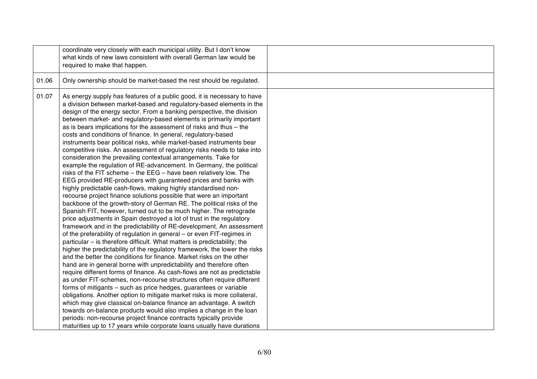|       | coordinate very closely with each municipal utility. But I don't know<br>what kinds of new laws consistent with overall German law would be<br>required to make that happen.                                                                                                                                                                                                                                                                                                                                                                                                                                                                                                                                                                                                                                                                                                                                                                                                                                                                                                                                                                                                                                                                                                                                                                                                                                                                                                                                                                                                                                                                                                                                                                                                                                                                                                                                                                                                                                                                                                                                                                                                                                                     |  |
|-------|----------------------------------------------------------------------------------------------------------------------------------------------------------------------------------------------------------------------------------------------------------------------------------------------------------------------------------------------------------------------------------------------------------------------------------------------------------------------------------------------------------------------------------------------------------------------------------------------------------------------------------------------------------------------------------------------------------------------------------------------------------------------------------------------------------------------------------------------------------------------------------------------------------------------------------------------------------------------------------------------------------------------------------------------------------------------------------------------------------------------------------------------------------------------------------------------------------------------------------------------------------------------------------------------------------------------------------------------------------------------------------------------------------------------------------------------------------------------------------------------------------------------------------------------------------------------------------------------------------------------------------------------------------------------------------------------------------------------------------------------------------------------------------------------------------------------------------------------------------------------------------------------------------------------------------------------------------------------------------------------------------------------------------------------------------------------------------------------------------------------------------------------------------------------------------------------------------------------------------|--|
| 01.06 | Only ownership should be market-based the rest should be regulated.                                                                                                                                                                                                                                                                                                                                                                                                                                                                                                                                                                                                                                                                                                                                                                                                                                                                                                                                                                                                                                                                                                                                                                                                                                                                                                                                                                                                                                                                                                                                                                                                                                                                                                                                                                                                                                                                                                                                                                                                                                                                                                                                                              |  |
| 01.07 | As energy supply has features of a public good, it is necessary to have<br>a division between market-based and regulatory-based elements in the<br>design of the energy sector. From a banking perspective, the division<br>between market- and regulatory-based elements is primarily important<br>as is bears implications for the assessment of risks and thus - the<br>costs and conditions of finance. In general, regulatory-based<br>instruments bear political risks, while market-based instruments bear<br>competitive risks. An assessment of regulatory risks needs to take into<br>consideration the prevailing contextual arrangements. Take for<br>example the regulation of RE-advancement. In Germany, the political<br>risks of the FIT scheme - the EEG - have been relatively low. The<br>EEG provided RE-producers with guaranteed prices and banks with<br>highly predictable cash-flows, making highly standardised non-<br>recourse project finance solutions possible that were an important<br>backbone of the growth-story of German RE. The political risks of the<br>Spanish FIT, however, turned out to be much higher. The retrograde<br>price adjustments in Spain destroyed a lot of trust in the regulatory<br>framework and in the predictability of RE-development. An assessment<br>of the preferability of regulation in general - or even FIT-regimes in<br>particular - is therefore difficult. What matters is predictability; the<br>higher the predictability of the regulatory framework, the lower the risks<br>and the better the conditions for finance. Market risks on the other<br>hand are in general borne with unpredictability and therefore often<br>require different forms of finance. As cash-flows are not as predictable<br>as under FIT-schemes, non-recourse structures often require different<br>forms of mitigants – such as price hedges, guarantees or variable<br>obligations. Another option to mitigate market risks is more collateral,<br>which may give classical on-balance finance an advantage. A switch<br>towards on-balance products would also implies a change in the loan<br>periods: non-recourse project finance contracts typically provide |  |
|       | maturities up to 17 years while corporate loans usually have durations                                                                                                                                                                                                                                                                                                                                                                                                                                                                                                                                                                                                                                                                                                                                                                                                                                                                                                                                                                                                                                                                                                                                                                                                                                                                                                                                                                                                                                                                                                                                                                                                                                                                                                                                                                                                                                                                                                                                                                                                                                                                                                                                                           |  |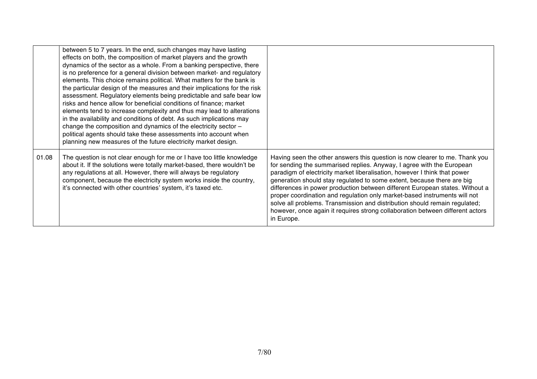|       | between 5 to 7 years. In the end, such changes may have lasting<br>effects on both, the composition of market players and the growth<br>dynamics of the sector as a whole. From a banking perspective, there<br>is no preference for a general division between market- and regulatory<br>elements. This choice remains political. What matters for the bank is<br>the particular design of the measures and their implications for the risk<br>assessment. Regulatory elements being predictable and safe bear low<br>risks and hence allow for beneficial conditions of finance; market<br>elements tend to increase complexity and thus may lead to alterations<br>in the availability and conditions of debt. As such implications may<br>change the composition and dynamics of the electricity sector -<br>political agents should take these assessments into account when<br>planning new measures of the future electricity market design. |                                                                                                                                                                                                                                                                                                                                                                                                                                                                                                                                                                                                                                                       |
|-------|-----------------------------------------------------------------------------------------------------------------------------------------------------------------------------------------------------------------------------------------------------------------------------------------------------------------------------------------------------------------------------------------------------------------------------------------------------------------------------------------------------------------------------------------------------------------------------------------------------------------------------------------------------------------------------------------------------------------------------------------------------------------------------------------------------------------------------------------------------------------------------------------------------------------------------------------------------|-------------------------------------------------------------------------------------------------------------------------------------------------------------------------------------------------------------------------------------------------------------------------------------------------------------------------------------------------------------------------------------------------------------------------------------------------------------------------------------------------------------------------------------------------------------------------------------------------------------------------------------------------------|
| 01.08 | The question is not clear enough for me or I have too little knowledge<br>about it. If the solutions were totally market-based, there wouldn't be<br>any regulations at all. However, there will always be regulatory<br>component, because the electricity system works inside the country,<br>it's connected with other countries' system, it's taxed etc.                                                                                                                                                                                                                                                                                                                                                                                                                                                                                                                                                                                        | Having seen the other answers this question is now clearer to me. Thank you<br>for sending the summarised replies. Anyway, I agree with the European<br>paradigm of electricity market liberalisation, however I think that power<br>generation should stay regulated to some extent, because there are big<br>differences in power production between different European states. Without a<br>proper coordination and regulation only market-based instruments will not<br>solve all problems. Transmission and distribution should remain regulated;<br>however, once again it requires strong collaboration between different actors<br>in Europe. |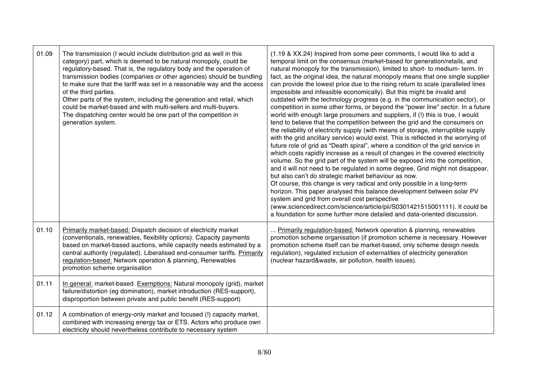| 01.09 | The transmission (I would include distribution grid as well in this<br>category) part, which is deemed to be natural monopoly, could be<br>regulatory-based. That is, the regulatory body and the operation of<br>transmission bodies (companies or other agencies) should be bundling<br>to make sure that the tariff was set in a reasonable way and the access<br>of the third parties.<br>Other parts of the system, including the generation and retail, which<br>could be market-based and with multi-sellers and multi-buyers.<br>The dispatching center would be one part of the competition in<br>generation system. | (1.19 & XX.24) Inspired from some peer comments, I would like to add a<br>temporal limit on the consensus (market-based for generation/retails, and<br>natural monopoly for the transmission), limited to short- to medium- term. In<br>fact, as the original idea, the natural monopoly means that one single supplier<br>can provide the lowest price due to the rising return to scale (paralleled lines<br>impossible and infeasible economically). But this might be invalid and<br>outdated with the technology progress (e.g. in the communication sector), or<br>competition in some other forms, or beyond the "power line" sector. In a future<br>world with enough large prosumers and suppliers, if (!) this is true, I would<br>tend to believe that the competition between the grid and the consumers on<br>the reliability of electricity supply (with means of storage, interruptible supply<br>with the grid ancillary service) would exist. This is reflected in the worrying of<br>future role of grid as "Death spiral", where a condition of the grid service in<br>which costs rapidly increase as a result of changes in the covered electricity<br>volume. So the grid part of the system will be exposed into the competition,<br>and it will not need to be regulated in some degree. Grid might not disappear,<br>but also can't do strategic market behaviour as now.<br>Of course, this change is very radical and only possible in a long-term<br>horizon. This paper analysed this balance development between solar PV<br>system and grid from overall cost perspective<br>(www.sciencedirect.com/science/article/pii/S0301421515001111). It could be<br>a foundation for some further more detailed and data-oriented discussion. |
|-------|-------------------------------------------------------------------------------------------------------------------------------------------------------------------------------------------------------------------------------------------------------------------------------------------------------------------------------------------------------------------------------------------------------------------------------------------------------------------------------------------------------------------------------------------------------------------------------------------------------------------------------|---------------------------------------------------------------------------------------------------------------------------------------------------------------------------------------------------------------------------------------------------------------------------------------------------------------------------------------------------------------------------------------------------------------------------------------------------------------------------------------------------------------------------------------------------------------------------------------------------------------------------------------------------------------------------------------------------------------------------------------------------------------------------------------------------------------------------------------------------------------------------------------------------------------------------------------------------------------------------------------------------------------------------------------------------------------------------------------------------------------------------------------------------------------------------------------------------------------------------------------------------------------------------------------------------------------------------------------------------------------------------------------------------------------------------------------------------------------------------------------------------------------------------------------------------------------------------------------------------------------------------------------------------------------------------------------------------------------------------------------------------------------------|
| 01.10 | Primarily market-based: Dispatch decision of electricity market<br>(conventionals, renewables, flexibility options). Capacity payments<br>based on market-based auctions, while capacity needs estimated by a<br>central authority (regulated). Liberalised end-consumer tariffs. Primarily<br>regulation-based: Network operation & planning, Renewables<br>promotion scheme organisation                                                                                                                                                                                                                                    | Primarily regulation-based: Network operation & planning, renewables<br>promotion scheme organisation (if promotion scheme is necessary. However<br>promotion scheme itself can be market-based, only scheme design needs<br>regulation), regulated inclusion of externalities of electricity generation<br>(nuclear hazard&waste, air pollution, health issues).                                                                                                                                                                                                                                                                                                                                                                                                                                                                                                                                                                                                                                                                                                                                                                                                                                                                                                                                                                                                                                                                                                                                                                                                                                                                                                                                                                                                   |
| 01.11 | In general: market-based. Exemptions: Natural monopoly (grid), market<br>failure/distortion (eg domination), market introduction (RES-support),<br>disproportion between private and public benefit (RES-support)                                                                                                                                                                                                                                                                                                                                                                                                             |                                                                                                                                                                                                                                                                                                                                                                                                                                                                                                                                                                                                                                                                                                                                                                                                                                                                                                                                                                                                                                                                                                                                                                                                                                                                                                                                                                                                                                                                                                                                                                                                                                                                                                                                                                     |
| 01.12 | A combination of energy-only market and focused (!) capacity market,<br>combined with increasing energy tax or ETS. Actors who produce own<br>electricity should nevertheless contribute to necessary system                                                                                                                                                                                                                                                                                                                                                                                                                  |                                                                                                                                                                                                                                                                                                                                                                                                                                                                                                                                                                                                                                                                                                                                                                                                                                                                                                                                                                                                                                                                                                                                                                                                                                                                                                                                                                                                                                                                                                                                                                                                                                                                                                                                                                     |

 $\mathbf{r}$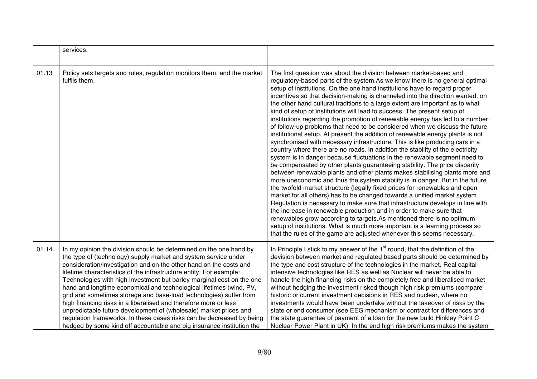|       | services.                                                                                                                                                                                                                                                                                                                                                                                                                                                                                                                                                                                                                                                                                                                                                                                           |                                                                                                                                                                                                                                                                                                                                                                                                                                                                                                                                                                                                                                                                                                                                                                                                                                                                                                                                                                                                                                                                                                                                                                                                                                                                                                                                                                                                                                                                                                                                                                                                                                                                                                                                                                                    |
|-------|-----------------------------------------------------------------------------------------------------------------------------------------------------------------------------------------------------------------------------------------------------------------------------------------------------------------------------------------------------------------------------------------------------------------------------------------------------------------------------------------------------------------------------------------------------------------------------------------------------------------------------------------------------------------------------------------------------------------------------------------------------------------------------------------------------|------------------------------------------------------------------------------------------------------------------------------------------------------------------------------------------------------------------------------------------------------------------------------------------------------------------------------------------------------------------------------------------------------------------------------------------------------------------------------------------------------------------------------------------------------------------------------------------------------------------------------------------------------------------------------------------------------------------------------------------------------------------------------------------------------------------------------------------------------------------------------------------------------------------------------------------------------------------------------------------------------------------------------------------------------------------------------------------------------------------------------------------------------------------------------------------------------------------------------------------------------------------------------------------------------------------------------------------------------------------------------------------------------------------------------------------------------------------------------------------------------------------------------------------------------------------------------------------------------------------------------------------------------------------------------------------------------------------------------------------------------------------------------------|
| 01.13 | Policy sets targets and rules, regulation monitors them, and the market<br>fulfils them.                                                                                                                                                                                                                                                                                                                                                                                                                                                                                                                                                                                                                                                                                                            | The first question was about the division between market-based and<br>regulatory-based parts of the system. As we know there is no general optimal<br>setup of institutions. On the one hand institutions have to regard proper<br>incentives so that decision-making is channeled into the direction wanted, on<br>the other hand cultural traditions to a large extent are important as to what<br>kind of setup of institutions will lead to success. The present setup of<br>institutions regarding the promotion of renewable energy has led to a number<br>of follow-up problems that need to be considered when we discuss the future<br>institutional setup. At present the addition of renewable energy plants is not<br>synchronised with necessary infrastructure. This is like producing cars in a<br>country where there are no roads. In addition the stability of the electricity<br>system is in danger because fluctuations in the renewable segment need to<br>be compensated by other plants guaranteeing stability. The price disparity<br>between renewable plants and other plants makes stabilising plants more and<br>more uneconomic and thus the system stability is in danger. But in the future<br>the twofold market structure (legally fixed prices for renewables and open<br>market for all others) has to be changed towards a unified market system.<br>Regulation is necessary to make sure that infrastructure develops in line with<br>the increase in renewable production and in order to make sure that<br>renewables grow according to targets. As mentioned there is no optimum<br>setup of institutions. What is much more important is a learning process so<br>that the rules of the game are adjusted whenever this seems necessary. |
| 01.14 | In my opinion the division should be determined on the one hand by<br>the type of (technology) supply market and system service under<br>consideration/investigation and on the other hand on the costs and<br>lifetime characteristics of the infrastructure entity. For example:<br>Technologies with high investment but barley marginal cost on the one<br>hand and longtime economical and technological lifetimes (wind, PV,<br>grid and sometimes storage and base-load technologies) suffer from<br>high financing risks in a liberalised and therefore more or less<br>unpredictable future development of (wholesale) market prices and<br>regulation frameworks. In these cases risks can be decreased by being<br>hedged by some kind off accountable and big insurance institution the | In Principle I stick to my answer of the $1st$ round, that the definition of the<br>devision between market and regulated based parts should be determined by<br>the type and cost structure of the technologies in the market. Real capital-<br>intensive technologies like RES as well as Nuclear will never be able to<br>handle the high financing risks on the completely free and liberalised market<br>without hedging the investment risked though high risk premiums (compare<br>historic or current investment decisions in RES and nuclear, where no<br>investments would have been undertake without the takeover of risks by the<br>state or end consumer (see EEG mechanism or contract for differences and<br>the state guarantee of payment of a loan for the new build Hinkley Point C<br>Nuclear Power Plant in UK). In the end high risk premiums makes the system                                                                                                                                                                                                                                                                                                                                                                                                                                                                                                                                                                                                                                                                                                                                                                                                                                                                                              |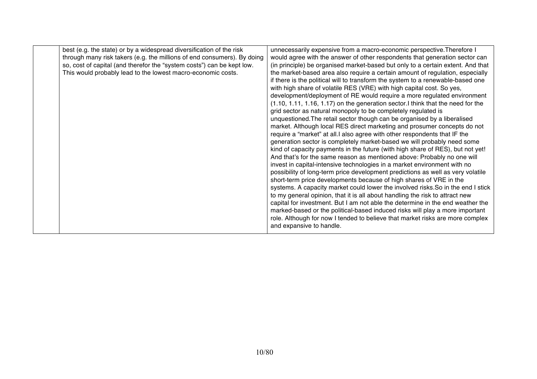| best (e.g. the state) or by a widespread diversification of the risk    | unnecessarily expensive from a macro-economic perspective. Therefore I           |
|-------------------------------------------------------------------------|----------------------------------------------------------------------------------|
| through many risk takers (e.g. the millions of end consumers). By doing | would agree with the answer of other respondents that generation sector can      |
|                                                                         |                                                                                  |
| so, cost of capital (and therefor the "system costs") can be kept low.  | (in principle) be organised market-based but only to a certain extent. And that  |
| This would probably lead to the lowest macro-economic costs.            | the market-based area also require a certain amount of regulation, especially    |
|                                                                         | if there is the political will to transform the system to a renewable-based one  |
|                                                                         | with high share of volatile RES (VRE) with high capital cost. So yes,            |
|                                                                         | development/deployment of RE would require a more regulated environment          |
|                                                                         | (1.10, 1.11, 1.16, 1.17) on the generation sector. I think that the need for the |
|                                                                         | grid sector as natural monopoly to be completely regulated is                    |
|                                                                         | unquestioned. The retail sector though can be organised by a liberalised         |
|                                                                         | market. Although local RES direct marketing and prosumer concepts do not         |
|                                                                         | require a "market" at all.I also agree with other respondents that IF the        |
|                                                                         | generation sector is completely market-based we will probably need some          |
|                                                                         | kind of capacity payments in the future (with high share of RES), but not yet!   |
|                                                                         |                                                                                  |
|                                                                         | And that's for the same reason as mentioned above: Probably no one will          |
|                                                                         | invest in capital-intensive technologies in a market environment with no         |
|                                                                         | possibility of long-term price development predictions as well as very volatile  |
|                                                                         | short-term price developments because of high shares of VRE in the               |
|                                                                         | systems. A capacity market could lower the involved risks. So in the end I stick |
|                                                                         | to my general opinion, that it is all about handling the risk to attract new     |
|                                                                         | capital for investment. But I am not able the determine in the end weather the   |
|                                                                         | marked-based or the political-based induced risks will play a more important     |
|                                                                         | role. Although for now I tended to believe that market risks are more complex    |
|                                                                         | and expansive to handle.                                                         |
|                                                                         |                                                                                  |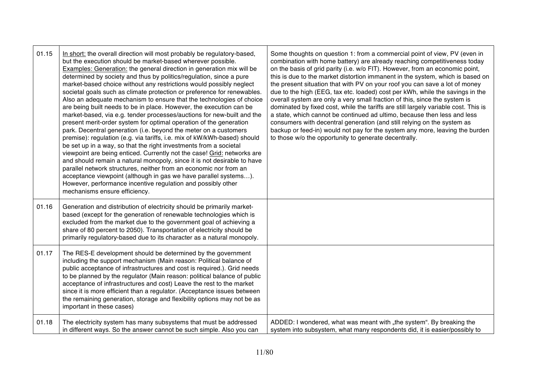| 01.15 | In short: the overall direction will most probably be regulatory-based,<br>but the execution should be market-based wherever possible.<br>Examples: Generation: the general direction in generation mix will be<br>determined by society and thus by politics/regulation, since a pure<br>market-based choice without any restrictions would possibly neglect<br>societal goals such as climate protection or preference for renewables.<br>Also an adequate mechanism to ensure that the technologies of choice<br>are being built needs to be in place. However, the execution can be<br>market-based, via e.g. tender processes/auctions for new-built and the<br>present merit-order system for optimal operation of the generation<br>park. Decentral generation (i.e. beyond the meter on a customers<br>premise): regulation (e.g. via tariffs, i.e. mix of kW/kWh-based) should<br>be set up in a way, so that the right investments from a societal<br>viewpoint are being enticed. Currently not the case! Grid: networks are<br>and should remain a natural monopoly, since it is not desirable to have<br>parallel network structures, neither from an economic nor from an<br>acceptance viewpoint (although in gas we have parallel systems).<br>However, performance incentive regulation and possibly other<br>mechanisms ensure efficiency. | Some thoughts on question 1: from a commercial point of view, PV (even in<br>combination with home battery) are already reaching competitiveness today<br>on the basis of grid parity (i.e. w/o FIT). However, from an economic point,<br>this is due to the market distortion immanent in the system, which is based on<br>the present situation that with PV on your roof you can save a lot of money<br>due to the high (EEG, tax etc. loaded) cost per kWh, while the savings in the<br>overall system are only a very small fraction of this, since the system is<br>dominated by fixed cost, while the tariffs are still largely variable cost. This is<br>a state, which cannot be continued ad ultimo, because then less and less<br>consumers with decentral generation (and still relying on the system as<br>backup or feed-in) would not pay for the system any more, leaving the burden<br>to those w/o the opportunity to generate decentrally. |
|-------|--------------------------------------------------------------------------------------------------------------------------------------------------------------------------------------------------------------------------------------------------------------------------------------------------------------------------------------------------------------------------------------------------------------------------------------------------------------------------------------------------------------------------------------------------------------------------------------------------------------------------------------------------------------------------------------------------------------------------------------------------------------------------------------------------------------------------------------------------------------------------------------------------------------------------------------------------------------------------------------------------------------------------------------------------------------------------------------------------------------------------------------------------------------------------------------------------------------------------------------------------------------------------------------------------------------------------------------------------------------|---------------------------------------------------------------------------------------------------------------------------------------------------------------------------------------------------------------------------------------------------------------------------------------------------------------------------------------------------------------------------------------------------------------------------------------------------------------------------------------------------------------------------------------------------------------------------------------------------------------------------------------------------------------------------------------------------------------------------------------------------------------------------------------------------------------------------------------------------------------------------------------------------------------------------------------------------------------|
| 01.16 | Generation and distribution of electricity should be primarily market-<br>based (except for the generation of renewable technologies which is<br>excluded from the market due to the government goal of achieving a<br>share of 80 percent to 2050). Transportation of electricity should be<br>primarily regulatory-based due to its character as a natural monopoly.                                                                                                                                                                                                                                                                                                                                                                                                                                                                                                                                                                                                                                                                                                                                                                                                                                                                                                                                                                                       |                                                                                                                                                                                                                                                                                                                                                                                                                                                                                                                                                                                                                                                                                                                                                                                                                                                                                                                                                               |
| 01.17 | The RES-E development should be determined by the government<br>including the support mechanism (Main reason: Political balance of<br>public acceptance of infrastructures and cost is required.). Grid needs<br>to be planned by the regulator (Main reason: political balance of public<br>acceptance of infrastructures and cost) Leave the rest to the market<br>since it is more efficient than a regulator. (Acceptance issues between<br>the remaining generation, storage and flexibility options may not be as<br>important in these cases)                                                                                                                                                                                                                                                                                                                                                                                                                                                                                                                                                                                                                                                                                                                                                                                                         |                                                                                                                                                                                                                                                                                                                                                                                                                                                                                                                                                                                                                                                                                                                                                                                                                                                                                                                                                               |
| 01.18 | The electricity system has many subsystems that must be addressed<br>in different ways. So the answer cannot be such simple. Also you can                                                                                                                                                                                                                                                                                                                                                                                                                                                                                                                                                                                                                                                                                                                                                                                                                                                                                                                                                                                                                                                                                                                                                                                                                    | ADDED: I wondered, what was meant with "the system". By breaking the<br>system into subsystem, what many respondents did, it is easier/possibly to                                                                                                                                                                                                                                                                                                                                                                                                                                                                                                                                                                                                                                                                                                                                                                                                            |

┱

e.

 $\mathsf{r}$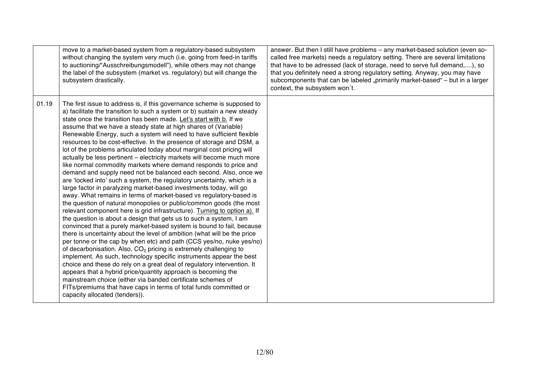|       | move to a market-based system from a regulatory-based subsystem<br>without changing the system very much (i.e. going from feed-in tariffs<br>to auctioning/"Ausschreibungsmodell"), while others may not change<br>the label of the subsystem (market vs. regulatory) but will change the<br>subsystem drastically.                                                                                                                                                                                                                                                                                                                                                                                                                                                                                                                                                                                                                                                                                                                                                                                                                                                                                                                                                                                                                                                                                                                                                                                                                                                                                                                                                                                                                                                                                                                                                                                 | answer. But then I still have problems - any market-based solution (even so-<br>called free markets) needs a regulatory setting. There are several limitations<br>that have to be adressed (lack of storage, need to serve full demand,), so<br>that you definitely need a strong regulatory setting. Anyway, you may have<br>subcomponents that can be labeled "primarily market-based" - but in a larger<br>context, the subsystem won't. |
|-------|-----------------------------------------------------------------------------------------------------------------------------------------------------------------------------------------------------------------------------------------------------------------------------------------------------------------------------------------------------------------------------------------------------------------------------------------------------------------------------------------------------------------------------------------------------------------------------------------------------------------------------------------------------------------------------------------------------------------------------------------------------------------------------------------------------------------------------------------------------------------------------------------------------------------------------------------------------------------------------------------------------------------------------------------------------------------------------------------------------------------------------------------------------------------------------------------------------------------------------------------------------------------------------------------------------------------------------------------------------------------------------------------------------------------------------------------------------------------------------------------------------------------------------------------------------------------------------------------------------------------------------------------------------------------------------------------------------------------------------------------------------------------------------------------------------------------------------------------------------------------------------------------------------|---------------------------------------------------------------------------------------------------------------------------------------------------------------------------------------------------------------------------------------------------------------------------------------------------------------------------------------------------------------------------------------------------------------------------------------------|
| 01.19 | The first issue to address is, if this governance scheme is supposed to<br>a) facilitate the transition to such a system or b) sustain a new steady<br>state once the transition has been made. Let's start with b. If we<br>assume that we have a steady state at high shares of (Variable)<br>Renewable Energy, such a system will need to have sufficient flexible<br>resources to be cost-effective. In the presence of storage and DSM, a<br>lot of the problems articulated today about marginal cost pricing will<br>actually be less pertinent - electricity markets will become much more<br>like normal commodity markets where demand responds to price and<br>demand and supply need not be balanced each second. Also, once we<br>are 'locked into' such a system, the regulatory uncertainty, which is a<br>large factor in paralyzing market-based investments today, will go<br>away. What remains in terms of market-based vs regulatory-based is<br>the question of natural monopolies or public/common goods (the most<br>relevant component here is grid infrastructure). Turning to option a). If<br>the question is about a design that gets us to such a system, I am<br>convinced that a purely market-based system is bound to fail, because<br>there is uncertainty about the level of ambition (what will be the price<br>per tonne or the cap by when etc) and path (CCS yes/no, nuke yes/no)<br>of decarbonisation. Also, CO <sub>2</sub> pricing is extremely challenging to<br>implement. As such, technology specific instruments appear the best<br>choice and these do rely on a great deal of regulatory intervention. It<br>appears that a hybrid price/quantity approach is becoming the<br>mainstream choice (either via banded certificate schemes of<br>FITs/premiums that have caps in terms of total funds committed or<br>capacity allocated (tenders)). |                                                                                                                                                                                                                                                                                                                                                                                                                                             |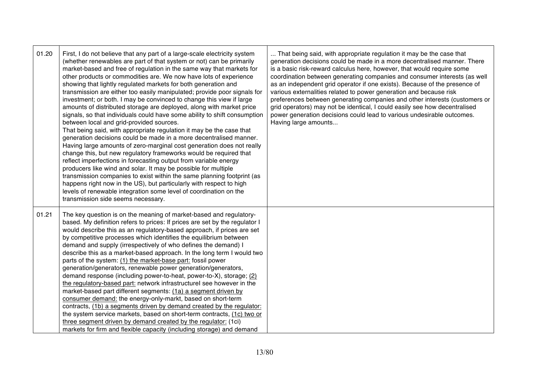| 01.20 | First, I do not believe that any part of a large-scale electricity system<br>(whether renewables are part of that system or not) can be primarily<br>market-based and free of regulation in the same way that markets for<br>other products or commodities are. We now have lots of experience<br>showing that lightly regulated markets for both generation and<br>transmission are either too easily manipulated; provide poor signals for<br>investment; or both. I may be convinced to change this view if large<br>amounts of distributed storage are deployed, along with market price<br>signals, so that individuals could have some ability to shift consumption<br>between local and grid-provided sources.<br>That being said, with appropriate regulation it may be the case that<br>generation decisions could be made in a more decentralised manner.<br>Having large amounts of zero-marginal cost generation does not really<br>change this, but new regulatory frameworks would be required that<br>reflect imperfections in forecasting output from variable energy<br>producers like wind and solar. It may be possible for multiple<br>transmission companies to exist within the same planning footprint (as<br>happens right now in the US), but particularly with respect to high<br>levels of renewable integration some level of coordination on the<br>transmission side seems necessary. | That being said, with appropriate regulation it may be the case that<br>generation decisions could be made in a more decentralised manner. There<br>is a basic risk-reward calculus here, however, that would require some<br>coordination between generating companies and consumer interests (as well<br>as an independent grid operator if one exists). Because of the presence of<br>various externalities related to power generation and because risk<br>preferences between generating companies and other interests (customers or<br>grid operators) may not be identical, I could easily see how decentralised<br>power generation decisions could lead to various undesirable outcomes.<br>Having large amounts |
|-------|---------------------------------------------------------------------------------------------------------------------------------------------------------------------------------------------------------------------------------------------------------------------------------------------------------------------------------------------------------------------------------------------------------------------------------------------------------------------------------------------------------------------------------------------------------------------------------------------------------------------------------------------------------------------------------------------------------------------------------------------------------------------------------------------------------------------------------------------------------------------------------------------------------------------------------------------------------------------------------------------------------------------------------------------------------------------------------------------------------------------------------------------------------------------------------------------------------------------------------------------------------------------------------------------------------------------------------------------------------------------------------------------------------------------|---------------------------------------------------------------------------------------------------------------------------------------------------------------------------------------------------------------------------------------------------------------------------------------------------------------------------------------------------------------------------------------------------------------------------------------------------------------------------------------------------------------------------------------------------------------------------------------------------------------------------------------------------------------------------------------------------------------------------|
| 01.21 | The key question is on the meaning of market-based and regulatory-<br>based. My definition refers to prices: If prices are set by the regulator I<br>would describe this as an regulatory-based approach, if prices are set<br>by competitive processes which identifies the equilibrium between<br>demand and supply (irrespectively of who defines the demand) I<br>describe this as a market-based approach. In the long term I would two<br>parts of the system: (1) the market-base part: fossil power<br>generation/generators, renewable power generation/generators,<br>demand response (including power-to-heat, power-to-X), storage; (2)<br>the regulatory-based part: network infrastructurel see however in the<br>market-based part different segments: (1a) a segment driven by<br>consumer demand: the energy-only-markt, based on short-term<br>contracts, (1b) a segments driven by demand created by the regulator:<br>the system service markets, based on short-term contracts, (1c) two or<br>three segment driven by demand created by the regulator: (1ci)<br>markets for firm and flexible capacity (including storage) and demand                                                                                                                                                                                                                                                         |                                                                                                                                                                                                                                                                                                                                                                                                                                                                                                                                                                                                                                                                                                                           |

 $\mathbf{r}$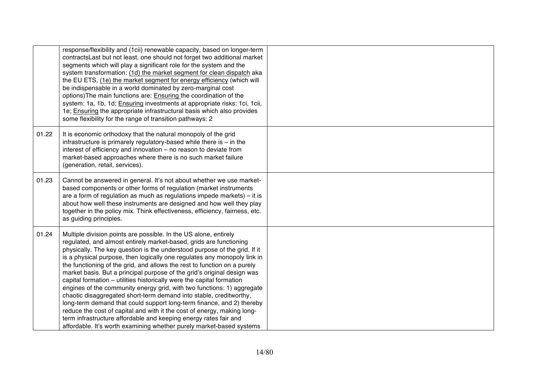|       | response/flexibility and (1cii) renewable capacity, based on longer-term<br>contracts Last but not least, one should not forget two additional market<br>segments which will play a significant role for the system and the<br>system transformation: (1d) the market segment for clean dispatch aka<br>the EU ETS, (1e) the market segment for energy efficiency (which will<br>be indispensable in a world dominated by zero-marginal cost<br>options) The main functions are: Ensuring the coordination of the<br>system: 1a, 1b, 1d; Ensuring investments at appropriate risks: 1ci, 1cii,<br>1e; Ensuring the appropriate infrastructural basis which also provides<br>some flexibility for the range of transition pathways: 2                                                                                                                                                                                                                                            |  |
|-------|---------------------------------------------------------------------------------------------------------------------------------------------------------------------------------------------------------------------------------------------------------------------------------------------------------------------------------------------------------------------------------------------------------------------------------------------------------------------------------------------------------------------------------------------------------------------------------------------------------------------------------------------------------------------------------------------------------------------------------------------------------------------------------------------------------------------------------------------------------------------------------------------------------------------------------------------------------------------------------|--|
| 01.22 | It is economic orthodoxy that the natural monopoly of the grid<br>infrastructure is primarely regulatory-based while there is $-$ in the<br>interest of efficiency and innovation - no reason to deviate from<br>market-based approaches where there is no such market failure<br>(generation, retail, services).                                                                                                                                                                                                                                                                                                                                                                                                                                                                                                                                                                                                                                                               |  |
| 01.23 | Cannot be answered in general. It's not about whether we use market-<br>based components or other forms of regulation (market instruments<br>are a form of regulation as much as regulations impede markets) $-$ it is<br>about how well these instruments are designed and how well they play<br>together in the policy mix. Think effectiveness, efficiency, fairness, etc.<br>as guiding principles.                                                                                                                                                                                                                                                                                                                                                                                                                                                                                                                                                                         |  |
| 01.24 | Multiple division points are possible. In the US alone, entirely<br>regulated, and almost entirely market-based, grids are functioning<br>physically. The key question is the understood purpose of the grid. If it<br>is a physical purpose, then logically one regulates any monopoly link in<br>the functioning of the grid, and allows the rest to function on a purely<br>market basis. But a principal purpose of the grid's original design was<br>capital formation - utilities historically were the capital formation<br>engines of the community energy grid, with two functions: 1) aggregate<br>chaotic disaggregated short-term demand into stable, creditworthy,<br>long-term demand that could support long-term finance, and 2) thereby<br>reduce the cost of capital and with it the cost of energy, making long-<br>term infrastructure affordable and keeping energy rates fair and<br>affordable. It's worth examining whether purely market-based systems |  |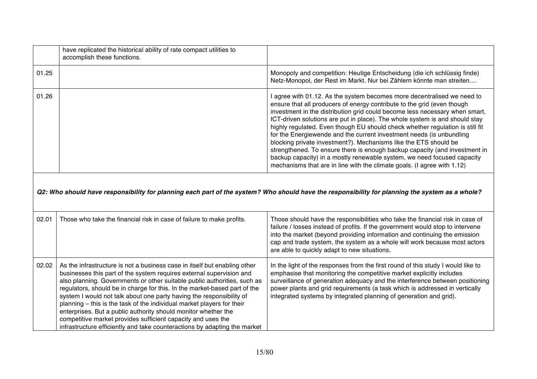|       | have replicated the historical ability of rate compact utilities to<br>accomplish these functions. |                                                                                                                                                                                                                                                                                                                                                                                                                                                                                                                                                                                                                                                                                                                                                                                 |
|-------|----------------------------------------------------------------------------------------------------|---------------------------------------------------------------------------------------------------------------------------------------------------------------------------------------------------------------------------------------------------------------------------------------------------------------------------------------------------------------------------------------------------------------------------------------------------------------------------------------------------------------------------------------------------------------------------------------------------------------------------------------------------------------------------------------------------------------------------------------------------------------------------------|
| 01.25 |                                                                                                    | Monopoly and competition: Heutige Entscheidung (die ich schlüssig finde)<br>Netz-Monopol, der Rest im Markt. Nur bei Zählern könnte man streiten                                                                                                                                                                                                                                                                                                                                                                                                                                                                                                                                                                                                                                |
| 01.26 |                                                                                                    | agree with 01.12. As the system becomes more decentralised we need to<br>ensure that all producers of energy contribute to the grid (even though<br>investment in the distribution grid could become less necessary when smart,<br>ICT-driven solutions are put in place). The whole system is and should stay<br>highly regulated. Even though EU should check whether regulation is still fit<br>for the Energiewende and the current investment needs (is unbundling<br>blocking private investment?). Mechanisms like the ETS should be<br>strengthened. To ensure there is enough backup capacity (and investment in<br>backup capacity) in a mostly renewable system, we need focused capacity<br>mechanisms that are in line with the climate goals. (I agree with 1.12) |

*Q2: Who should have responsibility for planning each part of the system? Who should have the responsibility for planning the system as a whole?*

| 02.01 | Those who take the financial risk in case of failure to make profits.                                                                                                                                                                                                                                                                                                                                                                                                                                                                                                                                                                                                       | Those should have the responsibilities who take the financial risk in case of<br>failure / losses instead of profits. If the government would stop to intervene<br>into the market (beyond providing information and continuing the emission<br>cap and trade system, the system as a whole will work because most actors<br>are able to quickly adapt to new situations.                     |
|-------|-----------------------------------------------------------------------------------------------------------------------------------------------------------------------------------------------------------------------------------------------------------------------------------------------------------------------------------------------------------------------------------------------------------------------------------------------------------------------------------------------------------------------------------------------------------------------------------------------------------------------------------------------------------------------------|-----------------------------------------------------------------------------------------------------------------------------------------------------------------------------------------------------------------------------------------------------------------------------------------------------------------------------------------------------------------------------------------------|
| 02.02 | As the infrastructure is not a business case in itself but enabling other<br>businesses this part of the system requires external supervision and<br>also planning. Governments or other suitable public authorities, such as<br>regulators, should be in charge for this. In the market-based part of the<br>system I would not talk about one party having the responsibility of<br>planning – this is the task of the individual market players for their<br>enterprises. But a public authority should monitor whether the<br>competitive market provides sufficient capacity and uses the<br>infrastructure efficiently and take counteractions by adapting the market | In the light of the responses from the first round of this study I would like to<br>emphasise that monitoring the competitive market explicitly includes<br>surveillance of generation adequacy and the interference between positioning<br>power plants and grid requirements (a task which is addressed in vertically<br>integrated systems by integrated planning of generation and grid). |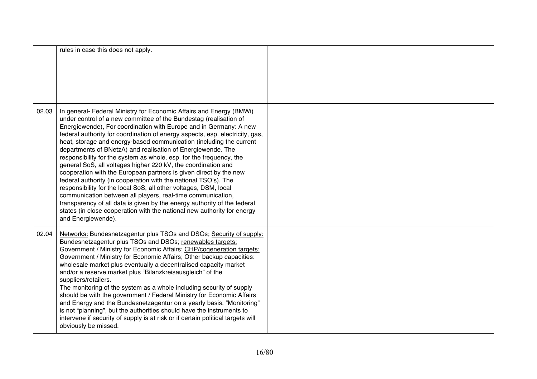|       | rules in case this does not apply.                                                                                                                                                                                                                                                                                                                                                                                                                                                                                                                                                                                                                                                                                                                                                                                                                                                                                                                                                                                                  |  |
|-------|-------------------------------------------------------------------------------------------------------------------------------------------------------------------------------------------------------------------------------------------------------------------------------------------------------------------------------------------------------------------------------------------------------------------------------------------------------------------------------------------------------------------------------------------------------------------------------------------------------------------------------------------------------------------------------------------------------------------------------------------------------------------------------------------------------------------------------------------------------------------------------------------------------------------------------------------------------------------------------------------------------------------------------------|--|
| 02.03 | In general- Federal Ministry for Economic Affairs and Energy (BMWi)<br>under control of a new committee of the Bundestag (realisation of<br>Energiewende), For coordination with Europe and in Germany: A new<br>federal authority for coordination of energy aspects, esp. electricity, gas,<br>heat, storage and energy-based communication (including the current<br>departments of BNetzA) and realisation of Energiewende. The<br>responsibility for the system as whole, esp. for the frequency, the<br>general SoS, all voltages higher 220 kV, the coordination and<br>cooperation with the European partners is given direct by the new<br>federal authority (in cooperation with the national TSO's). The<br>responsibility for the local SoS, all other voltages, DSM, local<br>communication between all players, real-time communication,<br>transparency of all data is given by the energy authority of the federal<br>states (in close cooperation with the national new authority for energy<br>and Energiewende). |  |
| 02.04 | Networks: Bundesnetzagentur plus TSOs and DSOs; Security of supply:<br>Bundesnetzagentur plus TSOs and DSOs; renewables targets:<br>Government / Ministry for Economic Affairs; CHP/cogeneration targets:<br>Government / Ministry for Economic Affairs; Other backup capacities:<br>wholesale market plus eventually a decentralised capacity market<br>and/or a reserve market plus "Bilanzkreisausgleich" of the<br>suppliers/retailers.<br>The monitoring of the system as a whole including security of supply<br>should be with the government / Federal Ministry for Economic Affairs<br>and Energy and the Bundesnetzagentur on a yearly basis. "Monitoring"<br>is not "planning", but the authorities should have the instruments to<br>intervene if security of supply is at risk or if certain political targets will<br>obviously be missed.                                                                                                                                                                            |  |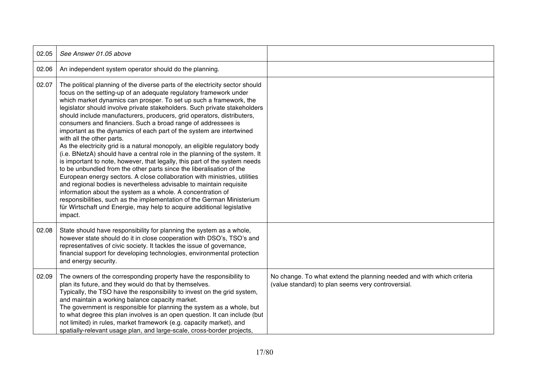| 02.05 | See Answer 01.05 above                                                                                                                                                                                                                                                                                                                                                                                                                                                                                                                                                                                                                                                                                                                                                                                                                                                                                                                                                                                                                                                                                                                                                                                                                                   |                                                                                                                             |
|-------|----------------------------------------------------------------------------------------------------------------------------------------------------------------------------------------------------------------------------------------------------------------------------------------------------------------------------------------------------------------------------------------------------------------------------------------------------------------------------------------------------------------------------------------------------------------------------------------------------------------------------------------------------------------------------------------------------------------------------------------------------------------------------------------------------------------------------------------------------------------------------------------------------------------------------------------------------------------------------------------------------------------------------------------------------------------------------------------------------------------------------------------------------------------------------------------------------------------------------------------------------------|-----------------------------------------------------------------------------------------------------------------------------|
| 02.06 | An independent system operator should do the planning.                                                                                                                                                                                                                                                                                                                                                                                                                                                                                                                                                                                                                                                                                                                                                                                                                                                                                                                                                                                                                                                                                                                                                                                                   |                                                                                                                             |
| 02.07 | The political planning of the diverse parts of the electricity sector should<br>focus on the setting-up of an adequate regulatory framework under<br>which market dynamics can prosper. To set up such a framework, the<br>legislator should involve private stakeholders. Such private stakeholders<br>should include manufacturers, producers, grid operators, distributers,<br>consumers and financiers. Such a broad range of addressees is<br>important as the dynamics of each part of the system are intertwined<br>with all the other parts.<br>As the electricity grid is a natural monopoly, an eligible regulatory body<br>(i.e. BNetzA) should have a central role in the planning of the system. It<br>is important to note, however, that legally, this part of the system needs<br>to be unbundled from the other parts since the liberalisation of the<br>European energy sectors. A close collaboration with ministries, utilities<br>and regional bodies is nevertheless advisable to maintain requisite<br>information about the system as a whole. A concentration of<br>responsibilities, such as the implementation of the German Ministerium<br>für Wirtschaft und Energie, may help to acquire additional legislative<br>impact. |                                                                                                                             |
| 02.08 | State should have responsibility for planning the system as a whole,<br>however state should do it in close cooperation with DSO's, TSO's and<br>representatives of civic society. It tackles the issue of governance,<br>financial support for developing technologies, environmental protection<br>and energy security.                                                                                                                                                                                                                                                                                                                                                                                                                                                                                                                                                                                                                                                                                                                                                                                                                                                                                                                                |                                                                                                                             |
| 02.09 | The owners of the corresponding property have the responsibility to<br>plan its future, and they would do that by themselves.<br>Typically, the TSO have the responsibility to invest on the grid system,<br>and maintain a working balance capacity market.<br>The government is responsible for planning the system as a whole, but<br>to what degree this plan involves is an open question. It can include (but<br>not limited) in rules, market framework (e.g. capacity market), and<br>spatially-relevant usage plan, and large-scale, cross-border projects,                                                                                                                                                                                                                                                                                                                                                                                                                                                                                                                                                                                                                                                                                     | No change. To what extend the planning needed and with which criteria<br>(value standard) to plan seems very controversial. |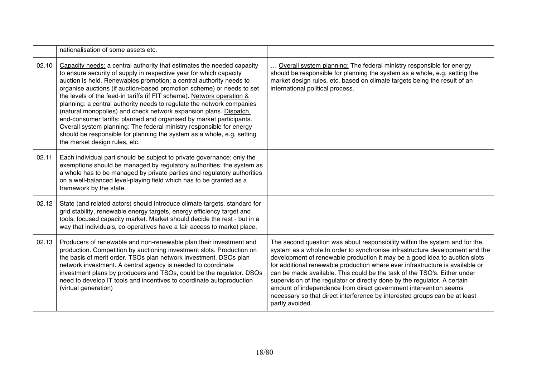|       | nationalisation of some assets etc.                                                                                                                                                                                                                                                                                                                                                                                                                                                                                                                                                                                                                                                                                                                                            |                                                                                                                                                                                                                                                                                                                                                                                                                                                                                                                                                                                                                                                          |
|-------|--------------------------------------------------------------------------------------------------------------------------------------------------------------------------------------------------------------------------------------------------------------------------------------------------------------------------------------------------------------------------------------------------------------------------------------------------------------------------------------------------------------------------------------------------------------------------------------------------------------------------------------------------------------------------------------------------------------------------------------------------------------------------------|----------------------------------------------------------------------------------------------------------------------------------------------------------------------------------------------------------------------------------------------------------------------------------------------------------------------------------------------------------------------------------------------------------------------------------------------------------------------------------------------------------------------------------------------------------------------------------------------------------------------------------------------------------|
| 02.10 | Capacity needs: a central authority that estimates the needed capacity<br>to ensure security of supply in respective year for which capacity<br>auction is held. Renewables promotion: a central authority needs to<br>organise auctions (if auction-based promotion scheme) or needs to set<br>the levels of the feed-in tariffs (if FIT scheme). Network operation &<br>planning: a central authority needs to regulate the network companies<br>(natural monopolies) and check network expansion plans. Dispatch,<br>end-consumer tariffs: planned and organised by market participants.<br>Overall system planning: The federal ministry responsible for energy<br>should be responsible for planning the system as a whole, e.g. setting<br>the market design rules, etc. | Overall system planning: The federal ministry responsible for energy<br>should be responsible for planning the system as a whole, e.g. setting the<br>market design rules, etc, based on climate targets being the result of an<br>international political process.                                                                                                                                                                                                                                                                                                                                                                                      |
| 02.11 | Each individual part should be subject to private governance; only the<br>exemptions should be managed by regulatory authorities; the system as<br>a whole has to be managed by private parties and regulatory authorities<br>on a well-balanced level-playing field which has to be granted as a<br>framework by the state.                                                                                                                                                                                                                                                                                                                                                                                                                                                   |                                                                                                                                                                                                                                                                                                                                                                                                                                                                                                                                                                                                                                                          |
| 02.12 | State (and related actors) should introduce climate targets, standard for<br>grid stability, renewable energy targets, energy efficiency target and<br>tools, focused capacity market. Market should decide the rest - but in a<br>way that individuals, co-operatives have a fair access to market place.                                                                                                                                                                                                                                                                                                                                                                                                                                                                     |                                                                                                                                                                                                                                                                                                                                                                                                                                                                                                                                                                                                                                                          |
| 02.13 | Producers of renewable and non-renewable plan their investment and<br>production. Competition by auctioning investment slots. Production on<br>the basis of merit order. TSOs plan network investment. DSOs plan<br>network investment. A central agency is needed to coordinate<br>investment plans by producers and TSOs, could be the regulator. DSOs<br>need to develop IT tools and incentives to coordinate autoproduction<br>(virtual generation)                                                                                                                                                                                                                                                                                                                       | The second question was about responsibility within the system and for the<br>system as a whole. In order to synchronise infrastructure development and the<br>development of renewable production it may be a good idea to auction slots<br>for additional renewable production where ever infrastructure is available or<br>can be made available. This could be the task of the TSO's. Either under<br>supervision of the regulator or directly done by the regulator. A certain<br>amount of independence from direct government intervention seems<br>necessary so that direct interference by interested groups can be at least<br>partly avoided. |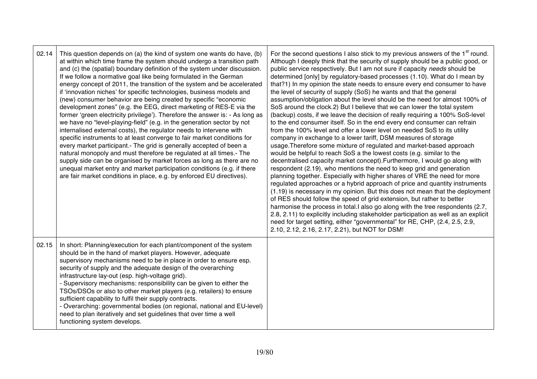| 02.14 | This question depends on (a) the kind of system one wants do have, (b)<br>at within which time frame the system should undergo a transition path<br>and (c) the (spatial) boundary definition of the system under discussion.<br>If we follow a normative goal like being formulated in the German<br>energy concept of 2011, the transition of the system and be accelerated<br>if 'innovation niches' for specific technologies, business models and<br>(new) consumer behavior are being created by specific "economic<br>development zones" (e.g. the EEG, direct marketing of RES-E via the<br>former 'green electricity privilege'). Therefore the answer is: - As long as<br>we have no "level-playing-field" (e.g. in the generation sector by not<br>internalised external costs), the regulator needs to intervene with<br>specific instruments to at least converge to fair market conditions for<br>every market participant.- The grid is generally accepted of been a<br>natural monopoly and must therefore be regulated at all times.- The<br>supply side can be organised by market forces as long as there are no<br>unequal market entry and market participation conditions (e.g. if there<br>are fair market conditions in place, e.g. by enforced EU directives). | For the second questions I also stick to my previous answers of the 1 <sup>st</sup> round.<br>Although I deeply think that the security of supply should be a public good, or<br>public service respectively. But I am not sure if capacity needs should be<br>determined [only] by regulatory-based processes (1.10). What do I mean by<br>that?1) In my opinion the state needs to ensure every end consumer to have<br>the level of security of supply (SoS) he wants and that the general<br>assumption/obligation about the level should be the need for almost 100% of<br>SoS around the clock.2) But I believe that we can lower the total system<br>(backup) costs, if we leave the decision of really requiring a 100% SoS-level<br>to the end consumer itself. So in the end every end consumer can refrain<br>from the 100% level and offer a lower level on needed SoS to its utility<br>company in exchange to a lower tariff, DSM measures of storage<br>usage. Therefore some mixture of regulated and market-based approach<br>would be helpful to reach SoS a the lowest costs (e.g. similar to the<br>decentralised capacity market concept). Furthermore, I would go along with<br>respondent (2.19), who mentions the need to keep grid and generation<br>planning together. Especially with higher shares of VRE the need for more<br>regulated approaches or a hybrid approach of price and quantity instruments<br>(1.19) is necessary in my opinion. But this does not mean that the deployment<br>of RES should follow the speed of grid extension, but rather to better<br>harmonise the process in total.I also go along with the tree respondents (2.7,<br>2.8, 2.11) to explicitly including stakeholder participation as well as an explicit<br>need for target setting, either "governmental" for RE, CHP, (2.4, 2.5, 2.9,<br>2.10, 2.12, 2.16, 2.17, 2.21), but NOT for DSM! |
|-------|-----------------------------------------------------------------------------------------------------------------------------------------------------------------------------------------------------------------------------------------------------------------------------------------------------------------------------------------------------------------------------------------------------------------------------------------------------------------------------------------------------------------------------------------------------------------------------------------------------------------------------------------------------------------------------------------------------------------------------------------------------------------------------------------------------------------------------------------------------------------------------------------------------------------------------------------------------------------------------------------------------------------------------------------------------------------------------------------------------------------------------------------------------------------------------------------------------------------------------------------------------------------------------------------|--------------------------------------------------------------------------------------------------------------------------------------------------------------------------------------------------------------------------------------------------------------------------------------------------------------------------------------------------------------------------------------------------------------------------------------------------------------------------------------------------------------------------------------------------------------------------------------------------------------------------------------------------------------------------------------------------------------------------------------------------------------------------------------------------------------------------------------------------------------------------------------------------------------------------------------------------------------------------------------------------------------------------------------------------------------------------------------------------------------------------------------------------------------------------------------------------------------------------------------------------------------------------------------------------------------------------------------------------------------------------------------------------------------------------------------------------------------------------------------------------------------------------------------------------------------------------------------------------------------------------------------------------------------------------------------------------------------------------------------------------------------------------------------------------------------------------------------------------------------------------------------------------------------|
| 02.15 | In short: Planning/execution for each plant/component of the system<br>should be in the hand of market players. However, adequate<br>supervisory mechanisms need to be in place in order to ensure esp.<br>security of supply and the adequate design of the overarching<br>infrastructure lay-out (esp. high-voltage grid).<br>- Supervisory mechanisms: responsibility can be given to either the<br>TSOs/DSOs or also to other market players (e.g. retailers) to ensure<br>sufficient capability to fulfil their supply contracts.<br>- Overarching: governmental bodies (on regional, national and EU-level)<br>need to plan iteratively and set guidelines that over time a well<br>functioning system develops.                                                                                                                                                                                                                                                                                                                                                                                                                                                                                                                                                                  |                                                                                                                                                                                                                                                                                                                                                                                                                                                                                                                                                                                                                                                                                                                                                                                                                                                                                                                                                                                                                                                                                                                                                                                                                                                                                                                                                                                                                                                                                                                                                                                                                                                                                                                                                                                                                                                                                                              |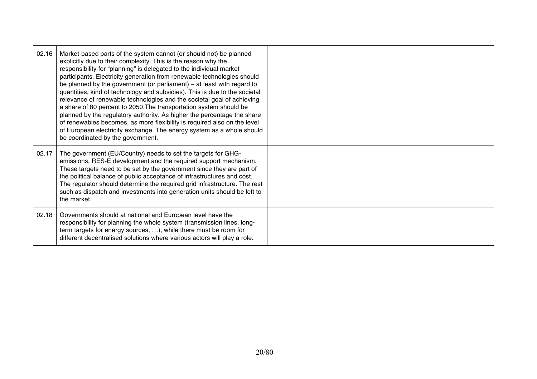| 02.16 | Market-based parts of the system cannot (or should not) be planned<br>explicitly due to their complexity. This is the reason why the<br>responsibility for "planning" is delegated to the individual market<br>participants. Electricity generation from renewable technologies should<br>be planned by the government (or parliament) - at least with regard to<br>quantities, kind of technology and subsidies). This is due to the societal<br>relevance of renewable technologies and the societal goal of achieving<br>a share of 80 percent to 2050. The transportation system should be<br>planned by the regulatory authority. As higher the percentage the share<br>of renewables becomes, as more flexibility is required also on the level<br>of European electricity exchange. The energy system as a whole should<br>be coordinated by the government. |  |
|-------|---------------------------------------------------------------------------------------------------------------------------------------------------------------------------------------------------------------------------------------------------------------------------------------------------------------------------------------------------------------------------------------------------------------------------------------------------------------------------------------------------------------------------------------------------------------------------------------------------------------------------------------------------------------------------------------------------------------------------------------------------------------------------------------------------------------------------------------------------------------------|--|
| 02.17 | The government (EU/Country) needs to set the targets for GHG-<br>emissions, RES-E development and the required support mechanism.<br>These targets need to be set by the government since they are part of<br>the political balance of public acceptance of infrastructures and cost.<br>The regulator should determine the required grid infrastructure. The rest<br>such as dispatch and investments into generation units should be left to<br>the market.                                                                                                                                                                                                                                                                                                                                                                                                       |  |
| 02.18 | Governments should at national and European level have the<br>responsibility for planning the whole system (transmission lines, long-<br>term targets for energy sources, ), while there must be room for<br>different decentralised solutions where various actors will play a role.                                                                                                                                                                                                                                                                                                                                                                                                                                                                                                                                                                               |  |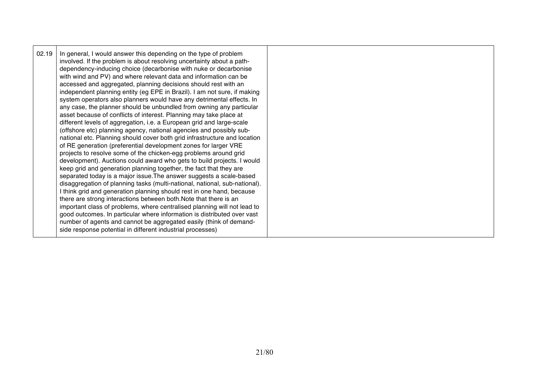| any case, the planner should be unbundled from owning any particular<br>asset because of conflicts of interest. Planning may take place at<br>different levels of aggregation, i.e. a European grid and large-scale<br>(offshore etc) planning agency, national agencies and possibly sub-<br>national etc. Planning should cover both grid infrastructure and location<br>of RE generation (preferential development zones for larger VRE<br>projects to resolve some of the chicken-egg problems around grid<br>development). Auctions could award who gets to build projects. I would<br>keep grid and generation planning together, the fact that they are<br>separated today is a major issue. The answer suggests a scale-based<br>disaggregation of planning tasks (multi-national, national, sub-national).<br>I think grid and generation planning should rest in one hand, because<br>there are strong interactions between both. Note that there is an<br>important class of problems, where centralised planning will not lead to<br>good outcomes. In particular where information is distributed over vast<br>number of agents and cannot be aggregated easily (think of demand-<br>side response potential in different industrial processes) |
|--------------------------------------------------------------------------------------------------------------------------------------------------------------------------------------------------------------------------------------------------------------------------------------------------------------------------------------------------------------------------------------------------------------------------------------------------------------------------------------------------------------------------------------------------------------------------------------------------------------------------------------------------------------------------------------------------------------------------------------------------------------------------------------------------------------------------------------------------------------------------------------------------------------------------------------------------------------------------------------------------------------------------------------------------------------------------------------------------------------------------------------------------------------------------------------------------------------------------------------------------------------|
|--------------------------------------------------------------------------------------------------------------------------------------------------------------------------------------------------------------------------------------------------------------------------------------------------------------------------------------------------------------------------------------------------------------------------------------------------------------------------------------------------------------------------------------------------------------------------------------------------------------------------------------------------------------------------------------------------------------------------------------------------------------------------------------------------------------------------------------------------------------------------------------------------------------------------------------------------------------------------------------------------------------------------------------------------------------------------------------------------------------------------------------------------------------------------------------------------------------------------------------------------------------|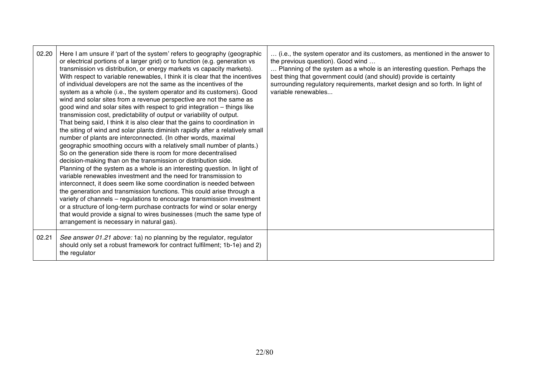| 02.20 | Here I am unsure if 'part of the system' refers to geography (geographic<br>or electrical portions of a larger grid) or to function (e.g. generation vs<br>transmission vs distribution, or energy markets vs capacity markets).<br>With respect to variable renewables, I think it is clear that the incentives<br>of individual developers are not the same as the incentives of the<br>system as a whole (i.e., the system operator and its customers). Good<br>wind and solar sites from a revenue perspective are not the same as<br>good wind and solar sites with respect to grid integration - things like<br>transmission cost, predictability of output or variability of output.<br>That being said, I think it is also clear that the gains to coordination in<br>the siting of wind and solar plants diminish rapidly after a relatively small<br>number of plants are interconnected. (In other words, maximal<br>geographic smoothing occurs with a relatively small number of plants.)<br>So on the generation side there is room for more decentralised<br>decision-making than on the transmission or distribution side.<br>Planning of the system as a whole is an interesting question. In light of<br>variable renewables investment and the need for transmission to<br>interconnect, it does seem like some coordination is needed between<br>the generation and transmission functions. This could arise through a<br>variety of channels - regulations to encourage transmission investment<br>or a structure of long-term purchase contracts for wind or solar energy<br>that would provide a signal to wires businesses (much the same type of<br>arrangement is necessary in natural gas). | (i.e., the system operator and its customers, as mentioned in the answer to<br>the previous question). Good wind<br>Planning of the system as a whole is an interesting question. Perhaps the<br>best thing that government could (and should) provide is certainty<br>surrounding regulatory requirements, market design and so forth. In light of<br>variable renewables |
|-------|------------------------------------------------------------------------------------------------------------------------------------------------------------------------------------------------------------------------------------------------------------------------------------------------------------------------------------------------------------------------------------------------------------------------------------------------------------------------------------------------------------------------------------------------------------------------------------------------------------------------------------------------------------------------------------------------------------------------------------------------------------------------------------------------------------------------------------------------------------------------------------------------------------------------------------------------------------------------------------------------------------------------------------------------------------------------------------------------------------------------------------------------------------------------------------------------------------------------------------------------------------------------------------------------------------------------------------------------------------------------------------------------------------------------------------------------------------------------------------------------------------------------------------------------------------------------------------------------------------------------------------------------------------------------------------------------------------------------|----------------------------------------------------------------------------------------------------------------------------------------------------------------------------------------------------------------------------------------------------------------------------------------------------------------------------------------------------------------------------|
| 02.21 | See answer 01.21 above: 1a) no planning by the regulator, regulator<br>should only set a robust framework for contract fulfilment; 1b-1e) and 2)<br>the regulator                                                                                                                                                                                                                                                                                                                                                                                                                                                                                                                                                                                                                                                                                                                                                                                                                                                                                                                                                                                                                                                                                                                                                                                                                                                                                                                                                                                                                                                                                                                                                      |                                                                                                                                                                                                                                                                                                                                                                            |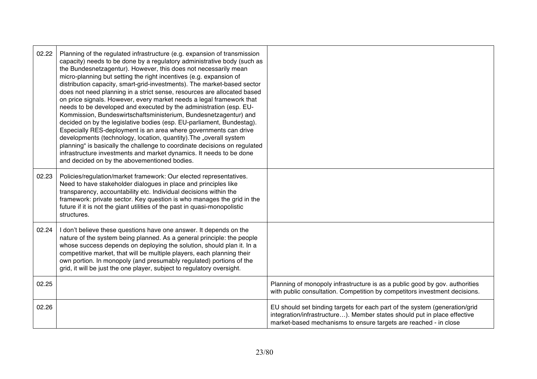| 02.22 | Planning of the regulated infrastructure (e.g. expansion of transmission<br>capacity) needs to be done by a regulatory administrative body (such as<br>the Bundesnetzagentur). However, this does not necessarily mean<br>micro-planning but setting the right incentives (e.g. expansion of<br>distribution capacity, smart-grid-investments). The market-based sector<br>does not need planning in a strict sense, resources are allocated based<br>on price signals. However, every market needs a legal framework that<br>needs to be developed and executed by the administration (esp. EU-<br>Kommission, Bundeswirtschaftsministerium, Bundesnetzagentur) and<br>decided on by the legislative bodies (esp. EU-parliament, Bundestag).<br>Especially RES-deployment is an area where governments can drive<br>developments (technology, location, quantity). The "overall system<br>planning" is basically the challenge to coordinate decisions on regulated<br>infrastructure investments and market dynamics. It needs to be done<br>and decided on by the abovementioned bodies. |                                                                                                                                                                                                                            |
|-------|---------------------------------------------------------------------------------------------------------------------------------------------------------------------------------------------------------------------------------------------------------------------------------------------------------------------------------------------------------------------------------------------------------------------------------------------------------------------------------------------------------------------------------------------------------------------------------------------------------------------------------------------------------------------------------------------------------------------------------------------------------------------------------------------------------------------------------------------------------------------------------------------------------------------------------------------------------------------------------------------------------------------------------------------------------------------------------------------|----------------------------------------------------------------------------------------------------------------------------------------------------------------------------------------------------------------------------|
| 02.23 | Policies/regulation/market framework: Our elected representatives.<br>Need to have stakeholder dialogues in place and principles like<br>transparency, accountability etc. Individual decisions within the<br>framework: private sector. Key question is who manages the grid in the<br>future if it is not the giant utilities of the past in quasi-monopolistic<br>structures.                                                                                                                                                                                                                                                                                                                                                                                                                                                                                                                                                                                                                                                                                                            |                                                                                                                                                                                                                            |
| 02.24 | I don't believe these questions have one answer. It depends on the<br>nature of the system being planned. As a general principle: the people<br>whose success depends on deploying the solution, should plan it. In a<br>competitive market, that will be multiple players, each planning their<br>own portion. In monopoly (and presumably regulated) portions of the<br>grid, it will be just the one player, subject to regulatory oversight.                                                                                                                                                                                                                                                                                                                                                                                                                                                                                                                                                                                                                                            |                                                                                                                                                                                                                            |
| 02.25 |                                                                                                                                                                                                                                                                                                                                                                                                                                                                                                                                                                                                                                                                                                                                                                                                                                                                                                                                                                                                                                                                                             | Planning of monopoly infrastructure is as a public good by gov. authorities<br>with public consultation. Competition by competitors investment decisions.                                                                  |
| 02.26 |                                                                                                                                                                                                                                                                                                                                                                                                                                                                                                                                                                                                                                                                                                                                                                                                                                                                                                                                                                                                                                                                                             | EU should set binding targets for each part of the system (generation/grid<br>integration/infrastructure). Member states should put in place effective<br>market-based mechanisms to ensure targets are reached - in close |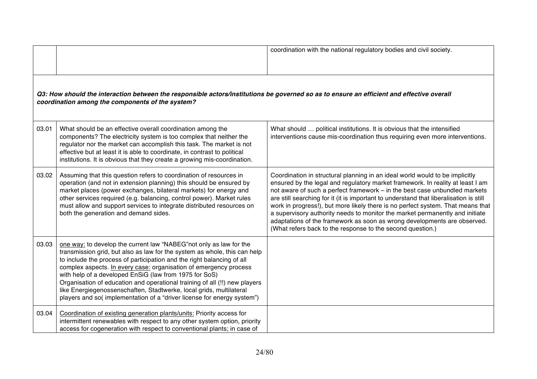|       |                                                                                                                                                                                                                                                                                                                                                                                                                                                                                                                                                                                          | coordination with the national regulatory bodies and civil society.                                                                                                                                                                                                                                                                                                                                                                                                                                                                                                                                                                                 |
|-------|------------------------------------------------------------------------------------------------------------------------------------------------------------------------------------------------------------------------------------------------------------------------------------------------------------------------------------------------------------------------------------------------------------------------------------------------------------------------------------------------------------------------------------------------------------------------------------------|-----------------------------------------------------------------------------------------------------------------------------------------------------------------------------------------------------------------------------------------------------------------------------------------------------------------------------------------------------------------------------------------------------------------------------------------------------------------------------------------------------------------------------------------------------------------------------------------------------------------------------------------------------|
|       | Q3: How should the interaction between the responsible actors/institutions be governed so as to ensure an efficient and effective overall<br>coordination among the components of the system?                                                                                                                                                                                                                                                                                                                                                                                            |                                                                                                                                                                                                                                                                                                                                                                                                                                                                                                                                                                                                                                                     |
| 03.01 | What should be an effective overall coordination among the<br>components? The electricity system is too complex that neither the<br>regulator nor the market can accomplish this task. The market is not<br>effective but at least it is able to coordinate, in contrast to political<br>institutions. It is obvious that they create a growing mis-coordination.                                                                                                                                                                                                                        | What should  political institutions. It is obvious that the intensified<br>interventions cause mis-coordination thus requiring even more interventions.                                                                                                                                                                                                                                                                                                                                                                                                                                                                                             |
| 03.02 | Assuming that this question refers to coordination of resources in<br>operation (and not in extension planning) this should be ensured by<br>market places (power exchanges, bilateral markets) for energy and<br>other services required (e.g. balancing, control power). Market rules<br>must allow and support services to integrate distributed resources on<br>both the generation and demand sides.                                                                                                                                                                                | Coordination in structural planning in an ideal world would to be implicitly<br>ensured by the legal and regulatory market framework. In reality at least I am<br>not aware of such a perfect framework - in the best case unbundled markets<br>are still searching for it (it is important to understand that liberalisation is still<br>work in progress!), but more likely there is no perfect system. That means that<br>a supervisory authority needs to monitor the market permanently and initiate<br>adaptations of the framework as soon as wrong developments are observed.<br>(What refers back to the response to the second question.) |
| 03.03 | one way: to develop the current law "NABEG" not only as law for the<br>transmission grid, but also as law for the system as whole, this can help<br>to include the process of participation and the right balancing of all<br>complex aspects. In every case: organisation of emergency process<br>with help of a developed EnSiG (law from 1975 for SoS)<br>Organisation of education and operational training of all (!!) new players<br>like Energiegenossenschaften, Stadtwerke, local grids, multilateral<br>players and so(implementation of a "driver license for energy system") |                                                                                                                                                                                                                                                                                                                                                                                                                                                                                                                                                                                                                                                     |
| 03.04 | Coordination of existing generation plants/units: Priority access for<br>intermittent renewables with respect to any other system option, priority<br>access for cogeneration with respect to conventional plants; in case of                                                                                                                                                                                                                                                                                                                                                            |                                                                                                                                                                                                                                                                                                                                                                                                                                                                                                                                                                                                                                                     |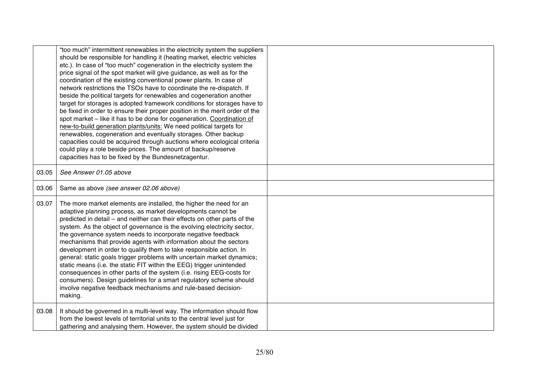|       | "too much" intermittent renewables in the electricity system the suppliers<br>should be responsible for handling it (heating market, electric vehicles<br>etc.). In case of "too much" cogeneration in the electricity system the<br>price signal of the spot market will give guidance, as well as for the<br>coordination of the existing conventional power plants. In case of<br>network restrictions the TSOs have to coordinate the re-dispatch. If<br>beside the political targets for renewables and cogeneration another<br>target for storages is adopted framework conditions for storages have to<br>be fixed in order to ensure their proper position in the merit order of the<br>spot market - like it has to be done for cogeneration. Coordination of<br>new-to-build generation plants/units: We need political targets for<br>renewables, cogeneration and eventually storages. Other backup<br>capacities could be acquired through auctions where ecological criteria<br>could play a role beside prices. The amount of backup/reserve<br>capacities has to be fixed by the Bundesnetzagentur. |  |
|-------|---------------------------------------------------------------------------------------------------------------------------------------------------------------------------------------------------------------------------------------------------------------------------------------------------------------------------------------------------------------------------------------------------------------------------------------------------------------------------------------------------------------------------------------------------------------------------------------------------------------------------------------------------------------------------------------------------------------------------------------------------------------------------------------------------------------------------------------------------------------------------------------------------------------------------------------------------------------------------------------------------------------------------------------------------------------------------------------------------------------------|--|
| 03.05 | See Answer 01.05 above                                                                                                                                                                                                                                                                                                                                                                                                                                                                                                                                                                                                                                                                                                                                                                                                                                                                                                                                                                                                                                                                                              |  |
| 03.06 | Same as above (see answer 02.06 above)                                                                                                                                                                                                                                                                                                                                                                                                                                                                                                                                                                                                                                                                                                                                                                                                                                                                                                                                                                                                                                                                              |  |
| 03.07 | The more market elements are installed, the higher the need for an<br>adaptive planning process, as market developments cannot be<br>predicted in detail – and neither can their effects on other parts of the<br>system. As the object of governance is the evolving electricity sector,<br>the governance system needs to incorporate negative feedback<br>mechanisms that provide agents with information about the sectors<br>development in order to qualify them to take responsible action. In<br>general: static goals trigger problems with uncertain market dynamics;<br>static means (i.e. the static FIT within the EEG) trigger unintended<br>consequences in other parts of the system (i.e. rising EEG-costs for<br>consumers). Design guidelines for a smart regulatory scheme should<br>involve negative feedback mechanisms and rule-based decision-<br>making.                                                                                                                                                                                                                                   |  |
| 03.08 | It should be governed in a multi-level way. The information should flow<br>from the lowest levels of territorial units to the central level just for<br>gathering and analysing them. However, the system should be divided                                                                                                                                                                                                                                                                                                                                                                                                                                                                                                                                                                                                                                                                                                                                                                                                                                                                                         |  |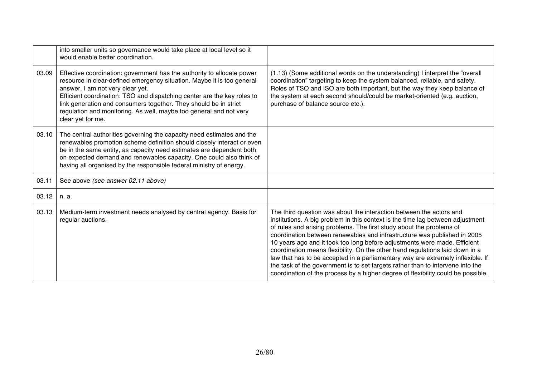|       | into smaller units so governance would take place at local level so it<br>would enable better coordination.                                                                                                                                                                                                                                                                                                                    |                                                                                                                                                                                                                                                                                                                                                                                                                                                                                                                                                                                                                                                                                                                                 |
|-------|--------------------------------------------------------------------------------------------------------------------------------------------------------------------------------------------------------------------------------------------------------------------------------------------------------------------------------------------------------------------------------------------------------------------------------|---------------------------------------------------------------------------------------------------------------------------------------------------------------------------------------------------------------------------------------------------------------------------------------------------------------------------------------------------------------------------------------------------------------------------------------------------------------------------------------------------------------------------------------------------------------------------------------------------------------------------------------------------------------------------------------------------------------------------------|
| 03.09 | Effective coordination: government has the authority to allocate power<br>resource in clear-defined emergency situation. Maybe it is too general<br>answer, I am not very clear yet.<br>Efficient coordination: TSO and dispatching center are the key roles to<br>link generation and consumers together. They should be in strict<br>regulation and monitoring. As well, maybe too general and not very<br>clear yet for me. | (1.13) (Some additional words on the understanding) I interpret the "overall<br>coordination" targeting to keep the system balanced, reliable, and safety.<br>Roles of TSO and ISO are both important, but the way they keep balance of<br>the system at each second should/could be market-oriented (e.g. auction,<br>purchase of balance source etc.).                                                                                                                                                                                                                                                                                                                                                                        |
| 03.10 | The central authorities governing the capacity need estimates and the<br>renewables promotion scheme definition should closely interact or even<br>be in the same entity, as capacity need estimates are dependent both<br>on expected demand and renewables capacity. One could also think of<br>having all organised by the responsible federal ministry of energy.                                                          |                                                                                                                                                                                                                                                                                                                                                                                                                                                                                                                                                                                                                                                                                                                                 |
| 03.11 | See above (see answer 02.11 above)                                                                                                                                                                                                                                                                                                                                                                                             |                                                                                                                                                                                                                                                                                                                                                                                                                                                                                                                                                                                                                                                                                                                                 |
| 03.12 | n. a.                                                                                                                                                                                                                                                                                                                                                                                                                          |                                                                                                                                                                                                                                                                                                                                                                                                                                                                                                                                                                                                                                                                                                                                 |
| 03.13 | Medium-term investment needs analysed by central agency. Basis for<br>regular auctions.                                                                                                                                                                                                                                                                                                                                        | The third question was about the interaction between the actors and<br>institutions. A big problem in this context is the time lag between adjustment<br>of rules and arising problems. The first study about the problems of<br>coordination between renewables and infrastructure was published in 2005<br>10 years ago and it took too long before adjustments were made. Efficient<br>coordination means flexibility. On the other hand regulations laid down in a<br>law that has to be accepted in a parliamentary way are extremely inflexible. If<br>the task of the government is to set targets rather than to intervene into the<br>coordination of the process by a higher degree of flexibility could be possible. |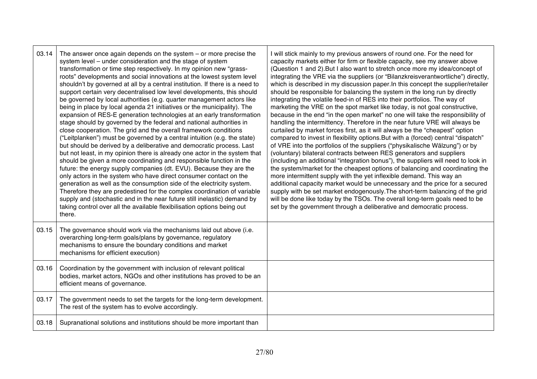| 03.14 | The answer once again depends on the system $-$ or more precise the<br>system level - under consideration and the stage of system<br>transformation or time step respectively. In my opinion new "grass-<br>roots" developments and social innovations at the lowest system level<br>shouldn't by governed at all by a central institution. If there is a need to<br>support certain very decentralised low level developments, this should<br>be governed by local authorities (e.g. quarter management actors like<br>being in place by local agenda 21 initiatives or the municipality). The<br>expansion of RES-E generation technologies at an early transformation<br>stage should by governed by the federal and national authorities in<br>close cooperation. The grid and the overall framework conditions<br>("Leitplanken") must be governed by a central intuition (e.g. the state)<br>but should be derived by a deliberative and democratic process. Last<br>but not least, in my opinion there is already one actor in the system that<br>should be given a more coordinating and responsible function in the<br>future: the energy supply companies (dt. EVU). Because they are the<br>only actors in the system who have direct consumer contact on the<br>generation as well as the consumption side of the electricity system.<br>Therefore they are predestined for the complex coordination of variable<br>supply and (stochastic and in the near future still inelastic) demand by<br>taking control over all the available flexibilisation options being out<br>there. | I will stick mainly to my previous answers of round one. For the need for<br>capacity markets either for firm or flexible capacity, see my answer above<br>(Question 1 and 2). But I also want to stretch once more my idea/concept of<br>integrating the VRE via the suppliers (or "Bilanzkreisverantwortliche") directly,<br>which is described in my discussion paper. In this concept the supplier/retailer<br>should be responsible for balancing the system in the long run by directly<br>integrating the volatile feed-in of RES into their portfolios. The way of<br>marketing the VRE on the spot market like today, is not goal constructive,<br>because in the end "in the open market" no one will take the responsibility of<br>handling the intermittency. Therefore in the near future VRE will always be<br>curtailed by market forces first, as it will always be the "cheapest" option<br>compared to invest in flexibility options. But with a (forced) central "dispatch"<br>of VRE into the portfolios of the suppliers ("physikalische Wälzung") or by<br>(voluntary) bilateral contracts between RES generators and suppliers<br>(including an additional "integration bonus"), the suppliers will need to look in<br>the system/market for the cheapest options of balancing and coordinating the<br>more intermittent supply with the yet inflexible demand. This way an<br>additional capacity market would be unnecessary and the price for a secured<br>supply with be set market endogenously. The short-term balancing of the grid<br>will be done like today by the TSOs. The overall long-term goals need to be<br>set by the government through a deliberative and democratic process. |
|-------|-----------------------------------------------------------------------------------------------------------------------------------------------------------------------------------------------------------------------------------------------------------------------------------------------------------------------------------------------------------------------------------------------------------------------------------------------------------------------------------------------------------------------------------------------------------------------------------------------------------------------------------------------------------------------------------------------------------------------------------------------------------------------------------------------------------------------------------------------------------------------------------------------------------------------------------------------------------------------------------------------------------------------------------------------------------------------------------------------------------------------------------------------------------------------------------------------------------------------------------------------------------------------------------------------------------------------------------------------------------------------------------------------------------------------------------------------------------------------------------------------------------------------------------------------------------------------------------------------|--------------------------------------------------------------------------------------------------------------------------------------------------------------------------------------------------------------------------------------------------------------------------------------------------------------------------------------------------------------------------------------------------------------------------------------------------------------------------------------------------------------------------------------------------------------------------------------------------------------------------------------------------------------------------------------------------------------------------------------------------------------------------------------------------------------------------------------------------------------------------------------------------------------------------------------------------------------------------------------------------------------------------------------------------------------------------------------------------------------------------------------------------------------------------------------------------------------------------------------------------------------------------------------------------------------------------------------------------------------------------------------------------------------------------------------------------------------------------------------------------------------------------------------------------------------------------------------------------------------------------------------------------------------------------------------------------------------------------|
| 03.15 | The governance should work via the mechanisms laid out above (i.e.<br>overarching long-term goals/plans by governance, regulatory<br>mechanisms to ensure the boundary conditions and market<br>mechanisms for efficient execution)                                                                                                                                                                                                                                                                                                                                                                                                                                                                                                                                                                                                                                                                                                                                                                                                                                                                                                                                                                                                                                                                                                                                                                                                                                                                                                                                                           |                                                                                                                                                                                                                                                                                                                                                                                                                                                                                                                                                                                                                                                                                                                                                                                                                                                                                                                                                                                                                                                                                                                                                                                                                                                                                                                                                                                                                                                                                                                                                                                                                                                                                                                          |
| 03.16 | Coordination by the government with inclusion of relevant political<br>bodies, market actors, NGOs and other institutions has proved to be an<br>efficient means of governance.                                                                                                                                                                                                                                                                                                                                                                                                                                                                                                                                                                                                                                                                                                                                                                                                                                                                                                                                                                                                                                                                                                                                                                                                                                                                                                                                                                                                               |                                                                                                                                                                                                                                                                                                                                                                                                                                                                                                                                                                                                                                                                                                                                                                                                                                                                                                                                                                                                                                                                                                                                                                                                                                                                                                                                                                                                                                                                                                                                                                                                                                                                                                                          |
| 03.17 | The government needs to set the targets for the long-term development.<br>The rest of the system has to evolve accordingly.                                                                                                                                                                                                                                                                                                                                                                                                                                                                                                                                                                                                                                                                                                                                                                                                                                                                                                                                                                                                                                                                                                                                                                                                                                                                                                                                                                                                                                                                   |                                                                                                                                                                                                                                                                                                                                                                                                                                                                                                                                                                                                                                                                                                                                                                                                                                                                                                                                                                                                                                                                                                                                                                                                                                                                                                                                                                                                                                                                                                                                                                                                                                                                                                                          |
| 03.18 | Supranational solutions and institutions should be more important than                                                                                                                                                                                                                                                                                                                                                                                                                                                                                                                                                                                                                                                                                                                                                                                                                                                                                                                                                                                                                                                                                                                                                                                                                                                                                                                                                                                                                                                                                                                        |                                                                                                                                                                                                                                                                                                                                                                                                                                                                                                                                                                                                                                                                                                                                                                                                                                                                                                                                                                                                                                                                                                                                                                                                                                                                                                                                                                                                                                                                                                                                                                                                                                                                                                                          |

┯

 $\Gamma$ 

۳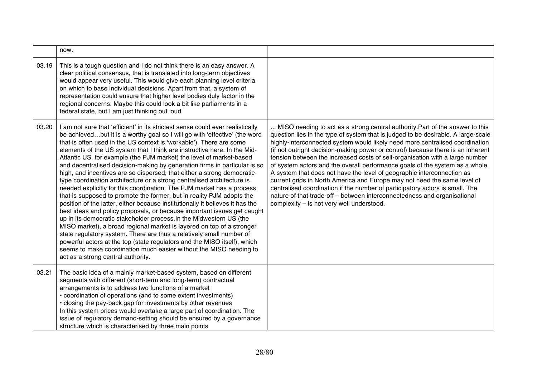|       | now.                                                                                                                                                                                                                                                                                                                                                                                                                                                                                                                                                                                                                                                                                                                                                                                                                                                                                                                                                                                                                                                                                                                                                                                                                                                                                                                                                   |                                                                                                                                                                                                                                                                                                                                                                                                                                                                                                                                                                                                                                                                                                                                                                                                                                                                      |
|-------|--------------------------------------------------------------------------------------------------------------------------------------------------------------------------------------------------------------------------------------------------------------------------------------------------------------------------------------------------------------------------------------------------------------------------------------------------------------------------------------------------------------------------------------------------------------------------------------------------------------------------------------------------------------------------------------------------------------------------------------------------------------------------------------------------------------------------------------------------------------------------------------------------------------------------------------------------------------------------------------------------------------------------------------------------------------------------------------------------------------------------------------------------------------------------------------------------------------------------------------------------------------------------------------------------------------------------------------------------------|----------------------------------------------------------------------------------------------------------------------------------------------------------------------------------------------------------------------------------------------------------------------------------------------------------------------------------------------------------------------------------------------------------------------------------------------------------------------------------------------------------------------------------------------------------------------------------------------------------------------------------------------------------------------------------------------------------------------------------------------------------------------------------------------------------------------------------------------------------------------|
| 03.19 | This is a tough question and I do not think there is an easy answer. A<br>clear political consensus, that is translated into long-term objectives<br>would appear very useful. This would give each planning level criteria<br>on which to base individual decisions. Apart from that, a system of<br>representation could ensure that higher level bodies duly factor in the<br>regional concerns. Maybe this could look a bit like parliaments in a<br>federal state, but I am just thinking out loud.                                                                                                                                                                                                                                                                                                                                                                                                                                                                                                                                                                                                                                                                                                                                                                                                                                               |                                                                                                                                                                                                                                                                                                                                                                                                                                                                                                                                                                                                                                                                                                                                                                                                                                                                      |
| 03.20 | I am not sure that 'efficient' in its strictest sense could ever realistically<br>be achievedbut it is a worthy goal so I will go with 'effective' (the word<br>that is often used in the US context is 'workable'). There are some<br>elements of the US system that I think are instructive here. In the Mid-<br>Atlantic US, for example (the PJM market) the level of market-based<br>and decentralised decision-making by generation firms in particular is so<br>high, and incentives are so dispersed, that either a strong democratic-<br>type coordination architecture or a strong centralised architecture is<br>needed explicitly for this coordination. The PJM market has a process<br>that is supposed to promote the former, but in reality PJM adopts the<br>position of the latter, either because institutionally it believes it has the<br>best ideas and policy proposals, or because important issues get caught<br>up in its democratic stakeholder process. In the Midwestern US (the<br>MISO market), a broad regional market is layered on top of a stronger<br>state regulatory system. There are thus a relatively small number of<br>powerful actors at the top (state regulators and the MISO itself), which<br>seems to make coordination much easier without the MISO needing to<br>act as a strong central authority. | MISO needing to act as a strong central authority. Part of the answer to this<br>question lies in the type of system that is judged to be desirable. A large-scale<br>highly-interconnected system would likely need more centralised coordination<br>(if not outright decision-making power or control) because there is an inherent<br>tension between the increased costs of self-organisation with a large number<br>of system actors and the overall performance goals of the system as a whole.<br>A system that does not have the level of geographic interconnection as<br>current grids in North America and Europe may not need the same level of<br>centralised coordination if the number of participatory actors is small. The<br>nature of that trade-off - between interconnectedness and organisational<br>complexity - is not very well understood. |
| 03.21 | The basic idea of a mainly market-based system, based on different<br>segments with different (short-term and long-term) contractual<br>arrangements is to address two functions of a market<br>• coordination of operations (and to some extent investments)<br>• closing the pay-back gap for investments by other revenues<br>In this system prices would overtake a large part of coordination. The<br>issue of regulatory demand-setting should be ensured by a governance<br>structure which is characterised by three main points                                                                                                                                                                                                                                                                                                                                                                                                                                                                                                                                                                                                                                                                                                                                                                                                               |                                                                                                                                                                                                                                                                                                                                                                                                                                                                                                                                                                                                                                                                                                                                                                                                                                                                      |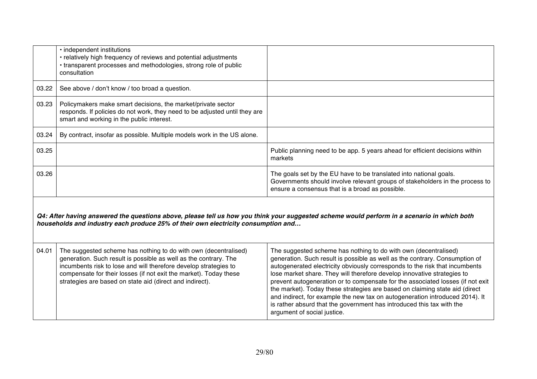|                                                                                                                                                                                                                                  | • independent institutions<br>• relatively high frequency of reviews and potential adjustments<br>• transparent processes and methodologies, strong role of public<br>consultation                                                                                                                                                       |                                                                                                                                                                                                                                                                                                                                                                                                                                                                                                                                                                                                                                    |
|----------------------------------------------------------------------------------------------------------------------------------------------------------------------------------------------------------------------------------|------------------------------------------------------------------------------------------------------------------------------------------------------------------------------------------------------------------------------------------------------------------------------------------------------------------------------------------|------------------------------------------------------------------------------------------------------------------------------------------------------------------------------------------------------------------------------------------------------------------------------------------------------------------------------------------------------------------------------------------------------------------------------------------------------------------------------------------------------------------------------------------------------------------------------------------------------------------------------------|
| 03.22                                                                                                                                                                                                                            | See above / don't know / too broad a question.                                                                                                                                                                                                                                                                                           |                                                                                                                                                                                                                                                                                                                                                                                                                                                                                                                                                                                                                                    |
| 03.23                                                                                                                                                                                                                            | Policymakers make smart decisions, the market/private sector<br>responds. If policies do not work, they need to be adjusted until they are<br>smart and working in the public interest.                                                                                                                                                  |                                                                                                                                                                                                                                                                                                                                                                                                                                                                                                                                                                                                                                    |
| 03.24                                                                                                                                                                                                                            | By contract, insofar as possible. Multiple models work in the US alone.                                                                                                                                                                                                                                                                  |                                                                                                                                                                                                                                                                                                                                                                                                                                                                                                                                                                                                                                    |
| 03.25                                                                                                                                                                                                                            |                                                                                                                                                                                                                                                                                                                                          | Public planning need to be app. 5 years ahead for efficient decisions within<br>markets                                                                                                                                                                                                                                                                                                                                                                                                                                                                                                                                            |
| 03.26                                                                                                                                                                                                                            |                                                                                                                                                                                                                                                                                                                                          | The goals set by the EU have to be translated into national goals.<br>Governments should involve relevant groups of stakeholders in the process to<br>ensure a consensus that is a broad as possible.                                                                                                                                                                                                                                                                                                                                                                                                                              |
| Q4: After having answered the questions above, please tell us how you think your suggested scheme would perform in a scenario in which both<br>households and industry each produce 25% of their own electricity consumption and |                                                                                                                                                                                                                                                                                                                                          |                                                                                                                                                                                                                                                                                                                                                                                                                                                                                                                                                                                                                                    |
| 04.01                                                                                                                                                                                                                            | The suggested scheme has nothing to do with own (decentralised)<br>generation. Such result is possible as well as the contrary. The<br>incumbents risk to lose and will therefore develop strategies to<br>compensate for their losses (if not exit the market). Today these<br>strategies are based on state aid (direct and indirect). | The suggested scheme has nothing to do with own (decentralised)<br>generation. Such result is possible as well as the contrary. Consumption of<br>autogenerated electricity obviously corresponds to the risk that incumbents<br>lose market share. They will therefore develop innovative strategies to<br>prevent autogeneration or to compensate for the associated losses (if not exit<br>the market). Today these strategies are based on claiming state aid (direct<br>and indirect, for example the new tax on autogeneration introduced 2014). It<br>is rather absurd that the government has introduced this tax with the |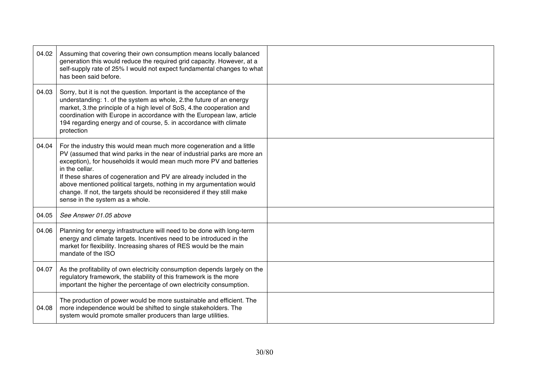| 04.02 | Assuming that covering their own consumption means locally balanced<br>generation this would reduce the required grid capacity. However, at a<br>self-supply rate of 25% I would not expect fundamental changes to what<br>has been said before.                                                                                                                                                                                                                                                   |  |
|-------|----------------------------------------------------------------------------------------------------------------------------------------------------------------------------------------------------------------------------------------------------------------------------------------------------------------------------------------------------------------------------------------------------------------------------------------------------------------------------------------------------|--|
| 04.03 | Sorry, but it is not the question. Important is the acceptance of the<br>understanding: 1. of the system as whole, 2.the future of an energy<br>market, 3.the principle of a high level of SoS, 4.the cooperation and<br>coordination with Europe in accordance with the European law, article<br>194 regarding energy and of course, 5. in accordance with climate<br>protection                                                                                                                  |  |
| 04.04 | For the industry this would mean much more cogeneration and a little<br>PV (assumed that wind parks in the near of industrial parks are more an<br>exception), for households it would mean much more PV and batteries<br>in the cellar.<br>If these shares of cogeneration and PV are already included in the<br>above mentioned political targets, nothing in my argumentation would<br>change. If not, the targets should be reconsidered if they still make<br>sense in the system as a whole. |  |
| 04.05 | See Answer 01.05 above                                                                                                                                                                                                                                                                                                                                                                                                                                                                             |  |
| 04.06 | Planning for energy infrastructure will need to be done with long-term<br>energy and climate targets. Incentives need to be introduced in the<br>market for flexibility. Increasing shares of RES would be the main<br>mandate of the ISO                                                                                                                                                                                                                                                          |  |
| 04.07 | As the profitability of own electricity consumption depends largely on the<br>regulatory framework, the stability of this framework is the more<br>important the higher the percentage of own electricity consumption.                                                                                                                                                                                                                                                                             |  |
| 04.08 | The production of power would be more sustainable and efficient. The<br>more independence would be shifted to single stakeholders. The<br>system would promote smaller producers than large utilities.                                                                                                                                                                                                                                                                                             |  |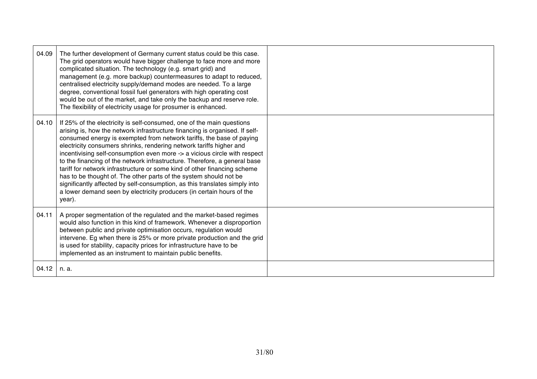| 04.09 | The further development of Germany current status could be this case.<br>The grid operators would have bigger challenge to face more and more<br>complicated situation. The technology (e.g. smart grid) and<br>management (e.g. more backup) countermeasures to adapt to reduced,<br>centralised electricity supply/demand modes are needed. To a large<br>degree, conventional fossil fuel generators with high operating cost<br>would be out of the market, and take only the backup and reserve role.<br>The flexibility of electricity usage for prosumer is enhanced.                                                                                                                                                                                                    |  |
|-------|---------------------------------------------------------------------------------------------------------------------------------------------------------------------------------------------------------------------------------------------------------------------------------------------------------------------------------------------------------------------------------------------------------------------------------------------------------------------------------------------------------------------------------------------------------------------------------------------------------------------------------------------------------------------------------------------------------------------------------------------------------------------------------|--|
| 04.10 | If 25% of the electricity is self-consumed, one of the main questions<br>arising is, how the network infrastructure financing is organised. If self-<br>consumed energy is exempted from network tariffs, the base of paying<br>electricity consumers shrinks, rendering network tariffs higher and<br>incentivising self-consumption even more -> a vicious circle with respect<br>to the financing of the network infrastructure. Therefore, a general base<br>tariff for network infrastructure or some kind of other financing scheme<br>has to be thought of. The other parts of the system should not be<br>significantly affected by self-consumption, as this translates simply into<br>a lower demand seen by electricity producers (in certain hours of the<br>year). |  |
| 04.11 | A proper segmentation of the regulated and the market-based regimes<br>would also function in this kind of framework. Whenever a disproportion<br>between public and private optimisation occurs, regulation would<br>intervene. Eg when there is 25% or more private production and the grid<br>is used for stability, capacity prices for infrastructure have to be<br>implemented as an instrument to maintain public benefits.                                                                                                                                                                                                                                                                                                                                              |  |
| 04.12 | n. a.                                                                                                                                                                                                                                                                                                                                                                                                                                                                                                                                                                                                                                                                                                                                                                           |  |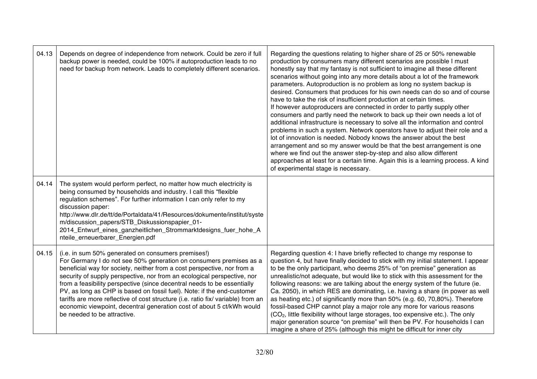| 04.13 | Depends on degree of independence from network. Could be zero if full<br>backup power is needed, could be 100% if autoproduction leads to no<br>need for backup from network. Leads to completely different scenarios.                                                                                                                                                                                                                                                                                                                                                                                                          | Regarding the questions relating to higher share of 25 or 50% renewable<br>production by consumers many different scenarios are possible I must<br>honestly say that my fantasy is not sufficient to imagine all these different<br>scenarios without going into any more details about a lot of the framework<br>parameters. Autoproduction is no problem as long no system backup is<br>desired. Consumers that produces for his own needs can do so and of course<br>have to take the risk of insufficient production at certain times.<br>If however autoproducers are connected in order to partly supply other<br>consumers and partly need the network to back up their own needs a lot of<br>additional infrastructure is necessary to solve all the information and control<br>problems in such a system. Network operators have to adjust their role and a<br>lot of innovation is needed. Nobody knows the answer about the best<br>arrangement and so my answer would be that the best arrangement is one<br>where we find out the answer step-by-step and also allow different<br>approaches at least for a certain time. Again this is a learning process. A kind<br>of experimental stage is necessary. |
|-------|---------------------------------------------------------------------------------------------------------------------------------------------------------------------------------------------------------------------------------------------------------------------------------------------------------------------------------------------------------------------------------------------------------------------------------------------------------------------------------------------------------------------------------------------------------------------------------------------------------------------------------|------------------------------------------------------------------------------------------------------------------------------------------------------------------------------------------------------------------------------------------------------------------------------------------------------------------------------------------------------------------------------------------------------------------------------------------------------------------------------------------------------------------------------------------------------------------------------------------------------------------------------------------------------------------------------------------------------------------------------------------------------------------------------------------------------------------------------------------------------------------------------------------------------------------------------------------------------------------------------------------------------------------------------------------------------------------------------------------------------------------------------------------------------------------------------------------------------------------------|
| 04.14 | The system would perform perfect, no matter how much electricity is<br>being consumed by households and industry. I call this "flexible<br>regulation schemes". For further information I can only refer to my<br>discussion paper:<br>http://www.dlr.de/tt/de/Portaldata/41/Resources/dokumente/institut/syste<br>m/discussion_papers/STB_Diskussionspapier_01-<br>2014_Entwurf_eines_ganzheitlichen_Strommarktdesigns_fuer_hohe_A<br>nteile_erneuerbarer_Energien.pdf                                                                                                                                                         |                                                                                                                                                                                                                                                                                                                                                                                                                                                                                                                                                                                                                                                                                                                                                                                                                                                                                                                                                                                                                                                                                                                                                                                                                        |
| 04.15 | (i.e. in sum 50% generated on consumers premises!)<br>For Germany I do not see 50% generation on consumers premises as a<br>beneficial way for society, neither from a cost perspective, nor from a<br>security of supply perspective, nor from an ecological perspective, nor<br>from a feasibility perspective (since decentral needs to be essentially<br>PV, as long as CHP is based on fossil fuel). Note: if the end-customer<br>tariffs are more reflective of cost structure (i.e. ratio fix/ variable) from an<br>economic viewpoint, decentral generation cost of about 5 ct/kWh would<br>be needed to be attractive. | Regarding question 4: I have briefly reflected to change my response to<br>question 4, but have finally decided to stick with my initial statement. I appear<br>to be the only participant, who deems 25% of "on premise" generation as<br>unrealistic/not adequate, but would like to stick with this assessment for the<br>following reasons: we are talking about the energy system of the future (ie.<br>Ca. 2050), in which RES are dominating, i.e. having a share (in power as well<br>as heating etc.) of significantly more than 50% (e.g. 60, 70,80%). Therefore<br>fossil-based CHP cannot play a major role any more for various reasons<br>(CO <sub>2</sub> , little flexibility without large storages, too expensive etc.). The only<br>major generation source "on premise" will then be PV. For households I can<br>imagine a share of 25% (although this might be difficult for inner city                                                                                                                                                                                                                                                                                                           |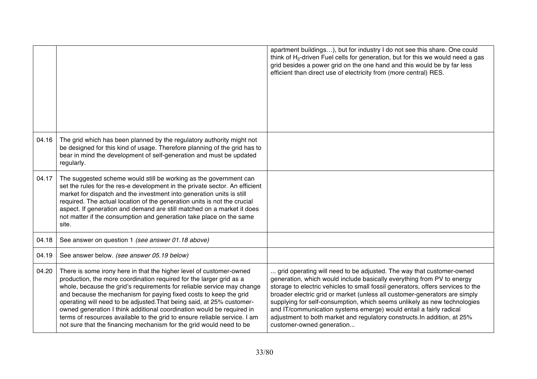|       |                                                                                                                                                                                                                                                                                                                                                                                                                                                                                                                                                                                                 | apartment buildings), but for industry I do not see this share. One could<br>think of H <sub>2</sub> -driven Fuel cells for generation, but for this we would need a gas<br>grid besides a power grid on the one hand and this would be by far less<br>efficient than direct use of electricity from (more central) RES.                                                                                                                                                                                                                                                   |
|-------|-------------------------------------------------------------------------------------------------------------------------------------------------------------------------------------------------------------------------------------------------------------------------------------------------------------------------------------------------------------------------------------------------------------------------------------------------------------------------------------------------------------------------------------------------------------------------------------------------|----------------------------------------------------------------------------------------------------------------------------------------------------------------------------------------------------------------------------------------------------------------------------------------------------------------------------------------------------------------------------------------------------------------------------------------------------------------------------------------------------------------------------------------------------------------------------|
| 04.16 | The grid which has been planned by the regulatory authority might not<br>be designed for this kind of usage. Therefore planning of the grid has to<br>bear in mind the development of self-generation and must be updated<br>regularly.                                                                                                                                                                                                                                                                                                                                                         |                                                                                                                                                                                                                                                                                                                                                                                                                                                                                                                                                                            |
| 04.17 | The suggested scheme would still be working as the government can<br>set the rules for the res-e development in the private sector. An efficient<br>market for dispatch and the investment into generation units is still<br>required. The actual location of the generation units is not the crucial<br>aspect. If generation and demand are still matched on a market it does<br>not matter if the consumption and generation take place on the same<br>site.                                                                                                                                 |                                                                                                                                                                                                                                                                                                                                                                                                                                                                                                                                                                            |
| 04.18 | See answer on question 1 (see answer 01.18 above)                                                                                                                                                                                                                                                                                                                                                                                                                                                                                                                                               |                                                                                                                                                                                                                                                                                                                                                                                                                                                                                                                                                                            |
| 04.19 | See answer below. (see answer 05.19 below)                                                                                                                                                                                                                                                                                                                                                                                                                                                                                                                                                      |                                                                                                                                                                                                                                                                                                                                                                                                                                                                                                                                                                            |
| 04.20 | There is some irony here in that the higher level of customer-owned<br>production, the more coordination required for the larger grid as a<br>whole, because the grid's requirements for reliable service may change<br>and because the mechanism for paying fixed costs to keep the grid<br>operating will need to be adjusted. That being said, at 25% customer-<br>owned generation I think additional coordination would be required in<br>terms of resources available to the grid to ensure reliable service. I am<br>not sure that the financing mechanism for the grid would need to be | grid operating will need to be adjusted. The way that customer-owned<br>generation, which would include basically everything from PV to energy<br>storage to electric vehicles to small fossil generators, offers services to the<br>broader electric grid or market (unless all customer-generators are simply<br>supplying for self-consumption, which seems unlikely as new technologies<br>and IT/communication systems emerge) would entail a fairly radical<br>adjustment to both market and regulatory constructs. In addition, at 25%<br>customer-owned generation |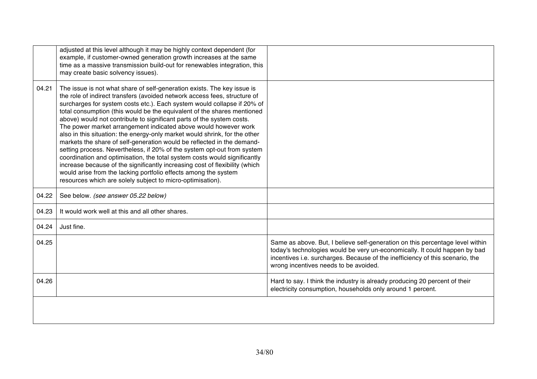|       | adjusted at this level although it may be highly context dependent (for<br>example, if customer-owned generation growth increases at the same<br>time as a massive transmission build-out for renewables integration, this<br>may create basic solvency issues).                                                                                                                                                                                                                                                                                                                                                                                                                                                                                                                                                                                                                                                                                                                       |                                                                                                                                                                                                                                                                                       |
|-------|----------------------------------------------------------------------------------------------------------------------------------------------------------------------------------------------------------------------------------------------------------------------------------------------------------------------------------------------------------------------------------------------------------------------------------------------------------------------------------------------------------------------------------------------------------------------------------------------------------------------------------------------------------------------------------------------------------------------------------------------------------------------------------------------------------------------------------------------------------------------------------------------------------------------------------------------------------------------------------------|---------------------------------------------------------------------------------------------------------------------------------------------------------------------------------------------------------------------------------------------------------------------------------------|
| 04.21 | The issue is not what share of self-generation exists. The key issue is<br>the role of indirect transfers (avoided network access fees, structure of<br>surcharges for system costs etc.). Each system would collapse if 20% of<br>total consumption (this would be the equivalent of the shares mentioned<br>above) would not contribute to significant parts of the system costs.<br>The power market arrangement indicated above would however work<br>also in this situation: the energy-only market would shrink, for the other<br>markets the share of self-generation would be reflected in the demand-<br>setting process. Nevertheless, if 20% of the system opt-out from system<br>coordination and optimisation, the total system costs would significantly<br>increase because of the significantly increasing cost of flexibility (which<br>would arise from the lacking portfolio effects among the system<br>resources which are solely subject to micro-optimisation). |                                                                                                                                                                                                                                                                                       |
| 04.22 | See below. (see answer 05.22 below)                                                                                                                                                                                                                                                                                                                                                                                                                                                                                                                                                                                                                                                                                                                                                                                                                                                                                                                                                    |                                                                                                                                                                                                                                                                                       |
| 04.23 | It would work well at this and all other shares.                                                                                                                                                                                                                                                                                                                                                                                                                                                                                                                                                                                                                                                                                                                                                                                                                                                                                                                                       |                                                                                                                                                                                                                                                                                       |
| 04.24 | Just fine.                                                                                                                                                                                                                                                                                                                                                                                                                                                                                                                                                                                                                                                                                                                                                                                                                                                                                                                                                                             |                                                                                                                                                                                                                                                                                       |
| 04.25 |                                                                                                                                                                                                                                                                                                                                                                                                                                                                                                                                                                                                                                                                                                                                                                                                                                                                                                                                                                                        | Same as above. But, I believe self-generation on this percentage level within<br>today's technologies would be very un-economically. It could happen by bad<br>incentives i.e. surcharges. Because of the inefficiency of this scenario, the<br>wrong incentives needs to be avoided. |
| 04.26 |                                                                                                                                                                                                                                                                                                                                                                                                                                                                                                                                                                                                                                                                                                                                                                                                                                                                                                                                                                                        | Hard to say. I think the industry is already producing 20 percent of their<br>electricity consumption, households only around 1 percent.                                                                                                                                              |
|       |                                                                                                                                                                                                                                                                                                                                                                                                                                                                                                                                                                                                                                                                                                                                                                                                                                                                                                                                                                                        |                                                                                                                                                                                                                                                                                       |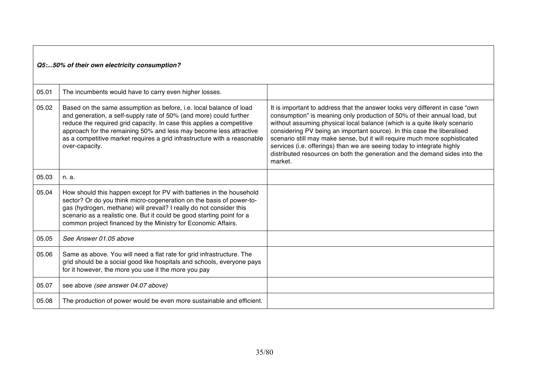#### *Q5:...50% of their own electricity consumption?*

| 05.01 | The incumbents would have to carry even higher losses.                                                                                                                                                                                                                                                                                                                                |                                                                                                                                                                                                                                                                                                                                                                                                                                                                                                                                                                   |
|-------|---------------------------------------------------------------------------------------------------------------------------------------------------------------------------------------------------------------------------------------------------------------------------------------------------------------------------------------------------------------------------------------|-------------------------------------------------------------------------------------------------------------------------------------------------------------------------------------------------------------------------------------------------------------------------------------------------------------------------------------------------------------------------------------------------------------------------------------------------------------------------------------------------------------------------------------------------------------------|
| 05.02 | Based on the same assumption as before, i.e. local balance of load<br>and generation, a self-supply rate of 50% (and more) could further<br>reduce the required grid capacity. In case this applies a competitive<br>approach for the remaining 50% and less may become less attractive<br>as a competitive market requires a grid infrastructure with a reasonable<br>over-capacity. | It is important to address that the answer looks very different in case "own<br>consumption" is meaning only production of 50% of their annual load, but<br>without assuming physical local balance (which is a quite likely scenario<br>considering PV being an important source). In this case the liberalised<br>scenario still may make sense, but it will require much more sophisticated<br>services (i.e. offerings) than we are seeing today to integrate highly<br>distributed resources on both the generation and the demand sides into the<br>market. |
| 05.03 | n. a.                                                                                                                                                                                                                                                                                                                                                                                 |                                                                                                                                                                                                                                                                                                                                                                                                                                                                                                                                                                   |
| 05.04 | How should this happen except for PV with batteries in the household<br>sector? Or do you think micro-cogeneration on the basis of power-to-<br>gas (hydrogen, methane) will prevail? I really do not consider this<br>scenario as a realistic one. But it could be good starting point for a<br>common project financed by the Ministry for Economic Affairs.                        |                                                                                                                                                                                                                                                                                                                                                                                                                                                                                                                                                                   |
| 05.05 | See Answer 01.05 above                                                                                                                                                                                                                                                                                                                                                                |                                                                                                                                                                                                                                                                                                                                                                                                                                                                                                                                                                   |
| 05.06 | Same as above. You will need a flat rate for grid infrastructure. The<br>grid should be a social good like hospitals and schools, everyone pays<br>for it however, the more you use it the more you pay                                                                                                                                                                               |                                                                                                                                                                                                                                                                                                                                                                                                                                                                                                                                                                   |
| 05.07 | see above (see answer 04.07 above)                                                                                                                                                                                                                                                                                                                                                    |                                                                                                                                                                                                                                                                                                                                                                                                                                                                                                                                                                   |
| 05.08 | The production of power would be even more sustainable and efficient.                                                                                                                                                                                                                                                                                                                 |                                                                                                                                                                                                                                                                                                                                                                                                                                                                                                                                                                   |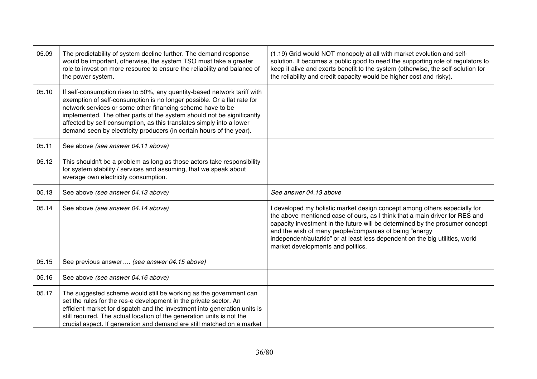| 05.09 | The predictability of system decline further. The demand response<br>would be important, otherwise, the system TSO must take a greater<br>role to invest on more resource to ensure the reliability and balance of<br>the power system.                                                                                                                                                                                                     | (1.19) Grid would NOT monopoly at all with market evolution and self-<br>solution. It becomes a public good to need the supporting role of regulators to<br>keep it alive and exerts benefit to the system (otherwise, the self-solution for<br>the reliability and credit capacity would be higher cost and risky).                                                                                                  |
|-------|---------------------------------------------------------------------------------------------------------------------------------------------------------------------------------------------------------------------------------------------------------------------------------------------------------------------------------------------------------------------------------------------------------------------------------------------|-----------------------------------------------------------------------------------------------------------------------------------------------------------------------------------------------------------------------------------------------------------------------------------------------------------------------------------------------------------------------------------------------------------------------|
| 05.10 | If self-consumption rises to 50%, any quantity-based network tariff with<br>exemption of self-consumption is no longer possible. Or a flat rate for<br>network services or some other financing scheme have to be<br>implemented. The other parts of the system should not be significantly<br>affected by self-consumption, as this translates simply into a lower<br>demand seen by electricity producers (in certain hours of the year). |                                                                                                                                                                                                                                                                                                                                                                                                                       |
| 05.11 | See above (see answer 04.11 above)                                                                                                                                                                                                                                                                                                                                                                                                          |                                                                                                                                                                                                                                                                                                                                                                                                                       |
| 05.12 | This shouldn't be a problem as long as those actors take responsibility<br>for system stability / services and assuming, that we speak about<br>average own electricity consumption.                                                                                                                                                                                                                                                        |                                                                                                                                                                                                                                                                                                                                                                                                                       |
| 05.13 | See above (see answer 04.13 above)                                                                                                                                                                                                                                                                                                                                                                                                          | See answer 04.13 above                                                                                                                                                                                                                                                                                                                                                                                                |
| 05.14 | See above (see answer 04.14 above)                                                                                                                                                                                                                                                                                                                                                                                                          | developed my holistic market design concept among others especially for<br>the above mentioned case of ours, as I think that a main driver for RES and<br>capacity investment in the future will be determined by the prosumer concept<br>and the wish of many people/companies of being "energy<br>independent/autarkic" or at least less dependent on the big utilities, world<br>market developments and politics. |
| 05.15 | See previous answer (see answer 04.15 above)                                                                                                                                                                                                                                                                                                                                                                                                |                                                                                                                                                                                                                                                                                                                                                                                                                       |
| 05.16 | See above (see answer 04.16 above)                                                                                                                                                                                                                                                                                                                                                                                                          |                                                                                                                                                                                                                                                                                                                                                                                                                       |
| 05.17 | The suggested scheme would still be working as the government can<br>set the rules for the res-e development in the private sector. An<br>efficient market for dispatch and the investment into generation units is<br>still required. The actual location of the generation units is not the<br>crucial aspect. If generation and demand are still matched on a market                                                                     |                                                                                                                                                                                                                                                                                                                                                                                                                       |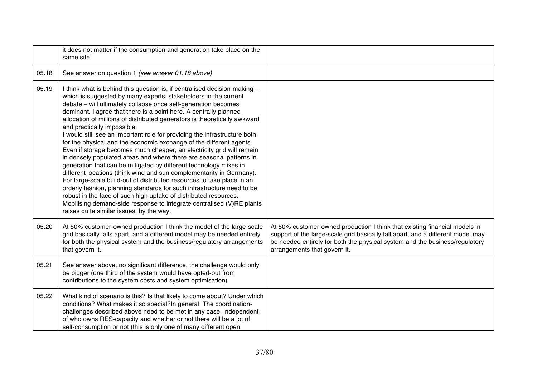|       | it does not matter if the consumption and generation take place on the<br>same site.                                                                                                                                                                                                                                                                                                                                                                                                                                                                                                                                                                                                                                                                                                                                                                                                                                                                                                                                                                                                                                                                                                          |                                                                                                                                                                                                                                                                              |
|-------|-----------------------------------------------------------------------------------------------------------------------------------------------------------------------------------------------------------------------------------------------------------------------------------------------------------------------------------------------------------------------------------------------------------------------------------------------------------------------------------------------------------------------------------------------------------------------------------------------------------------------------------------------------------------------------------------------------------------------------------------------------------------------------------------------------------------------------------------------------------------------------------------------------------------------------------------------------------------------------------------------------------------------------------------------------------------------------------------------------------------------------------------------------------------------------------------------|------------------------------------------------------------------------------------------------------------------------------------------------------------------------------------------------------------------------------------------------------------------------------|
| 05.18 | See answer on question 1 (see answer 01.18 above)                                                                                                                                                                                                                                                                                                                                                                                                                                                                                                                                                                                                                                                                                                                                                                                                                                                                                                                                                                                                                                                                                                                                             |                                                                                                                                                                                                                                                                              |
| 05.19 | I think what is behind this question is, if centralised decision-making -<br>which is suggested by many experts, stakeholders in the current<br>debate - will ultimately collapse once self-generation becomes<br>dominant. I agree that there is a point here. A centrally planned<br>allocation of millions of distributed generators is theoretically awkward<br>and practically impossible.<br>I would still see an important role for providing the infrastructure both<br>for the physical and the economic exchange of the different agents.<br>Even if storage becomes much cheaper, an electricity grid will remain<br>in densely populated areas and where there are seasonal patterns in<br>generation that can be mitigated by different technology mixes in<br>different locations (think wind and sun complementarity in Germany).<br>For large-scale build-out of distributed resources to take place in an<br>orderly fashion, planning standards for such infrastructure need to be<br>robust in the face of such high uptake of distributed resources.<br>Mobilising demand-side response to integrate centralised (V)RE plants<br>raises quite similar issues, by the way. |                                                                                                                                                                                                                                                                              |
| 05.20 | At 50% customer-owned production I think the model of the large-scale<br>grid basically falls apart, and a different model may be needed entirely<br>for both the physical system and the business/regulatory arrangements<br>that govern it.                                                                                                                                                                                                                                                                                                                                                                                                                                                                                                                                                                                                                                                                                                                                                                                                                                                                                                                                                 | At 50% customer-owned production I think that existing financial models in<br>support of the large-scale grid basically fall apart, and a different model may<br>be needed entirely for both the physical system and the business/regulatory<br>arrangements that govern it. |
| 05.21 | See answer above, no significant difference, the challenge would only<br>be bigger (one third of the system would have opted-out from<br>contributions to the system costs and system optimisation).                                                                                                                                                                                                                                                                                                                                                                                                                                                                                                                                                                                                                                                                                                                                                                                                                                                                                                                                                                                          |                                                                                                                                                                                                                                                                              |
| 05.22 | What kind of scenario is this? Is that likely to come about? Under which<br>conditions? What makes it so special?In general: The coordination-<br>challenges described above need to be met in any case, independent<br>of who owns RES-capacity and whether or not there will be a lot of<br>self-consumption or not (this is only one of many different open                                                                                                                                                                                                                                                                                                                                                                                                                                                                                                                                                                                                                                                                                                                                                                                                                                |                                                                                                                                                                                                                                                                              |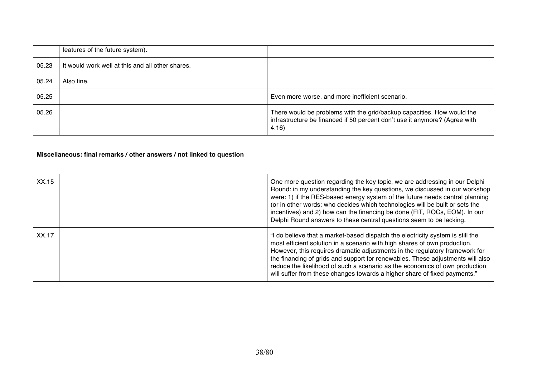|                                                                       | features of the future system).                  |                                                                                                                                                                                                                                                                                                                                                                                                                                                                                          |
|-----------------------------------------------------------------------|--------------------------------------------------|------------------------------------------------------------------------------------------------------------------------------------------------------------------------------------------------------------------------------------------------------------------------------------------------------------------------------------------------------------------------------------------------------------------------------------------------------------------------------------------|
| 05.23                                                                 | It would work well at this and all other shares. |                                                                                                                                                                                                                                                                                                                                                                                                                                                                                          |
| 05.24                                                                 | Also fine.                                       |                                                                                                                                                                                                                                                                                                                                                                                                                                                                                          |
| 05.25                                                                 |                                                  | Even more worse, and more inefficient scenario.                                                                                                                                                                                                                                                                                                                                                                                                                                          |
| 05.26                                                                 |                                                  | There would be problems with the grid/backup capacities. How would the<br>infrastructure be financed if 50 percent don't use it anymore? (Agree with<br>4.16)                                                                                                                                                                                                                                                                                                                            |
| Miscellaneous: final remarks / other answers / not linked to question |                                                  |                                                                                                                                                                                                                                                                                                                                                                                                                                                                                          |
| XX.15                                                                 |                                                  | One more question regarding the key topic, we are addressing in our Delphi<br>Round: in my understanding the key questions, we discussed in our workshop<br>were: 1) if the RES-based energy system of the future needs central planning<br>(or in other words: who decides which technologies will be built or sets the<br>incentives) and 2) how can the financing be done (FIT, ROCs, EOM). In our<br>Delphi Round answers to these central questions seem to be lacking.             |
| XX.17                                                                 |                                                  | "I do believe that a market-based dispatch the electricity system is still the<br>most efficient solution in a scenario with high shares of own production.<br>However, this requires dramatic adjustments in the regulatory framework for<br>the financing of grids and support for renewables. These adjustments will also<br>reduce the likelihood of such a scenario as the economics of own production<br>will suffer from these changes towards a higher share of fixed payments." |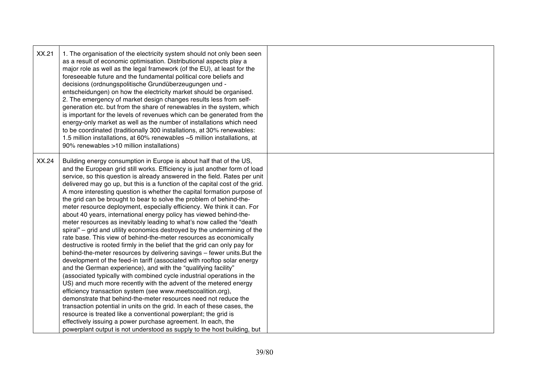| XX.21 | 1. The organisation of the electricity system should not only been seen<br>as a result of economic optimisation. Distributional aspects play a<br>major role as well as the legal framework (of the EU), at least for the<br>foreseeable future and the fundamental political core beliefs and<br>decisions (ordnungspolitische Grundüberzeugungen und -<br>entscheidungen) on how the electricity market should be organised.<br>2. The emergency of market design changes results less from self-<br>generation etc. but from the share of renewables in the system, which<br>is important for the levels of revenues which can be generated from the<br>energy-only market as well as the number of installations which need<br>to be coordinated (traditionally 300 installations, at 30% renewables:<br>1.5 million installations, at 60% renewables ~5 million installations, at<br>90% renewables >10 million installations)                                                                                                                                                                                                                                                                                                                                                                                                                                                                                                                                                                                                                                                                                                                                                                                        |  |
|-------|----------------------------------------------------------------------------------------------------------------------------------------------------------------------------------------------------------------------------------------------------------------------------------------------------------------------------------------------------------------------------------------------------------------------------------------------------------------------------------------------------------------------------------------------------------------------------------------------------------------------------------------------------------------------------------------------------------------------------------------------------------------------------------------------------------------------------------------------------------------------------------------------------------------------------------------------------------------------------------------------------------------------------------------------------------------------------------------------------------------------------------------------------------------------------------------------------------------------------------------------------------------------------------------------------------------------------------------------------------------------------------------------------------------------------------------------------------------------------------------------------------------------------------------------------------------------------------------------------------------------------------------------------------------------------------------------------------------------------|--|
| XX.24 | Building energy consumption in Europe is about half that of the US,<br>and the European grid still works. Efficiency is just another form of load<br>service, so this question is already answered in the field. Rates per unit<br>delivered may go up, but this is a function of the capital cost of the grid.<br>A more interesting question is whether the capital formation purpose of<br>the grid can be brought to bear to solve the problem of behind-the-<br>meter resource deployment, especially efficiency. We think it can. For<br>about 40 years, international energy policy has viewed behind-the-<br>meter resources as inevitably leading to what's now called the "death<br>spiral" – grid and utility economics destroyed by the undermining of the<br>rate base. This view of behind-the-meter resources as economically<br>destructive is rooted firmly in the belief that the grid can only pay for<br>behind-the-meter resources by delivering savings - fewer units. But the<br>development of the feed-in tariff (associated with rooftop solar energy<br>and the German experience), and with the "qualifying facility"<br>(associated typically with combined cycle industrial operations in the<br>US) and much more recently with the advent of the metered energy<br>efficiency transaction system (see www.meetscoalition.org),<br>demonstrate that behind-the-meter resources need not reduce the<br>transaction potential in units on the grid. In each of these cases, the<br>resource is treated like a conventional powerplant; the grid is<br>effectively issuing a power purchase agreement. In each, the<br>powerplant output is not understood as supply to the host building, but |  |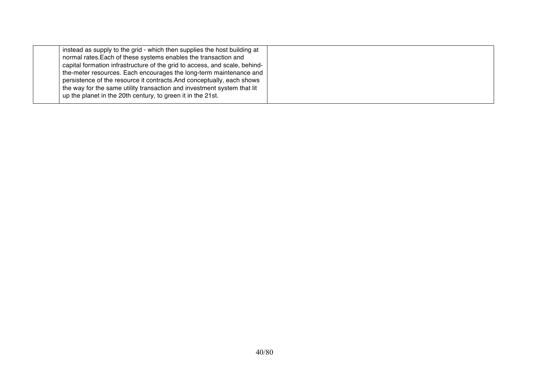| instead as supply to the grid - which then supplies the host building at<br>normal rates. Each of these systems enables the transaction and |  |
|---------------------------------------------------------------------------------------------------------------------------------------------|--|
|                                                                                                                                             |  |
| capital formation infrastructure of the grid to access, and scale, behind-                                                                  |  |
| the-meter resources. Each encourages the long-term maintenance and                                                                          |  |
| persistence of the resource it contracts. And conceptually, each shows                                                                      |  |
| the way for the same utility transaction and investment system that lit                                                                     |  |
| up the planet in the 20th century, to green it in the 21st.                                                                                 |  |
|                                                                                                                                             |  |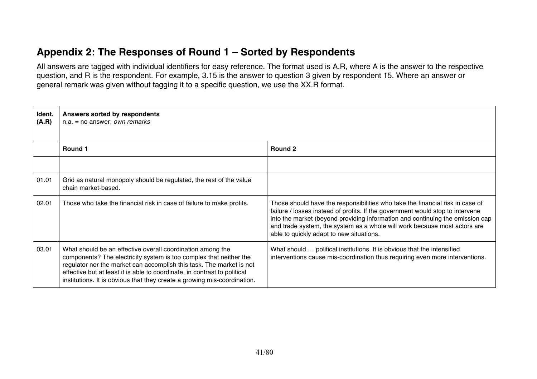## **Appendix 2: The Responses of Round 1 – Sorted by Respondents**

All answers are tagged with individual identifiers for easy reference. The format used is A.R, where A is the answer to the respective question, and R is the respondent. For example, 3.15 is the answer to question 3 given by respondent 15. Where an answer or general remark was given without tagging it to a specific question, we use the XX.R format.

| Ident.<br>(A.R) | Answers sorted by respondents<br>$n.a. = no answer; own remarks$                                                                                                                                                                                                                                                                                                  |                                                                                                                                                                                                                                                                                                                                                                           |
|-----------------|-------------------------------------------------------------------------------------------------------------------------------------------------------------------------------------------------------------------------------------------------------------------------------------------------------------------------------------------------------------------|---------------------------------------------------------------------------------------------------------------------------------------------------------------------------------------------------------------------------------------------------------------------------------------------------------------------------------------------------------------------------|
|                 | <b>Round 1</b>                                                                                                                                                                                                                                                                                                                                                    | Round 2                                                                                                                                                                                                                                                                                                                                                                   |
|                 |                                                                                                                                                                                                                                                                                                                                                                   |                                                                                                                                                                                                                                                                                                                                                                           |
| 01.01           | Grid as natural monopoly should be regulated, the rest of the value<br>chain market-based.                                                                                                                                                                                                                                                                        |                                                                                                                                                                                                                                                                                                                                                                           |
| 02.01           | Those who take the financial risk in case of failure to make profits.                                                                                                                                                                                                                                                                                             | Those should have the responsibilities who take the financial risk in case of<br>failure / losses instead of profits. If the government would stop to intervene<br>into the market (beyond providing information and continuing the emission cap<br>and trade system, the system as a whole will work because most actors are<br>able to quickly adapt to new situations. |
| 03.01           | What should be an effective overall coordination among the<br>components? The electricity system is too complex that neither the<br>regulator nor the market can accomplish this task. The market is not<br>effective but at least it is able to coordinate, in contrast to political<br>institutions. It is obvious that they create a growing mis-coordination. | What should  political institutions. It is obvious that the intensified<br>interventions cause mis-coordination thus requiring even more interventions.                                                                                                                                                                                                                   |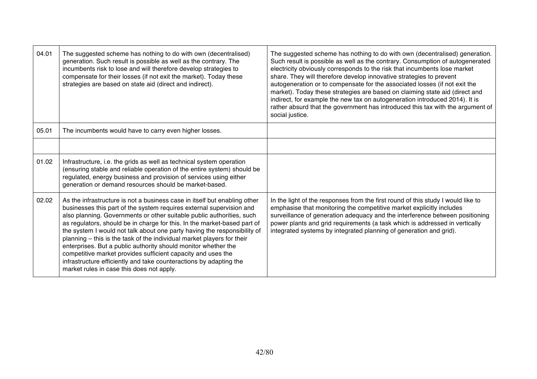| 04.01 | The suggested scheme has nothing to do with own (decentralised)<br>generation. Such result is possible as well as the contrary. The<br>incumbents risk to lose and will therefore develop strategies to<br>compensate for their losses (if not exit the market). Today these<br>strategies are based on state aid (direct and indirect).                                                                                                                                                                                                                                                                                                                                                                          | The suggested scheme has nothing to do with own (decentralised) generation.<br>Such result is possible as well as the contrary. Consumption of autogenerated<br>electricity obviously corresponds to the risk that incumbents lose market<br>share. They will therefore develop innovative strategies to prevent<br>autogeneration or to compensate for the associated losses (if not exit the<br>market). Today these strategies are based on claiming state aid (direct and<br>indirect, for example the new tax on autogeneration introduced 2014). It is<br>rather absurd that the government has introduced this tax with the argument of<br>social justice. |
|-------|-------------------------------------------------------------------------------------------------------------------------------------------------------------------------------------------------------------------------------------------------------------------------------------------------------------------------------------------------------------------------------------------------------------------------------------------------------------------------------------------------------------------------------------------------------------------------------------------------------------------------------------------------------------------------------------------------------------------|-------------------------------------------------------------------------------------------------------------------------------------------------------------------------------------------------------------------------------------------------------------------------------------------------------------------------------------------------------------------------------------------------------------------------------------------------------------------------------------------------------------------------------------------------------------------------------------------------------------------------------------------------------------------|
| 05.01 | The incumbents would have to carry even higher losses.                                                                                                                                                                                                                                                                                                                                                                                                                                                                                                                                                                                                                                                            |                                                                                                                                                                                                                                                                                                                                                                                                                                                                                                                                                                                                                                                                   |
|       |                                                                                                                                                                                                                                                                                                                                                                                                                                                                                                                                                                                                                                                                                                                   |                                                                                                                                                                                                                                                                                                                                                                                                                                                                                                                                                                                                                                                                   |
| 01.02 | Infrastructure, i.e. the grids as well as technical system operation<br>(ensuring stable and reliable operation of the entire system) should be<br>regulated, energy business and provision of services using either<br>generation or demand resources should be market-based.                                                                                                                                                                                                                                                                                                                                                                                                                                    |                                                                                                                                                                                                                                                                                                                                                                                                                                                                                                                                                                                                                                                                   |
| 02.02 | As the infrastructure is not a business case in itself but enabling other<br>businesses this part of the system requires external supervision and<br>also planning. Governments or other suitable public authorities, such<br>as regulators, should be in charge for this. In the market-based part of<br>the system I would not talk about one party having the responsibility of<br>planning - this is the task of the individual market players for their<br>enterprises. But a public authority should monitor whether the<br>competitive market provides sufficient capacity and uses the<br>infrastructure efficiently and take counteractions by adapting the<br>market rules in case this does not apply. | In the light of the responses from the first round of this study I would like to<br>emphasise that monitoring the competitive market explicitly includes<br>surveillance of generation adequacy and the interference between positioning<br>power plants and grid requirements (a task which is addressed in vertically<br>integrated systems by integrated planning of generation and grid).                                                                                                                                                                                                                                                                     |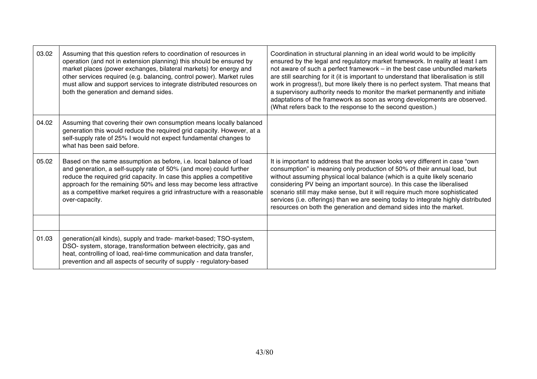| 03.02 | Assuming that this question refers to coordination of resources in<br>operation (and not in extension planning) this should be ensured by<br>market places (power exchanges, bilateral markets) for energy and<br>other services required (e.g. balancing, control power). Market rules<br>must allow and support services to integrate distributed resources on<br>both the generation and demand sides. | Coordination in structural planning in an ideal world would to be implicitly<br>ensured by the legal and regulatory market framework. In reality at least I am<br>not aware of such a perfect framework - in the best case unbundled markets<br>are still searching for it (it is important to understand that liberalisation is still<br>work in progress!), but more likely there is no perfect system. That means that<br>a supervisory authority needs to monitor the market permanently and initiate<br>adaptations of the framework as soon as wrong developments are observed.<br>(What refers back to the response to the second question.) |
|-------|-----------------------------------------------------------------------------------------------------------------------------------------------------------------------------------------------------------------------------------------------------------------------------------------------------------------------------------------------------------------------------------------------------------|-----------------------------------------------------------------------------------------------------------------------------------------------------------------------------------------------------------------------------------------------------------------------------------------------------------------------------------------------------------------------------------------------------------------------------------------------------------------------------------------------------------------------------------------------------------------------------------------------------------------------------------------------------|
| 04.02 | Assuming that covering their own consumption means locally balanced<br>generation this would reduce the required grid capacity. However, at a<br>self-supply rate of 25% I would not expect fundamental changes to<br>what has been said before.                                                                                                                                                          |                                                                                                                                                                                                                                                                                                                                                                                                                                                                                                                                                                                                                                                     |
| 05.02 | Based on the same assumption as before, i.e. local balance of load<br>and generation, a self-supply rate of 50% (and more) could further<br>reduce the required grid capacity. In case this applies a competitive<br>approach for the remaining 50% and less may become less attractive<br>as a competitive market requires a grid infrastructure with a reasonable<br>over-capacity.                     | It is important to address that the answer looks very different in case "own<br>consumption" is meaning only production of 50% of their annual load, but<br>without assuming physical local balance (which is a quite likely scenario<br>considering PV being an important source). In this case the liberalised<br>scenario still may make sense, but it will require much more sophisticated<br>services (i.e. offerings) than we are seeing today to integrate highly distributed<br>resources on both the generation and demand sides into the market.                                                                                          |
|       |                                                                                                                                                                                                                                                                                                                                                                                                           |                                                                                                                                                                                                                                                                                                                                                                                                                                                                                                                                                                                                                                                     |
| 01.03 | generation(all kinds), supply and trade- market-based; TSO-system,<br>DSO- system, storage, transformation between electricity, gas and<br>heat, controlling of load, real-time communication and data transfer,<br>prevention and all aspects of security of supply - regulatory-based                                                                                                                   |                                                                                                                                                                                                                                                                                                                                                                                                                                                                                                                                                                                                                                                     |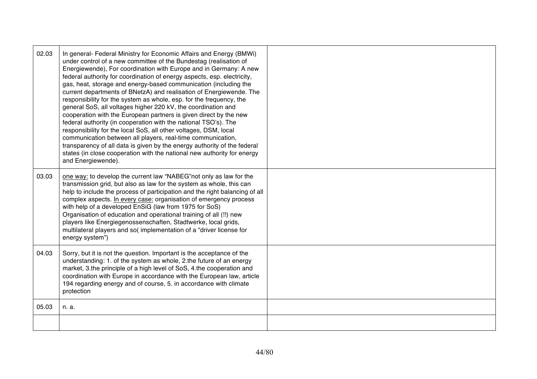| 02.03 | In general- Federal Ministry for Economic Affairs and Energy (BMWi)<br>under control of a new committee of the Bundestag (realisation of<br>Energiewende), For coordination with Europe and in Germany: A new<br>federal authority for coordination of energy aspects, esp. electricity,<br>gas, heat, storage and energy-based communication (including the<br>current departments of BNetzA) and realisation of Energiewende. The<br>responsibility for the system as whole, esp. for the frequency, the<br>general SoS, all voltages higher 220 kV, the coordination and<br>cooperation with the European partners is given direct by the new<br>federal authority (in cooperation with the national TSO's). The<br>responsibility for the local SoS, all other voltages, DSM, local<br>communication between all players, real-time communication,<br>transparency of all data is given by the energy authority of the federal<br>states (in close cooperation with the national new authority for energy<br>and Energiewende). |  |
|-------|-------------------------------------------------------------------------------------------------------------------------------------------------------------------------------------------------------------------------------------------------------------------------------------------------------------------------------------------------------------------------------------------------------------------------------------------------------------------------------------------------------------------------------------------------------------------------------------------------------------------------------------------------------------------------------------------------------------------------------------------------------------------------------------------------------------------------------------------------------------------------------------------------------------------------------------------------------------------------------------------------------------------------------------|--|
| 03.03 | one way: to develop the current law "NABEG" not only as law for the<br>transmission grid, but also as law for the system as whole, this can<br>help to include the process of participation and the right balancing of all<br>complex aspects. In every case: organisation of emergency process<br>with help of a developed EnSiG (law from 1975 for SoS)<br>Organisation of education and operational training of all (!!) new<br>players like Energiegenossenschaften, Stadtwerke, local grids,<br>multilateral players and so(implementation of a "driver license for<br>energy system")                                                                                                                                                                                                                                                                                                                                                                                                                                         |  |
| 04.03 | Sorry, but it is not the question. Important is the acceptance of the<br>understanding: 1. of the system as whole, 2.the future of an energy<br>market, 3.the principle of a high level of SoS, 4.the cooperation and<br>coordination with Europe in accordance with the European law, article<br>194 regarding energy and of course, 5. in accordance with climate<br>protection                                                                                                                                                                                                                                                                                                                                                                                                                                                                                                                                                                                                                                                   |  |
| 05.03 | n. a.                                                                                                                                                                                                                                                                                                                                                                                                                                                                                                                                                                                                                                                                                                                                                                                                                                                                                                                                                                                                                               |  |
|       |                                                                                                                                                                                                                                                                                                                                                                                                                                                                                                                                                                                                                                                                                                                                                                                                                                                                                                                                                                                                                                     |  |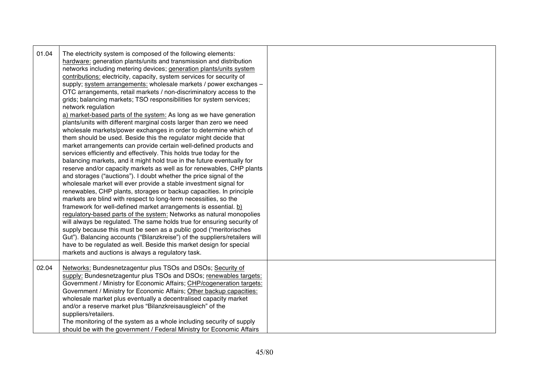| 01.04 | The electricity system is composed of the following elements:<br>hardware: generation plants/units and transmission and distribution<br>networks including metering devices; generation plants/units system<br>contributions: electricity, capacity, system services for security of<br>supply; system arrangements: wholesale markets / power exchanges -<br>OTC arrangements, retail markets / non-discriminatory access to the<br>grids; balancing markets; TSO responsibilities for system services;<br>network regulation<br>a) market-based parts of the system: As long as we have generation<br>plants/units with different marginal costs larger than zero we need<br>wholesale markets/power exchanges in order to determine which of<br>them should be used. Beside this the regulator might decide that<br>market arrangements can provide certain well-defined products and<br>services efficiently and effectively. This holds true today for the<br>balancing markets, and it might hold true in the future eventually for<br>reserve and/or capacity markets as well as for renewables, CHP plants<br>and storages ("auctions"). I doubt whether the price signal of the<br>wholesale market will ever provide a stable investment signal for<br>renewables, CHP plants, storages or backup capacities. In principle<br>markets are blind with respect to long-term necessities, so the<br>framework for well-defined market arrangements is essential. b)<br>regulatory-based parts of the system: Networks as natural monopolies<br>will always be regulated. The same holds true for ensuring security of<br>supply because this must be seen as a public good ("meritorisches<br>Gut"). Balancing accounts ("Bilanzkreise") of the suppliers/retailers will<br>have to be regulated as well. Beside this market design for special<br>markets and auctions is always a regulatory task. |  |
|-------|-------------------------------------------------------------------------------------------------------------------------------------------------------------------------------------------------------------------------------------------------------------------------------------------------------------------------------------------------------------------------------------------------------------------------------------------------------------------------------------------------------------------------------------------------------------------------------------------------------------------------------------------------------------------------------------------------------------------------------------------------------------------------------------------------------------------------------------------------------------------------------------------------------------------------------------------------------------------------------------------------------------------------------------------------------------------------------------------------------------------------------------------------------------------------------------------------------------------------------------------------------------------------------------------------------------------------------------------------------------------------------------------------------------------------------------------------------------------------------------------------------------------------------------------------------------------------------------------------------------------------------------------------------------------------------------------------------------------------------------------------------------------------------------------------------------------------------------------------------------------------------------------------------------|--|
| 02.04 | Networks: Bundesnetzagentur plus TSOs and DSOs; Security of<br>supply: Bundesnetzagentur plus TSOs and DSOs; renewables targets:<br>Government / Ministry for Economic Affairs; CHP/cogeneration targets:<br>Government / Ministry for Economic Affairs; Other backup capacities:<br>wholesale market plus eventually a decentralised capacity market<br>and/or a reserve market plus "Bilanzkreisausgleich" of the<br>suppliers/retailers.<br>The monitoring of the system as a whole including security of supply<br>should be with the government / Federal Ministry for Economic Affairs                                                                                                                                                                                                                                                                                                                                                                                                                                                                                                                                                                                                                                                                                                                                                                                                                                                                                                                                                                                                                                                                                                                                                                                                                                                                                                                |  |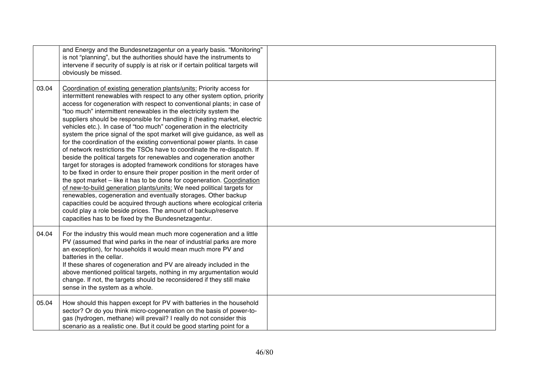|       | and Energy and the Bundesnetzagentur on a yearly basis. "Monitoring"<br>is not "planning", but the authorities should have the instruments to<br>intervene if security of supply is at risk or if certain political targets will<br>obviously be missed.                                                                                                                                                                                                                                                                                                                                                                                                                                                                                                                                                                                                                                                                                                                                                                                                                                                                                                                                                                                                                                                                                             |  |
|-------|------------------------------------------------------------------------------------------------------------------------------------------------------------------------------------------------------------------------------------------------------------------------------------------------------------------------------------------------------------------------------------------------------------------------------------------------------------------------------------------------------------------------------------------------------------------------------------------------------------------------------------------------------------------------------------------------------------------------------------------------------------------------------------------------------------------------------------------------------------------------------------------------------------------------------------------------------------------------------------------------------------------------------------------------------------------------------------------------------------------------------------------------------------------------------------------------------------------------------------------------------------------------------------------------------------------------------------------------------|--|
| 03.04 | Coordination of existing generation plants/units: Priority access for<br>intermittent renewables with respect to any other system option, priority<br>access for cogeneration with respect to conventional plants; in case of<br>"too much" intermittent renewables in the electricity system the<br>suppliers should be responsible for handling it (heating market, electric<br>vehicles etc.). In case of "too much" cogeneration in the electricity<br>system the price signal of the spot market will give guidance, as well as<br>for the coordination of the existing conventional power plants. In case<br>of network restrictions the TSOs have to coordinate the re-dispatch. If<br>beside the political targets for renewables and cogeneration another<br>target for storages is adopted framework conditions for storages have<br>to be fixed in order to ensure their proper position in the merit order of<br>the spot market - like it has to be done for cogeneration. Coordination<br>of new-to-build generation plants/units: We need political targets for<br>renewables, cogeneration and eventually storages. Other backup<br>capacities could be acquired through auctions where ecological criteria<br>could play a role beside prices. The amount of backup/reserve<br>capacities has to be fixed by the Bundesnetzagentur. |  |
| 04.04 | For the industry this would mean much more cogeneration and a little<br>PV (assumed that wind parks in the near of industrial parks are more<br>an exception), for households it would mean much more PV and<br>batteries in the cellar.<br>If these shares of cogeneration and PV are already included in the<br>above mentioned political targets, nothing in my argumentation would<br>change. If not, the targets should be reconsidered if they still make<br>sense in the system as a whole.                                                                                                                                                                                                                                                                                                                                                                                                                                                                                                                                                                                                                                                                                                                                                                                                                                                   |  |
| 05.04 | How should this happen except for PV with batteries in the household<br>sector? Or do you think micro-cogeneration on the basis of power-to-<br>gas (hydrogen, methane) will prevail? I really do not consider this<br>scenario as a realistic one. But it could be good starting point for a                                                                                                                                                                                                                                                                                                                                                                                                                                                                                                                                                                                                                                                                                                                                                                                                                                                                                                                                                                                                                                                        |  |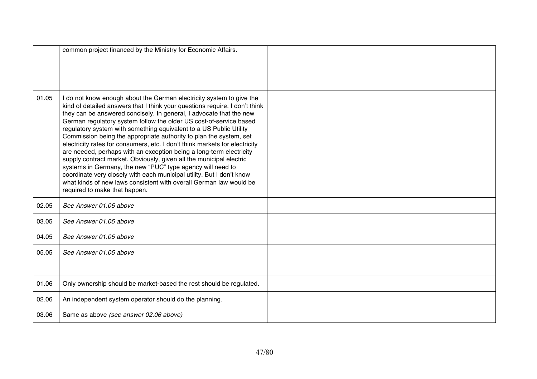|       | common project financed by the Ministry for Economic Affairs.                                                                                                                                                                                                                                                                                                                                                                                                                                                                                                                                                                                                                                                                                                                                                                                                                                                           |  |
|-------|-------------------------------------------------------------------------------------------------------------------------------------------------------------------------------------------------------------------------------------------------------------------------------------------------------------------------------------------------------------------------------------------------------------------------------------------------------------------------------------------------------------------------------------------------------------------------------------------------------------------------------------------------------------------------------------------------------------------------------------------------------------------------------------------------------------------------------------------------------------------------------------------------------------------------|--|
|       |                                                                                                                                                                                                                                                                                                                                                                                                                                                                                                                                                                                                                                                                                                                                                                                                                                                                                                                         |  |
| 01.05 | I do not know enough about the German electricity system to give the<br>kind of detailed answers that I think your questions require. I don't think<br>they can be answered concisely. In general, I advocate that the new<br>German regulatory system follow the older US cost-of-service based<br>regulatory system with something equivalent to a US Public Utility<br>Commission being the appropriate authority to plan the system, set<br>electricity rates for consumers, etc. I don't think markets for electricity<br>are needed, perhaps with an exception being a long-term electricity<br>supply contract market. Obviously, given all the municipal electric<br>systems in Germany, the new "PUC" type agency will need to<br>coordinate very closely with each municipal utility. But I don't know<br>what kinds of new laws consistent with overall German law would be<br>required to make that happen. |  |
| 02.05 | See Answer 01.05 above                                                                                                                                                                                                                                                                                                                                                                                                                                                                                                                                                                                                                                                                                                                                                                                                                                                                                                  |  |
| 03.05 | See Answer 01.05 above                                                                                                                                                                                                                                                                                                                                                                                                                                                                                                                                                                                                                                                                                                                                                                                                                                                                                                  |  |
| 04.05 | See Answer 01.05 above                                                                                                                                                                                                                                                                                                                                                                                                                                                                                                                                                                                                                                                                                                                                                                                                                                                                                                  |  |
| 05.05 | See Answer 01.05 above                                                                                                                                                                                                                                                                                                                                                                                                                                                                                                                                                                                                                                                                                                                                                                                                                                                                                                  |  |
|       |                                                                                                                                                                                                                                                                                                                                                                                                                                                                                                                                                                                                                                                                                                                                                                                                                                                                                                                         |  |
| 01.06 | Only ownership should be market-based the rest should be regulated.                                                                                                                                                                                                                                                                                                                                                                                                                                                                                                                                                                                                                                                                                                                                                                                                                                                     |  |
| 02.06 | An independent system operator should do the planning.                                                                                                                                                                                                                                                                                                                                                                                                                                                                                                                                                                                                                                                                                                                                                                                                                                                                  |  |
| 03.06 | Same as above (see answer 02.06 above)                                                                                                                                                                                                                                                                                                                                                                                                                                                                                                                                                                                                                                                                                                                                                                                                                                                                                  |  |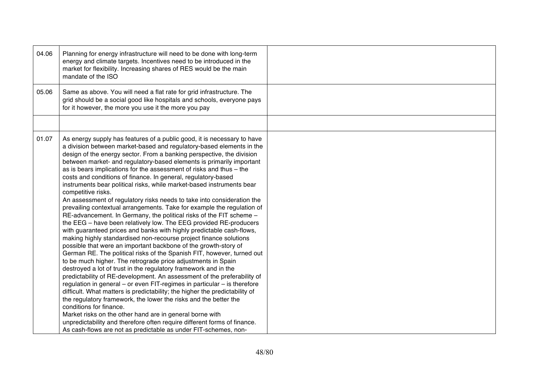| 04.06 | Planning for energy infrastructure will need to be done with long-term<br>energy and climate targets. Incentives need to be introduced in the<br>market for flexibility. Increasing shares of RES would be the main<br>mandate of the ISO                                                                                                                                                                                                                                                                                                                                                                                                                                                                                                                                                                                                                                                                                                                                                                                                                                                                                                                                                                                                                                                                                                                                                                                                                                                                                                                                                                                                                                                                                                                                                                            |  |
|-------|----------------------------------------------------------------------------------------------------------------------------------------------------------------------------------------------------------------------------------------------------------------------------------------------------------------------------------------------------------------------------------------------------------------------------------------------------------------------------------------------------------------------------------------------------------------------------------------------------------------------------------------------------------------------------------------------------------------------------------------------------------------------------------------------------------------------------------------------------------------------------------------------------------------------------------------------------------------------------------------------------------------------------------------------------------------------------------------------------------------------------------------------------------------------------------------------------------------------------------------------------------------------------------------------------------------------------------------------------------------------------------------------------------------------------------------------------------------------------------------------------------------------------------------------------------------------------------------------------------------------------------------------------------------------------------------------------------------------------------------------------------------------------------------------------------------------|--|
| 05.06 | Same as above. You will need a flat rate for grid infrastructure. The<br>grid should be a social good like hospitals and schools, everyone pays<br>for it however, the more you use it the more you pay                                                                                                                                                                                                                                                                                                                                                                                                                                                                                                                                                                                                                                                                                                                                                                                                                                                                                                                                                                                                                                                                                                                                                                                                                                                                                                                                                                                                                                                                                                                                                                                                              |  |
|       |                                                                                                                                                                                                                                                                                                                                                                                                                                                                                                                                                                                                                                                                                                                                                                                                                                                                                                                                                                                                                                                                                                                                                                                                                                                                                                                                                                                                                                                                                                                                                                                                                                                                                                                                                                                                                      |  |
| 01.07 | As energy supply has features of a public good, it is necessary to have<br>a division between market-based and regulatory-based elements in the<br>design of the energy sector. From a banking perspective, the division<br>between market- and regulatory-based elements is primarily important<br>as is bears implications for the assessment of risks and thus - the<br>costs and conditions of finance. In general, regulatory-based<br>instruments bear political risks, while market-based instruments bear<br>competitive risks.<br>An assessment of regulatory risks needs to take into consideration the<br>prevailing contextual arrangements. Take for example the regulation of<br>RE-advancement. In Germany, the political risks of the FIT scheme -<br>the EEG - have been relatively low. The EEG provided RE-producers<br>with guaranteed prices and banks with highly predictable cash-flows,<br>making highly standardised non-recourse project finance solutions<br>possible that were an important backbone of the growth-story of<br>German RE. The political risks of the Spanish FIT, however, turned out<br>to be much higher. The retrograde price adjustments in Spain<br>destroyed a lot of trust in the regulatory framework and in the<br>predictability of RE-development. An assessment of the preferability of<br>regulation in general - or even FIT-regimes in particular - is therefore<br>difficult. What matters is predictability; the higher the predictability of<br>the regulatory framework, the lower the risks and the better the<br>conditions for finance.<br>Market risks on the other hand are in general borne with<br>unpredictability and therefore often require different forms of finance.<br>As cash-flows are not as predictable as under FIT-schemes, non- |  |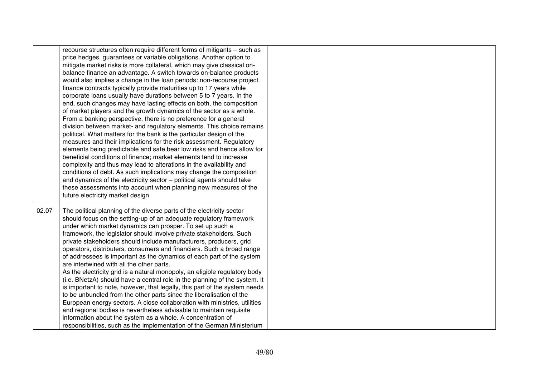|       | recourse structures often require different forms of mitigants - such as<br>price hedges, guarantees or variable obligations. Another option to<br>mitigate market risks is more collateral, which may give classical on-<br>balance finance an advantage. A switch towards on-balance products<br>would also implies a change in the loan periods: non-recourse project<br>finance contracts typically provide maturities up to 17 years while<br>corporate loans usually have durations between 5 to 7 years. In the<br>end, such changes may have lasting effects on both, the composition<br>of market players and the growth dynamics of the sector as a whole.<br>From a banking perspective, there is no preference for a general<br>division between market- and regulatory elements. This choice remains<br>political. What matters for the bank is the particular design of the<br>measures and their implications for the risk assessment. Regulatory<br>elements being predictable and safe bear low risks and hence allow for<br>beneficial conditions of finance; market elements tend to increase<br>complexity and thus may lead to alterations in the availability and<br>conditions of debt. As such implications may change the composition<br>and dynamics of the electricity sector - political agents should take<br>these assessments into account when planning new measures of the<br>future electricity market design. |  |
|-------|--------------------------------------------------------------------------------------------------------------------------------------------------------------------------------------------------------------------------------------------------------------------------------------------------------------------------------------------------------------------------------------------------------------------------------------------------------------------------------------------------------------------------------------------------------------------------------------------------------------------------------------------------------------------------------------------------------------------------------------------------------------------------------------------------------------------------------------------------------------------------------------------------------------------------------------------------------------------------------------------------------------------------------------------------------------------------------------------------------------------------------------------------------------------------------------------------------------------------------------------------------------------------------------------------------------------------------------------------------------------------------------------------------------------------------------------------|--|
| 02.07 | The political planning of the diverse parts of the electricity sector<br>should focus on the setting-up of an adequate regulatory framework<br>under which market dynamics can prosper. To set up such a<br>framework, the legislator should involve private stakeholders. Such<br>private stakeholders should include manufacturers, producers, grid<br>operators, distributers, consumers and financiers. Such a broad range<br>of addressees is important as the dynamics of each part of the system<br>are intertwined with all the other parts.<br>As the electricity grid is a natural monopoly, an eligible regulatory body<br>(i.e. BNetzA) should have a central role in the planning of the system. It<br>is important to note, however, that legally, this part of the system needs<br>to be unbundled from the other parts since the liberalisation of the<br>European energy sectors. A close collaboration with ministries, utilities<br>and regional bodies is nevertheless advisable to maintain requisite<br>information about the system as a whole. A concentration of<br>responsibilities, such as the implementation of the German Ministerium                                                                                                                                                                                                                                                                              |  |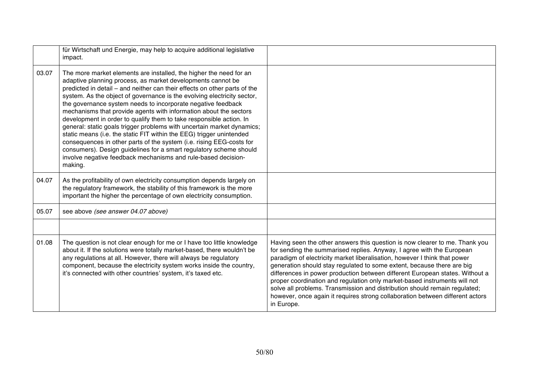|       | für Wirtschaft und Energie, may help to acquire additional legislative<br>impact.                                                                                                                                                                                                                                                                                                                                                                                                                                                                                                                                                                                                                                                                                                                                                                                                 |                                                                                                                                                                                                                                                                                                                                                                                                                                                                                                                                                                                                                                                       |
|-------|-----------------------------------------------------------------------------------------------------------------------------------------------------------------------------------------------------------------------------------------------------------------------------------------------------------------------------------------------------------------------------------------------------------------------------------------------------------------------------------------------------------------------------------------------------------------------------------------------------------------------------------------------------------------------------------------------------------------------------------------------------------------------------------------------------------------------------------------------------------------------------------|-------------------------------------------------------------------------------------------------------------------------------------------------------------------------------------------------------------------------------------------------------------------------------------------------------------------------------------------------------------------------------------------------------------------------------------------------------------------------------------------------------------------------------------------------------------------------------------------------------------------------------------------------------|
| 03.07 | The more market elements are installed, the higher the need for an<br>adaptive planning process, as market developments cannot be<br>predicted in detail – and neither can their effects on other parts of the<br>system. As the object of governance is the evolving electricity sector,<br>the governance system needs to incorporate negative feedback<br>mechanisms that provide agents with information about the sectors<br>development in order to qualify them to take responsible action. In<br>general: static goals trigger problems with uncertain market dynamics;<br>static means (i.e. the static FIT within the EEG) trigger unintended<br>consequences in other parts of the system (i.e. rising EEG-costs for<br>consumers). Design guidelines for a smart regulatory scheme should<br>involve negative feedback mechanisms and rule-based decision-<br>making. |                                                                                                                                                                                                                                                                                                                                                                                                                                                                                                                                                                                                                                                       |
| 04.07 | As the profitability of own electricity consumption depends largely on<br>the regulatory framework, the stability of this framework is the more<br>important the higher the percentage of own electricity consumption.                                                                                                                                                                                                                                                                                                                                                                                                                                                                                                                                                                                                                                                            |                                                                                                                                                                                                                                                                                                                                                                                                                                                                                                                                                                                                                                                       |
| 05.07 | see above (see answer 04.07 above)                                                                                                                                                                                                                                                                                                                                                                                                                                                                                                                                                                                                                                                                                                                                                                                                                                                |                                                                                                                                                                                                                                                                                                                                                                                                                                                                                                                                                                                                                                                       |
|       |                                                                                                                                                                                                                                                                                                                                                                                                                                                                                                                                                                                                                                                                                                                                                                                                                                                                                   |                                                                                                                                                                                                                                                                                                                                                                                                                                                                                                                                                                                                                                                       |
| 01.08 | The question is not clear enough for me or I have too little knowledge<br>about it. If the solutions were totally market-based, there wouldn't be<br>any regulations at all. However, there will always be regulatory<br>component, because the electricity system works inside the country,<br>it's connected with other countries' system, it's taxed etc.                                                                                                                                                                                                                                                                                                                                                                                                                                                                                                                      | Having seen the other answers this question is now clearer to me. Thank you<br>for sending the summarised replies. Anyway, I agree with the European<br>paradigm of electricity market liberalisation, however I think that power<br>generation should stay regulated to some extent, because there are big<br>differences in power production between different European states. Without a<br>proper coordination and regulation only market-based instruments will not<br>solve all problems. Transmission and distribution should remain regulated;<br>however, once again it requires strong collaboration between different actors<br>in Europe. |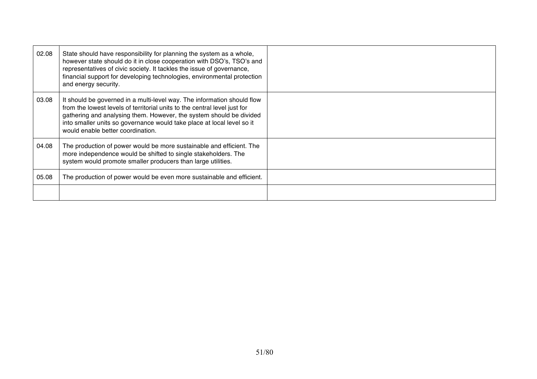| 02.08 | State should have responsibility for planning the system as a whole,<br>however state should do it in close cooperation with DSO's, TSO's and<br>representatives of civic society. It tackles the issue of governance,<br>financial support for developing technologies, environmental protection<br>and energy security.                  |  |
|-------|--------------------------------------------------------------------------------------------------------------------------------------------------------------------------------------------------------------------------------------------------------------------------------------------------------------------------------------------|--|
| 03.08 | It should be governed in a multi-level way. The information should flow<br>from the lowest levels of territorial units to the central level just for<br>gathering and analysing them. However, the system should be divided<br>into smaller units so governance would take place at local level so it<br>would enable better coordination. |  |
| 04.08 | The production of power would be more sustainable and efficient. The<br>more independence would be shifted to single stakeholders. The<br>system would promote smaller producers than large utilities.                                                                                                                                     |  |
| 05.08 | The production of power would be even more sustainable and efficient.                                                                                                                                                                                                                                                                      |  |
|       |                                                                                                                                                                                                                                                                                                                                            |  |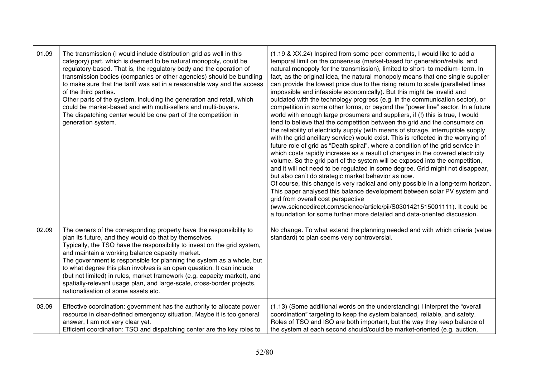| 01.09 | The transmission (I would include distribution grid as well in this<br>category) part, which is deemed to be natural monopoly, could be<br>regulatory-based. That is, the regulatory body and the operation of<br>transmission bodies (companies or other agencies) should be bundling<br>to make sure that the tariff was set in a reasonable way and the access<br>of the third parties.<br>Other parts of the system, including the generation and retail, which<br>could be market-based and with multi-sellers and multi-buyers.<br>The dispatching center would be one part of the competition in<br>generation system. | (1.19 & XX.24) Inspired from some peer comments, I would like to add a<br>temporal limit on the consensus (market-based for generation/retails, and<br>natural monopoly for the transmission), limited to short- to medium- term. In<br>fact, as the original idea, the natural monopoly means that one single supplier<br>can provide the lowest price due to the rising return to scale (paralleled lines<br>impossible and infeasible economically). But this might be invalid and<br>outdated with the technology progress (e.g. in the communication sector), or<br>competition in some other forms, or beyond the "power line" sector. In a future<br>world with enough large prosumers and suppliers, if (!) this is true, I would<br>tend to believe that the competition between the grid and the consumers on<br>the reliability of electricity supply (with means of storage, interruptible supply<br>with the grid ancillary service) would exist. This is reflected in the worrying of<br>future role of grid as "Death spiral", where a condition of the grid service in<br>which costs rapidly increase as a result of changes in the covered electricity<br>volume. So the grid part of the system will be exposed into the competition,<br>and it will not need to be regulated in some degree. Grid might not disappear,<br>but also can't do strategic market behavior as now.<br>Of course, this change is very radical and only possible in a long-term horizon.<br>This paper analysed this balance development between solar PV system and<br>grid from overall cost perspective<br>(www.sciencedirect.com/science/article/pii/S0301421515001111). It could be<br>a foundation for some further more detailed and data-oriented discussion. |
|-------|-------------------------------------------------------------------------------------------------------------------------------------------------------------------------------------------------------------------------------------------------------------------------------------------------------------------------------------------------------------------------------------------------------------------------------------------------------------------------------------------------------------------------------------------------------------------------------------------------------------------------------|--------------------------------------------------------------------------------------------------------------------------------------------------------------------------------------------------------------------------------------------------------------------------------------------------------------------------------------------------------------------------------------------------------------------------------------------------------------------------------------------------------------------------------------------------------------------------------------------------------------------------------------------------------------------------------------------------------------------------------------------------------------------------------------------------------------------------------------------------------------------------------------------------------------------------------------------------------------------------------------------------------------------------------------------------------------------------------------------------------------------------------------------------------------------------------------------------------------------------------------------------------------------------------------------------------------------------------------------------------------------------------------------------------------------------------------------------------------------------------------------------------------------------------------------------------------------------------------------------------------------------------------------------------------------------------------------------------------------------------------------------------------------|
| 02.09 | The owners of the corresponding property have the responsibility to<br>plan its future, and they would do that by themselves.<br>Typically, the TSO have the responsibility to invest on the grid system,<br>and maintain a working balance capacity market.<br>The government is responsible for planning the system as a whole, but<br>to what degree this plan involves is an open question. It can include<br>(but not limited) in rules, market framework (e.g. capacity market), and<br>spatially-relevant usage plan, and large-scale, cross-border projects,<br>nationalisation of some assets etc.                   | No change. To what extend the planning needed and with which criteria (value<br>standard) to plan seems very controversial.                                                                                                                                                                                                                                                                                                                                                                                                                                                                                                                                                                                                                                                                                                                                                                                                                                                                                                                                                                                                                                                                                                                                                                                                                                                                                                                                                                                                                                                                                                                                                                                                                                        |
| 03.09 | Effective coordination: government has the authority to allocate power<br>resource in clear-defined emergency situation. Maybe it is too general<br>answer, I am not very clear yet.<br>Efficient coordination: TSO and dispatching center are the key roles to                                                                                                                                                                                                                                                                                                                                                               | (1.13) (Some additional words on the understanding) I interpret the "overall<br>coordination" targeting to keep the system balanced, reliable, and safety.<br>Roles of TSO and ISO are both important, but the way they keep balance of<br>the system at each second should/could be market-oriented (e.g. auction,                                                                                                                                                                                                                                                                                                                                                                                                                                                                                                                                                                                                                                                                                                                                                                                                                                                                                                                                                                                                                                                                                                                                                                                                                                                                                                                                                                                                                                                |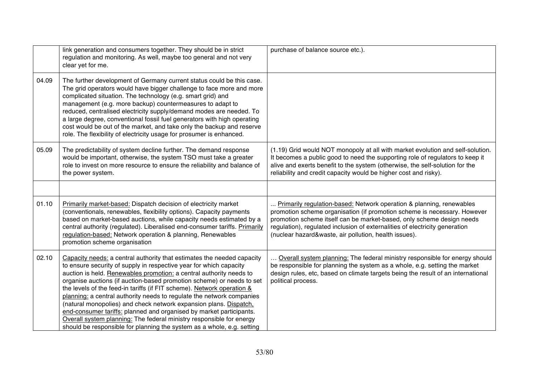|       | link generation and consumers together. They should be in strict<br>regulation and monitoring. As well, maybe too general and not very<br>clear yet for me.                                                                                                                                                                                                                                                                                                                                                                                                                                                                                                                                                                                   | purchase of balance source etc.).                                                                                                                                                                                                                                                                                                                                 |
|-------|-----------------------------------------------------------------------------------------------------------------------------------------------------------------------------------------------------------------------------------------------------------------------------------------------------------------------------------------------------------------------------------------------------------------------------------------------------------------------------------------------------------------------------------------------------------------------------------------------------------------------------------------------------------------------------------------------------------------------------------------------|-------------------------------------------------------------------------------------------------------------------------------------------------------------------------------------------------------------------------------------------------------------------------------------------------------------------------------------------------------------------|
| 04.09 | The further development of Germany current status could be this case.<br>The grid operators would have bigger challenge to face more and more<br>complicated situation. The technology (e.g. smart grid) and<br>management (e.g. more backup) countermeasures to adapt to<br>reduced, centralised electricity supply/demand modes are needed. To<br>a large degree, conventional fossil fuel generators with high operating<br>cost would be out of the market, and take only the backup and reserve<br>role. The flexibility of electricity usage for prosumer is enhanced.                                                                                                                                                                  |                                                                                                                                                                                                                                                                                                                                                                   |
| 05.09 | The predictability of system decline further. The demand response<br>would be important, otherwise, the system TSO must take a greater<br>role to invest on more resource to ensure the reliability and balance of<br>the power system.                                                                                                                                                                                                                                                                                                                                                                                                                                                                                                       | (1.19) Grid would NOT monopoly at all with market evolution and self-solution.<br>It becomes a public good to need the supporting role of regulators to keep it<br>alive and exerts benefit to the system (otherwise, the self-solution for the<br>reliability and credit capacity would be higher cost and risky).                                               |
|       |                                                                                                                                                                                                                                                                                                                                                                                                                                                                                                                                                                                                                                                                                                                                               |                                                                                                                                                                                                                                                                                                                                                                   |
| 01.10 | Primarily market-based: Dispatch decision of electricity market<br>(conventionals, renewables, flexibility options). Capacity payments<br>based on market-based auctions, while capacity needs estimated by a<br>central authority (regulated). Liberalised end-consumer tariffs. Primarily<br>regulation-based: Network operation & planning, Renewables<br>promotion scheme organisation                                                                                                                                                                                                                                                                                                                                                    | Primarily regulation-based: Network operation & planning, renewables<br>promotion scheme organisation (if promotion scheme is necessary. However<br>promotion scheme itself can be market-based, only scheme design needs<br>regulation), regulated inclusion of externalities of electricity generation<br>(nuclear hazard&waste, air pollution, health issues). |
| 02.10 | Capacity needs: a central authority that estimates the needed capacity<br>to ensure security of supply in respective year for which capacity<br>auction is held. Renewables promotion: a central authority needs to<br>organise auctions (if auction-based promotion scheme) or needs to set<br>the levels of the feed-in tariffs (if FIT scheme). Network operation &<br>planning: a central authority needs to regulate the network companies<br>(natural monopolies) and check network expansion plans. Dispatch.<br>end-consumer tariffs: planned and organised by market participants.<br>Overall system planning: The federal ministry responsible for energy<br>should be responsible for planning the system as a whole, e.g. setting | Overall system planning: The federal ministry responsible for energy should<br>be responsible for planning the system as a whole, e.g. setting the market<br>design rules, etc, based on climate targets being the result of an international<br>political process.                                                                                               |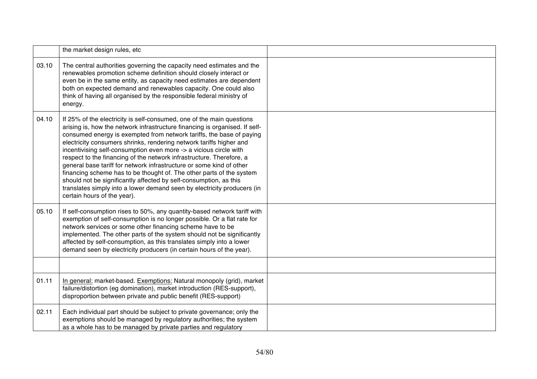|       | the market design rules, etc                                                                                                                                                                                                                                                                                                                                                                                                                                                                                                                                                                                                                                                                                                                                                    |  |
|-------|---------------------------------------------------------------------------------------------------------------------------------------------------------------------------------------------------------------------------------------------------------------------------------------------------------------------------------------------------------------------------------------------------------------------------------------------------------------------------------------------------------------------------------------------------------------------------------------------------------------------------------------------------------------------------------------------------------------------------------------------------------------------------------|--|
| 03.10 | The central authorities governing the capacity need estimates and the<br>renewables promotion scheme definition should closely interact or<br>even be in the same entity, as capacity need estimates are dependent<br>both on expected demand and renewables capacity. One could also<br>think of having all organised by the responsible federal ministry of<br>energy.                                                                                                                                                                                                                                                                                                                                                                                                        |  |
| 04.10 | If 25% of the electricity is self-consumed, one of the main questions<br>arising is, how the network infrastructure financing is organised. If self-<br>consumed energy is exempted from network tariffs, the base of paying<br>electricity consumers shrinks, rendering network tariffs higher and<br>incentivising self-consumption even more -> a vicious circle with<br>respect to the financing of the network infrastructure. Therefore, a<br>general base tariff for network infrastructure or some kind of other<br>financing scheme has to be thought of. The other parts of the system<br>should not be significantly affected by self-consumption, as this<br>translates simply into a lower demand seen by electricity producers (in<br>certain hours of the year). |  |
| 05.10 | If self-consumption rises to 50%, any quantity-based network tariff with<br>exemption of self-consumption is no longer possible. Or a flat rate for<br>network services or some other financing scheme have to be<br>implemented. The other parts of the system should not be significantly<br>affected by self-consumption, as this translates simply into a lower<br>demand seen by electricity producers (in certain hours of the year).                                                                                                                                                                                                                                                                                                                                     |  |
| 01.11 | In general: market-based. Exemptions: Natural monopoly (grid), market<br>failure/distortion (eg domination), market introduction (RES-support),<br>disproportion between private and public benefit (RES-support)                                                                                                                                                                                                                                                                                                                                                                                                                                                                                                                                                               |  |
| 02.11 | Each individual part should be subject to private governance; only the<br>exemptions should be managed by regulatory authorities; the system<br>as a whole has to be managed by private parties and regulatory                                                                                                                                                                                                                                                                                                                                                                                                                                                                                                                                                                  |  |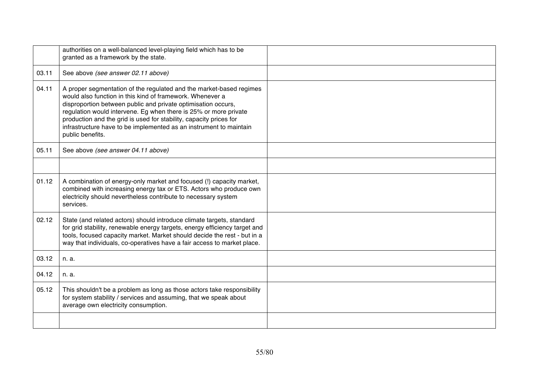|       | authorities on a well-balanced level-playing field which has to be<br>granted as a framework by the state.                                                                                                                                                                                                                                                                                                                            |  |
|-------|---------------------------------------------------------------------------------------------------------------------------------------------------------------------------------------------------------------------------------------------------------------------------------------------------------------------------------------------------------------------------------------------------------------------------------------|--|
| 03.11 | See above (see answer 02.11 above)                                                                                                                                                                                                                                                                                                                                                                                                    |  |
| 04.11 | A proper segmentation of the regulated and the market-based regimes<br>would also function in this kind of framework. Whenever a<br>disproportion between public and private optimisation occurs,<br>regulation would intervene. Eg when there is 25% or more private<br>production and the grid is used for stability, capacity prices for<br>infrastructure have to be implemented as an instrument to maintain<br>public benefits. |  |
| 05.11 | See above (see answer 04.11 above)                                                                                                                                                                                                                                                                                                                                                                                                    |  |
|       |                                                                                                                                                                                                                                                                                                                                                                                                                                       |  |
| 01.12 | A combination of energy-only market and focused (!) capacity market,<br>combined with increasing energy tax or ETS. Actors who produce own<br>electricity should nevertheless contribute to necessary system<br>services.                                                                                                                                                                                                             |  |
| 02.12 | State (and related actors) should introduce climate targets, standard<br>for grid stability, renewable energy targets, energy efficiency target and<br>tools, focused capacity market. Market should decide the rest - but in a<br>way that individuals, co-operatives have a fair access to market place.                                                                                                                            |  |
| 03.12 | n. a.                                                                                                                                                                                                                                                                                                                                                                                                                                 |  |
| 04.12 | n. a.                                                                                                                                                                                                                                                                                                                                                                                                                                 |  |
| 05.12 | This shouldn't be a problem as long as those actors take responsibility<br>for system stability / services and assuming, that we speak about<br>average own electricity consumption.                                                                                                                                                                                                                                                  |  |
|       |                                                                                                                                                                                                                                                                                                                                                                                                                                       |  |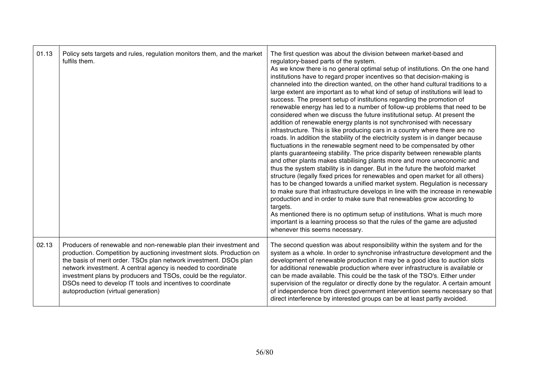| 01.13 | Policy sets targets and rules, regulation monitors them, and the market<br>fulfils them.                                                                                                                                                                                                                                                                                                                                                                 | The first question was about the division between market-based and<br>regulatory-based parts of the system.<br>As we know there is no general optimal setup of institutions. On the one hand<br>institutions have to regard proper incentives so that decision-making is<br>channeled into the direction wanted, on the other hand cultural traditions to a<br>large extent are important as to what kind of setup of institutions will lead to<br>success. The present setup of institutions regarding the promotion of<br>renewable energy has led to a number of follow-up problems that need to be<br>considered when we discuss the future institutional setup. At present the<br>addition of renewable energy plants is not synchronised with necessary<br>infrastructure. This is like producing cars in a country where there are no<br>roads. In addition the stability of the electricity system is in danger because<br>fluctuations in the renewable segment need to be compensated by other<br>plants guaranteeing stability. The price disparity between renewable plants<br>and other plants makes stabilising plants more and more uneconomic and<br>thus the system stability is in danger. But in the future the twofold market<br>structure (legally fixed prices for renewables and open market for all others)<br>has to be changed towards a unified market system. Regulation is necessary<br>to make sure that infrastructure develops in line with the increase in renewable<br>production and in order to make sure that renewables grow according to<br>targets.<br>As mentioned there is no optimum setup of institutions. What is much more<br>important is a learning process so that the rules of the game are adjusted<br>whenever this seems necessary. |
|-------|----------------------------------------------------------------------------------------------------------------------------------------------------------------------------------------------------------------------------------------------------------------------------------------------------------------------------------------------------------------------------------------------------------------------------------------------------------|------------------------------------------------------------------------------------------------------------------------------------------------------------------------------------------------------------------------------------------------------------------------------------------------------------------------------------------------------------------------------------------------------------------------------------------------------------------------------------------------------------------------------------------------------------------------------------------------------------------------------------------------------------------------------------------------------------------------------------------------------------------------------------------------------------------------------------------------------------------------------------------------------------------------------------------------------------------------------------------------------------------------------------------------------------------------------------------------------------------------------------------------------------------------------------------------------------------------------------------------------------------------------------------------------------------------------------------------------------------------------------------------------------------------------------------------------------------------------------------------------------------------------------------------------------------------------------------------------------------------------------------------------------------------------------------------------------------------------------------------------------------------------------------|
| 02.13 | Producers of renewable and non-renewable plan their investment and<br>production. Competition by auctioning investment slots. Production on<br>the basis of merit order. TSOs plan network investment. DSOs plan<br>network investment. A central agency is needed to coordinate<br>investment plans by producers and TSOs, could be the regulator.<br>DSOs need to develop IT tools and incentives to coordinate<br>autoproduction (virtual generation) | The second question was about responsibility within the system and for the<br>system as a whole. In order to synchronise infrastructure development and the<br>development of renewable production it may be a good idea to auction slots<br>for additional renewable production where ever infrastructure is available or<br>can be made available. This could be the task of the TSO's. Either under<br>supervision of the regulator or directly done by the regulator. A certain amount<br>of independence from direct government intervention seems necessary so that<br>direct interference by interested groups can be at least partly avoided.                                                                                                                                                                                                                                                                                                                                                                                                                                                                                                                                                                                                                                                                                                                                                                                                                                                                                                                                                                                                                                                                                                                                    |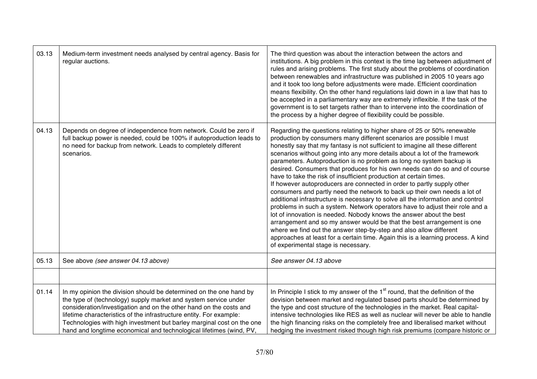| 03.13 | Medium-term investment needs analysed by central agency. Basis for<br>regular auctions.                                                                                                                                                                                                                                                                                                                                            | The third question was about the interaction between the actors and<br>institutions. A big problem in this context is the time lag between adjustment of<br>rules and arising problems. The first study about the problems of coordination<br>between renewables and infrastructure was published in 2005 10 years ago<br>and it took too long before adjustments were made. Efficient coordination<br>means flexibility. On the other hand regulations laid down in a law that has to<br>be accepted in a parliamentary way are extremely inflexible. If the task of the<br>government is to set targets rather than to intervene into the coordination of<br>the process by a higher degree of flexibility could be possible.                                                                                                                                                                                                                                                                                                                                                                                                                                                                                        |
|-------|------------------------------------------------------------------------------------------------------------------------------------------------------------------------------------------------------------------------------------------------------------------------------------------------------------------------------------------------------------------------------------------------------------------------------------|------------------------------------------------------------------------------------------------------------------------------------------------------------------------------------------------------------------------------------------------------------------------------------------------------------------------------------------------------------------------------------------------------------------------------------------------------------------------------------------------------------------------------------------------------------------------------------------------------------------------------------------------------------------------------------------------------------------------------------------------------------------------------------------------------------------------------------------------------------------------------------------------------------------------------------------------------------------------------------------------------------------------------------------------------------------------------------------------------------------------------------------------------------------------------------------------------------------------|
| 04.13 | Depends on degree of independence from network. Could be zero if<br>full backup power is needed, could be 100% if autoproduction leads to<br>no need for backup from network. Leads to completely different<br>scenarios.                                                                                                                                                                                                          | Regarding the questions relating to higher share of 25 or 50% renewable<br>production by consumers many different scenarios are possible I must<br>honestly say that my fantasy is not sufficient to imagine all these different<br>scenarios without going into any more details about a lot of the framework<br>parameters. Autoproduction is no problem as long no system backup is<br>desired. Consumers that produces for his own needs can do so and of course<br>have to take the risk of insufficient production at certain times.<br>If however autoproducers are connected in order to partly supply other<br>consumers and partly need the network to back up their own needs a lot of<br>additional infrastructure is necessary to solve all the information and control<br>problems in such a system. Network operators have to adjust their role and a<br>lot of innovation is needed. Nobody knows the answer about the best<br>arrangement and so my answer would be that the best arrangement is one<br>where we find out the answer step-by-step and also allow different<br>approaches at least for a certain time. Again this is a learning process. A kind<br>of experimental stage is necessary. |
| 05.13 | See above (see answer 04.13 above)                                                                                                                                                                                                                                                                                                                                                                                                 | See answer 04.13 above                                                                                                                                                                                                                                                                                                                                                                                                                                                                                                                                                                                                                                                                                                                                                                                                                                                                                                                                                                                                                                                                                                                                                                                                 |
|       |                                                                                                                                                                                                                                                                                                                                                                                                                                    |                                                                                                                                                                                                                                                                                                                                                                                                                                                                                                                                                                                                                                                                                                                                                                                                                                                                                                                                                                                                                                                                                                                                                                                                                        |
| 01.14 | In my opinion the division should be determined on the one hand by<br>the type of (technology) supply market and system service under<br>consideration/investigation and on the other hand on the costs and<br>lifetime characteristics of the infrastructure entity. For example:<br>Technologies with high investment but barley marginal cost on the one<br>hand and longtime economical and technological lifetimes (wind, PV, | In Principle I stick to my answer of the 1 <sup>st</sup> round, that the definition of the<br>devision between market and regulated based parts should be determined by<br>the type and cost structure of the technologies in the market. Real capital-<br>intensive technologies like RES as well as nuclear will never be able to handle<br>the high financing risks on the completely free and liberalised market without<br>hedging the investment risked though high risk premiums (compare historic or                                                                                                                                                                                                                                                                                                                                                                                                                                                                                                                                                                                                                                                                                                           |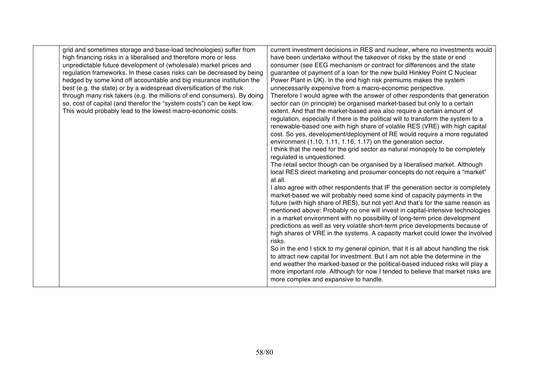| grid and sometimes storage and base-load technologies) suffer from      | current investment decisions in RES and nuclear, where no investments would         |
|-------------------------------------------------------------------------|-------------------------------------------------------------------------------------|
| high financing risks in a liberalised and therefore more or less        | have been undertake without the takeover of risks by the state or end               |
| unpredictable future development of (wholesale) market prices and       | consumer (see EEG mechanism or contract for differences and the state               |
| regulation frameworks. In these cases risks can be decreased by being   | guarantee of payment of a loan for the new build Hinkley Point C Nuclear            |
| hedged by some kind off accountable and big insurance institution the   | Power Plant in UK). In the end high risk premiums makes the system                  |
| best (e.g. the state) or by a widespread diversification of the risk    | unnecessarily expensive from a macro-economic perspective.                          |
| through many risk takers (e.g. the millions of end consumers). By doing | Therefore I would agree with the answer of other respondents that generation        |
| so, cost of capital (and therefor the "system costs") can be kept low.  | sector can (in principle) be organised market-based but only to a certain           |
| This would probably lead to the lowest macro-economic costs.            | extent. And that the market-based area also require a certain amount of             |
|                                                                         | regulation, especially if there is the political will to transform the system to a  |
|                                                                         | renewable-based one with high share of volatile RES (VRE) with high capital         |
|                                                                         | cost. So yes, development/deployment of RE would require a more regulated           |
|                                                                         | environment (1.10, 1.11, 1.16, 1.17) on the generation sector.                      |
|                                                                         | I think that the need for the grid sector as natural monopoly to be completely      |
|                                                                         | regulated is unquestioned.                                                          |
|                                                                         | The retail sector though can be organised by a liberalised market. Although         |
|                                                                         | local RES direct marketing and prosumer concepts do not require a "market"          |
|                                                                         | at all.                                                                             |
|                                                                         | I also agree with other respondents that IF the generation sector is completely     |
|                                                                         | market-based we will probably need some kind of capacity payments in the            |
|                                                                         | future (with high share of RES), but not yet! And that's for the same reason as     |
|                                                                         | mentioned above: Probably no one will invest in capital-intensive technologies      |
|                                                                         | in a market environment with no possibility of long-term price development          |
|                                                                         | predictions as well as very volatile short-term price developments because of       |
|                                                                         | high shares of VRE in the systems. A capacity market could lower the involved       |
|                                                                         | risks.                                                                              |
|                                                                         | So in the end I stick to my general opinion, that it is all about handling the risk |
|                                                                         | to attract new capital for investment. But I am not able the determine in the       |
|                                                                         | end weather the marked-based or the political-based induced risks will play a       |
|                                                                         | more important role. Although for now I tended to believe that market risks are     |
|                                                                         | more complex and expansive to handle.                                               |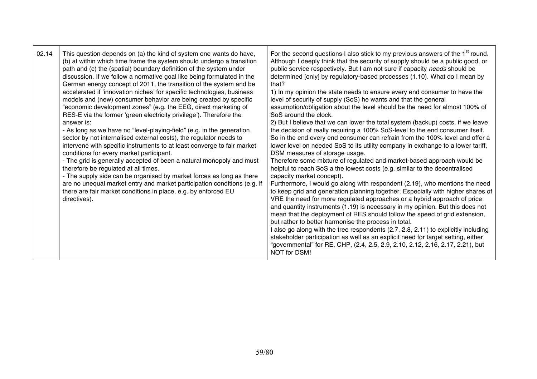| 02.14 | This question depends on (a) the kind of system one wants do have,<br>(b) at within which time frame the system should undergo a transition<br>path and (c) the (spatial) boundary definition of the system under<br>discussion. If we follow a normative goal like being formulated in the<br>German energy concept of 2011, the transition of the system and be<br>accelerated if 'innovation niches' for specific technologies, business<br>models and (new) consumer behavior are being created by specific<br>"economic development zones" (e.g. the EEG, direct marketing of<br>RES-E via the former 'green electricity privilege'). Therefore the<br>answer is:<br>- As long as we have no "level-playing-field" (e.g. in the generation<br>sector by not internalised external costs), the regulator needs to<br>intervene with specific instruments to at least converge to fair market<br>conditions for every market participant.<br>- The grid is generally accepted of been a natural monopoly and must<br>therefore be regulated at all times.<br>- The supply side can be organised by market forces as long as there<br>are no unequal market entry and market participation conditions (e.g. if<br>there are fair market conditions in place, e.g. by enforced EU<br>directives). | For the second questions I also stick to my previous answers of the 1 <sup>st</sup> round.<br>Although I deeply think that the security of supply should be a public good, or<br>public service respectively. But I am not sure if capacity needs should be<br>determined [only] by regulatory-based processes (1.10). What do I mean by<br>that?<br>1) In my opinion the state needs to ensure every end consumer to have the<br>level of security of supply (SoS) he wants and that the general<br>assumption/obligation about the level should be the need for almost 100% of<br>SoS around the clock.<br>2) But I believe that we can lower the total system (backup) costs, if we leave<br>the decision of really requiring a 100% SoS-level to the end consumer itself.<br>So in the end every end consumer can refrain from the 100% level and offer a<br>lower level on needed SoS to its utility company in exchange to a lower tariff,<br>DSM measures of storage usage.<br>Therefore some mixture of regulated and market-based approach would be<br>helpful to reach SoS a the lowest costs (e.g. similar to the decentralised<br>capacity market concept).<br>Furthermore, I would go along with respondent (2.19), who mentions the need<br>to keep grid and generation planning together. Especially with higher shares of<br>VRE the need for more regulated approaches or a hybrid approach of price<br>and quantity instruments (1.19) is necessary in my opinion. But this does not<br>mean that the deployment of RES should follow the speed of grid extension,<br>but rather to better harmonise the process in total.<br>I also go along with the tree respondents (2.7, 2.8, 2.11) to explicitly including<br>stakeholder participation as well as an explicit need for target setting, either<br>"governmental" for RE, CHP, (2.4, 2.5, 2.9, 2.10, 2.12, 2.16, 2.17, 2.21), but<br>NOT for DSM! |
|-------|----------------------------------------------------------------------------------------------------------------------------------------------------------------------------------------------------------------------------------------------------------------------------------------------------------------------------------------------------------------------------------------------------------------------------------------------------------------------------------------------------------------------------------------------------------------------------------------------------------------------------------------------------------------------------------------------------------------------------------------------------------------------------------------------------------------------------------------------------------------------------------------------------------------------------------------------------------------------------------------------------------------------------------------------------------------------------------------------------------------------------------------------------------------------------------------------------------------------------------------------------------------------------------------------------|--------------------------------------------------------------------------------------------------------------------------------------------------------------------------------------------------------------------------------------------------------------------------------------------------------------------------------------------------------------------------------------------------------------------------------------------------------------------------------------------------------------------------------------------------------------------------------------------------------------------------------------------------------------------------------------------------------------------------------------------------------------------------------------------------------------------------------------------------------------------------------------------------------------------------------------------------------------------------------------------------------------------------------------------------------------------------------------------------------------------------------------------------------------------------------------------------------------------------------------------------------------------------------------------------------------------------------------------------------------------------------------------------------------------------------------------------------------------------------------------------------------------------------------------------------------------------------------------------------------------------------------------------------------------------------------------------------------------------------------------------------------------------------------------------------------------------------------------------------------------------------------------------------------------------|
|-------|----------------------------------------------------------------------------------------------------------------------------------------------------------------------------------------------------------------------------------------------------------------------------------------------------------------------------------------------------------------------------------------------------------------------------------------------------------------------------------------------------------------------------------------------------------------------------------------------------------------------------------------------------------------------------------------------------------------------------------------------------------------------------------------------------------------------------------------------------------------------------------------------------------------------------------------------------------------------------------------------------------------------------------------------------------------------------------------------------------------------------------------------------------------------------------------------------------------------------------------------------------------------------------------------------|--------------------------------------------------------------------------------------------------------------------------------------------------------------------------------------------------------------------------------------------------------------------------------------------------------------------------------------------------------------------------------------------------------------------------------------------------------------------------------------------------------------------------------------------------------------------------------------------------------------------------------------------------------------------------------------------------------------------------------------------------------------------------------------------------------------------------------------------------------------------------------------------------------------------------------------------------------------------------------------------------------------------------------------------------------------------------------------------------------------------------------------------------------------------------------------------------------------------------------------------------------------------------------------------------------------------------------------------------------------------------------------------------------------------------------------------------------------------------------------------------------------------------------------------------------------------------------------------------------------------------------------------------------------------------------------------------------------------------------------------------------------------------------------------------------------------------------------------------------------------------------------------------------------------------|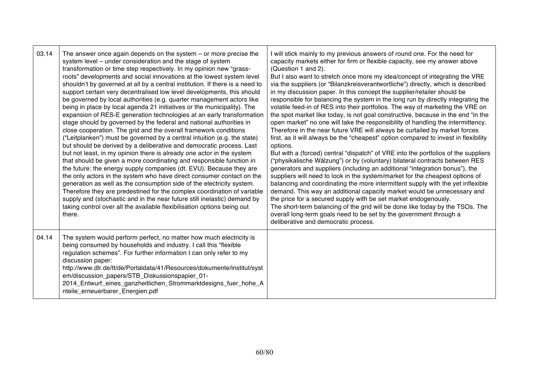| 03.14 | The answer once again depends on the system $-$ or more precise the<br>system level - under consideration and the stage of system<br>transformation or time step respectively. In my opinion new "grass-<br>roots" developments and social innovations at the lowest system level<br>shouldn't by governed at all by a central institution. If there is a need to<br>support certain very decentralised low level developments, this should<br>be governed by local authorities (e.g. quarter management actors like<br>being in place by local agenda 21 initiatives or the municipality). The<br>expansion of RES-E generation technologies at an early transformation<br>stage should by governed by the federal and national authorities in<br>close cooperation. The grid and the overall framework conditions<br>("Leitplanken") must be governed by a central intuition (e.g. the state)<br>but should be derived by a deliberative and democratic process. Last<br>but not least, in my opinion there is already one actor in the system<br>that should be given a more coordinating and responsible function in<br>the future: the energy supply companies (dt. EVU). Because they are<br>the only actors in the system who have direct consumer contact on the<br>generation as well as the consumption side of the electricity system.<br>Therefore they are predestined for the complex coordination of variable<br>supply and (stochastic and in the near future still inelastic) demand by<br>taking control over all the available flexibilisation options being out<br>there. | will stick mainly to my previous answers of round one. For the need for<br>capacity markets either for firm or flexible capacity, see my answer above<br>(Question 1 and 2).<br>But I also want to stretch once more my idea/concept of integrating the VRE<br>via the suppliers (or "Bilanzkreisverantwortliche") directly, which is described<br>in my discussion paper. In this concept the supplier/retailer should be<br>responsible for balancing the system in the long run by directly integrating the<br>volatile feed-in of RES into their portfolios. The way of marketing the VRE on<br>the spot market like today, is not goal constructive, because in the end "in the<br>open market" no one will take the responsibility of handling the intermittency.<br>Therefore in the near future VRE will always be curtailed by market forces<br>first, as it will always be the "cheapest" option compared to invest in flexibility<br>options.<br>But with a (forced) central "dispatch" of VRE into the portfolios of the suppliers<br>("physikalische Wälzung") or by (voluntary) bilateral contracts between RES<br>generators and suppliers (including an additional "integration bonus"), the<br>suppliers will need to look in the system/market for the cheapest options of<br>balancing and coordinating the more intermittent supply with the yet inflexible<br>demand. This way an additional capacity market would be unnecessary and<br>the price for a secured supply with be set market endogenously.<br>The short-term balancing of the grid will be done like today by the TSOs. The<br>overall long-term goals need to be set by the government through a<br>deliberative and democratic process. |
|-------|-----------------------------------------------------------------------------------------------------------------------------------------------------------------------------------------------------------------------------------------------------------------------------------------------------------------------------------------------------------------------------------------------------------------------------------------------------------------------------------------------------------------------------------------------------------------------------------------------------------------------------------------------------------------------------------------------------------------------------------------------------------------------------------------------------------------------------------------------------------------------------------------------------------------------------------------------------------------------------------------------------------------------------------------------------------------------------------------------------------------------------------------------------------------------------------------------------------------------------------------------------------------------------------------------------------------------------------------------------------------------------------------------------------------------------------------------------------------------------------------------------------------------------------------------------------------------------------------------|------------------------------------------------------------------------------------------------------------------------------------------------------------------------------------------------------------------------------------------------------------------------------------------------------------------------------------------------------------------------------------------------------------------------------------------------------------------------------------------------------------------------------------------------------------------------------------------------------------------------------------------------------------------------------------------------------------------------------------------------------------------------------------------------------------------------------------------------------------------------------------------------------------------------------------------------------------------------------------------------------------------------------------------------------------------------------------------------------------------------------------------------------------------------------------------------------------------------------------------------------------------------------------------------------------------------------------------------------------------------------------------------------------------------------------------------------------------------------------------------------------------------------------------------------------------------------------------------------------------------------------------------------------------------------------------------------------------------------|
| 04.14 | The system would perform perfect, no matter how much electricity is<br>being consumed by households and industry. I call this "flexible<br>regulation schemes". For further information I can only refer to my<br>discussion paper:<br>http://www.dlr.de/tt/de/Portaldata/41/Resources/dokumente/institut/syst<br>em/discussion_papers/STB_Diskussionspapier_01-<br>2014_Entwurf_eines_ganzheitlichen_Strommarktdesigns_fuer_hohe_A<br>nteile_erneuerbarer_Energien.pdf                                                                                                                                                                                                                                                                                                                                                                                                                                                                                                                                                                                                                                                                                                                                                                                                                                                                                                                                                                                                                                                                                                                       |                                                                                                                                                                                                                                                                                                                                                                                                                                                                                                                                                                                                                                                                                                                                                                                                                                                                                                                                                                                                                                                                                                                                                                                                                                                                                                                                                                                                                                                                                                                                                                                                                                                                                                                              |

┱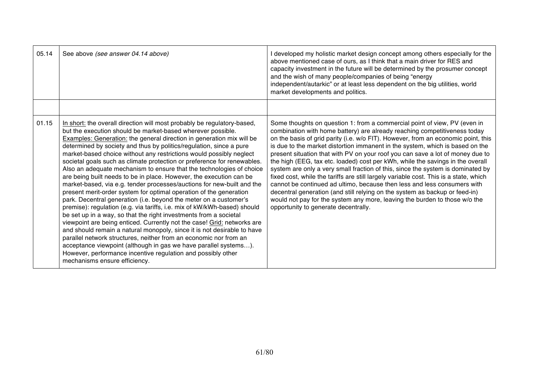| 05.14 | See above (see answer 04.14 above)                                                                                                                                                                                                                                                                                                                                                                                                                                                                                                                                                                                                                                                                                                                                                                                                                                                                                                                                                                                                                                                                                                                                                                                                                                                                                                                                   | I developed my holistic market design concept among others especially for the<br>above mentioned case of ours, as I think that a main driver for RES and<br>capacity investment in the future will be determined by the prosumer concept<br>and the wish of many people/companies of being "energy<br>independent/autarkic" or at least less dependent on the big utilities, world<br>market developments and politics.                                                                                                                                                                                                                                                                                                                                                                                                                                                                                                                                       |
|-------|----------------------------------------------------------------------------------------------------------------------------------------------------------------------------------------------------------------------------------------------------------------------------------------------------------------------------------------------------------------------------------------------------------------------------------------------------------------------------------------------------------------------------------------------------------------------------------------------------------------------------------------------------------------------------------------------------------------------------------------------------------------------------------------------------------------------------------------------------------------------------------------------------------------------------------------------------------------------------------------------------------------------------------------------------------------------------------------------------------------------------------------------------------------------------------------------------------------------------------------------------------------------------------------------------------------------------------------------------------------------|---------------------------------------------------------------------------------------------------------------------------------------------------------------------------------------------------------------------------------------------------------------------------------------------------------------------------------------------------------------------------------------------------------------------------------------------------------------------------------------------------------------------------------------------------------------------------------------------------------------------------------------------------------------------------------------------------------------------------------------------------------------------------------------------------------------------------------------------------------------------------------------------------------------------------------------------------------------|
|       |                                                                                                                                                                                                                                                                                                                                                                                                                                                                                                                                                                                                                                                                                                                                                                                                                                                                                                                                                                                                                                                                                                                                                                                                                                                                                                                                                                      |                                                                                                                                                                                                                                                                                                                                                                                                                                                                                                                                                                                                                                                                                                                                                                                                                                                                                                                                                               |
| 01.15 | In short: the overall direction will most probably be regulatory-based,<br>but the execution should be market-based wherever possible.<br><b>Examples: Generation: the general direction in generation mix will be</b><br>determined by society and thus by politics/regulation, since a pure<br>market-based choice without any restrictions would possibly neglect<br>societal goals such as climate protection or preference for renewables.<br>Also an adequate mechanism to ensure that the technologies of choice<br>are being built needs to be in place. However, the execution can be<br>market-based, via e.g. tender processes/auctions for new-built and the<br>present merit-order system for optimal operation of the generation<br>park. Decentral generation (i.e. beyond the meter on a customer's<br>premise): regulation (e.g. via tariffs, i.e. mix of kW/kWh-based) should<br>be set up in a way, so that the right investments from a societal<br>viewpoint are being enticed. Currently not the case! Grid: networks are<br>and should remain a natural monopoly, since it is not desirable to have<br>parallel network structures, neither from an economic nor from an<br>acceptance viewpoint (although in gas we have parallel systems).<br>However, performance incentive regulation and possibly other<br>mechanisms ensure efficiency. | Some thoughts on question 1: from a commercial point of view, PV (even in<br>combination with home battery) are already reaching competitiveness today<br>on the basis of grid parity (i.e. w/o FIT). However, from an economic point, this<br>is due to the market distortion immanent in the system, which is based on the<br>present situation that with PV on your roof you can save a lot of money due to<br>the high (EEG, tax etc. loaded) cost per kWh, while the savings in the overall<br>system are only a very small fraction of this, since the system is dominated by<br>fixed cost, while the tariffs are still largely variable cost. This is a state, which<br>cannot be continued ad ultimo, because then less and less consumers with<br>decentral generation (and still relying on the system as backup or feed-in)<br>would not pay for the system any more, leaving the burden to those w/o the<br>opportunity to generate decentrally. |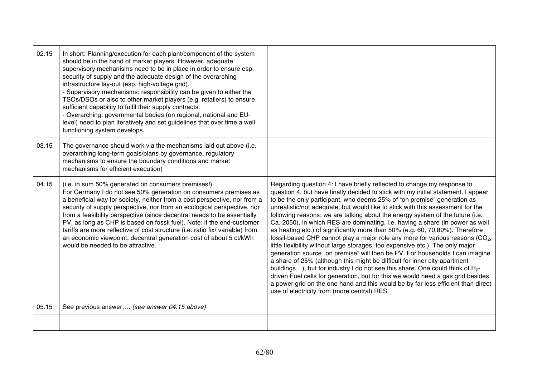| 02.15 | In short: Planning/execution for each plant/component of the system<br>should be in the hand of market players. However, adequate<br>supervisory mechanisms need to be in place in order to ensure esp.<br>security of supply and the adequate design of the overarching<br>infrastructure lay-out (esp. high-voltage grid).<br>- Supervisory mechanisms: responsibility can be given to either the<br>TSOs/DSOs or also to other market players (e.g. retailers) to ensure<br>sufficient capability to fulfil their supply contracts.<br>- Overarching: governmental bodies (on regional, national and EU-<br>level) need to plan iteratively and set guidelines that over time a well<br>functioning system develops. |                                                                                                                                                                                                                                                                                                                                                                                                                                                                                                                                                                                                                                                                                                                                                                                                                                                                                                                                                                                                                                                                                                                                                                                                                                 |
|-------|-------------------------------------------------------------------------------------------------------------------------------------------------------------------------------------------------------------------------------------------------------------------------------------------------------------------------------------------------------------------------------------------------------------------------------------------------------------------------------------------------------------------------------------------------------------------------------------------------------------------------------------------------------------------------------------------------------------------------|---------------------------------------------------------------------------------------------------------------------------------------------------------------------------------------------------------------------------------------------------------------------------------------------------------------------------------------------------------------------------------------------------------------------------------------------------------------------------------------------------------------------------------------------------------------------------------------------------------------------------------------------------------------------------------------------------------------------------------------------------------------------------------------------------------------------------------------------------------------------------------------------------------------------------------------------------------------------------------------------------------------------------------------------------------------------------------------------------------------------------------------------------------------------------------------------------------------------------------|
| 03.15 | The governance should work via the mechanisms laid out above (i.e.<br>overarching long-term goals/plans by governance, regulatory<br>mechanisms to ensure the boundary conditions and market<br>mechanisms for efficient execution)                                                                                                                                                                                                                                                                                                                                                                                                                                                                                     |                                                                                                                                                                                                                                                                                                                                                                                                                                                                                                                                                                                                                                                                                                                                                                                                                                                                                                                                                                                                                                                                                                                                                                                                                                 |
| 04.15 | (i.e. in sum 50% generated on consumers premises!)<br>For Germany I do not see 50% generation on consumers premises as<br>a beneficial way for society, neither from a cost perspective, nor from a<br>security of supply perspective, nor from an ecological perspective, nor<br>from a feasibility perspective (since decentral needs to be essentially<br>PV, as long as CHP is based on fossil fuel). Note: if the end-customer<br>tariffs are more reflective of cost structure (i.e. ratio fix/ variable) from<br>an economic viewpoint, decentral generation cost of about 5 ct/kWh<br>would be needed to be attractive.                                                                                         | Regarding question 4: I have briefly reflected to change my response to<br>question 4, but have finally decided to stick with my initial statement. I appear<br>to be the only participant, who deems 25% of "on premise" generation as<br>unrealistic/not adequate, but would like to stick with this assessment for the<br>following reasons: we are talking about the energy system of the future (i.e.<br>Ca. 2050), in which RES are dominating, i.e. having a share (in power as well<br>as heating etc.) of significantly more than 50% (e.g. 60, 70,80%). Therefore<br>fossil-based CHP cannot play a major role any more for various reasons $(CO2)$<br>little flexibility without large storages, too expensive etc.). The only major<br>generation source "on premise" will then be PV. For households I can imagine<br>a share of 25% (although this might be difficult for inner city apartment<br>buildings), but for industry I do not see this share. One could think of H <sub>2</sub> -<br>driven Fuel cells for generation, but for this we would need a gas grid besides<br>a power grid on the one hand and this would be by far less efficient than direct<br>use of electricity from (more central) RES. |
| 05.15 | See previous answer (see answer 04.15 above)                                                                                                                                                                                                                                                                                                                                                                                                                                                                                                                                                                                                                                                                            |                                                                                                                                                                                                                                                                                                                                                                                                                                                                                                                                                                                                                                                                                                                                                                                                                                                                                                                                                                                                                                                                                                                                                                                                                                 |
|       |                                                                                                                                                                                                                                                                                                                                                                                                                                                                                                                                                                                                                                                                                                                         |                                                                                                                                                                                                                                                                                                                                                                                                                                                                                                                                                                                                                                                                                                                                                                                                                                                                                                                                                                                                                                                                                                                                                                                                                                 |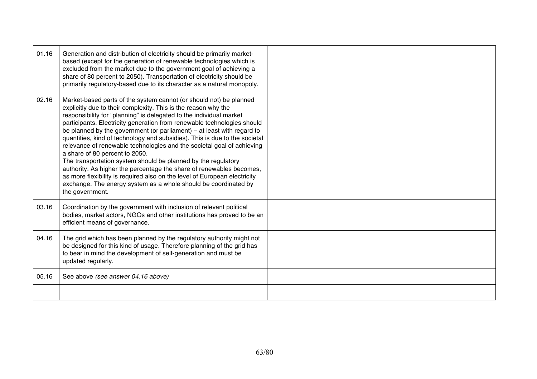| 01.16 | Generation and distribution of electricity should be primarily market-<br>based (except for the generation of renewable technologies which is<br>excluded from the market due to the government goal of achieving a<br>share of 80 percent to 2050). Transportation of electricity should be<br>primarily regulatory-based due to its character as a natural monopoly.                                                                                                                                                                                                                                                                                                                                                                                                                                                                                                   |  |
|-------|--------------------------------------------------------------------------------------------------------------------------------------------------------------------------------------------------------------------------------------------------------------------------------------------------------------------------------------------------------------------------------------------------------------------------------------------------------------------------------------------------------------------------------------------------------------------------------------------------------------------------------------------------------------------------------------------------------------------------------------------------------------------------------------------------------------------------------------------------------------------------|--|
| 02.16 | Market-based parts of the system cannot (or should not) be planned<br>explicitly due to their complexity. This is the reason why the<br>responsibility for "planning" is delegated to the individual market<br>participants. Electricity generation from renewable technologies should<br>be planned by the government (or parliament) $-$ at least with regard to<br>quantities, kind of technology and subsidies). This is due to the societal<br>relevance of renewable technologies and the societal goal of achieving<br>a share of 80 percent to 2050.<br>The transportation system should be planned by the regulatory<br>authority. As higher the percentage the share of renewables becomes,<br>as more flexibility is required also on the level of European electricity<br>exchange. The energy system as a whole should be coordinated by<br>the government. |  |
| 03.16 | Coordination by the government with inclusion of relevant political<br>bodies, market actors, NGOs and other institutions has proved to be an<br>efficient means of governance.                                                                                                                                                                                                                                                                                                                                                                                                                                                                                                                                                                                                                                                                                          |  |
| 04.16 | The grid which has been planned by the regulatory authority might not<br>be designed for this kind of usage. Therefore planning of the grid has<br>to bear in mind the development of self-generation and must be<br>updated regularly.                                                                                                                                                                                                                                                                                                                                                                                                                                                                                                                                                                                                                                  |  |
| 05.16 | See above (see answer 04.16 above)                                                                                                                                                                                                                                                                                                                                                                                                                                                                                                                                                                                                                                                                                                                                                                                                                                       |  |
|       |                                                                                                                                                                                                                                                                                                                                                                                                                                                                                                                                                                                                                                                                                                                                                                                                                                                                          |  |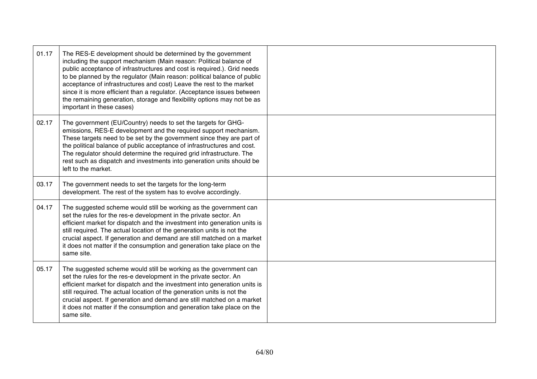| 01.17 | The RES-E development should be determined by the government<br>including the support mechanism (Main reason: Political balance of<br>public acceptance of infrastructures and cost is required.). Grid needs<br>to be planned by the regulator (Main reason: political balance of public<br>acceptance of infrastructures and cost) Leave the rest to the market<br>since it is more efficient than a regulator. (Acceptance issues between<br>the remaining generation, storage and flexibility options may not be as<br>important in these cases) |  |
|-------|------------------------------------------------------------------------------------------------------------------------------------------------------------------------------------------------------------------------------------------------------------------------------------------------------------------------------------------------------------------------------------------------------------------------------------------------------------------------------------------------------------------------------------------------------|--|
| 02.17 | The government (EU/Country) needs to set the targets for GHG-<br>emissions, RES-E development and the required support mechanism.<br>These targets need to be set by the government since they are part of<br>the political balance of public acceptance of infrastructures and cost.<br>The regulator should determine the required grid infrastructure. The<br>rest such as dispatch and investments into generation units should be<br>left to the market.                                                                                        |  |
| 03.17 | The government needs to set the targets for the long-term<br>development. The rest of the system has to evolve accordingly.                                                                                                                                                                                                                                                                                                                                                                                                                          |  |
| 04.17 | The suggested scheme would still be working as the government can<br>set the rules for the res-e development in the private sector. An<br>efficient market for dispatch and the investment into generation units is<br>still required. The actual location of the generation units is not the<br>crucial aspect. If generation and demand are still matched on a market<br>it does not matter if the consumption and generation take place on the<br>same site.                                                                                      |  |
| 05.17 | The suggested scheme would still be working as the government can<br>set the rules for the res-e development in the private sector. An<br>efficient market for dispatch and the investment into generation units is<br>still required. The actual location of the generation units is not the<br>crucial aspect. If generation and demand are still matched on a market<br>it does not matter if the consumption and generation take place on the<br>same site.                                                                                      |  |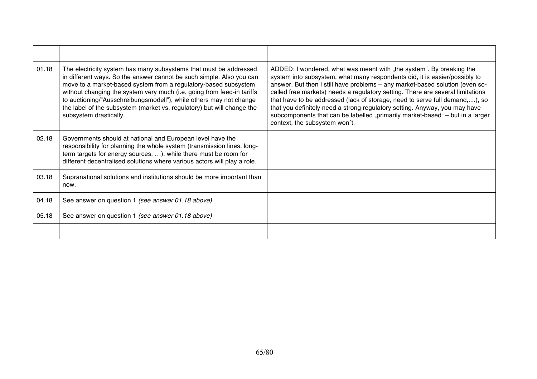| 01.18 | The electricity system has many subsystems that must be addressed<br>in different ways. So the answer cannot be such simple. Also you can<br>move to a market-based system from a regulatory-based subsystem<br>without changing the system very much (i.e. going from feed-in tariffs<br>to auctioning/"Ausschreibungsmodell"), while others may not change<br>the label of the subsystem (market vs. regulatory) but will change the<br>subsystem drastically. | ADDED: I wondered, what was meant with "the system". By breaking the<br>system into subsystem, what many respondents did, it is easier/possibly to<br>answer. But then I still have problems - any market-based solution (even so-<br>called free markets) needs a regulatory setting. There are several limitations<br>that have to be addressed (lack of storage, need to serve full demand,), so<br>that you definitely need a strong regulatory setting. Anyway, you may have<br>subcomponents that can be labelled "primarily market-based" - but in a larger<br>context, the subsystem won't. |
|-------|------------------------------------------------------------------------------------------------------------------------------------------------------------------------------------------------------------------------------------------------------------------------------------------------------------------------------------------------------------------------------------------------------------------------------------------------------------------|-----------------------------------------------------------------------------------------------------------------------------------------------------------------------------------------------------------------------------------------------------------------------------------------------------------------------------------------------------------------------------------------------------------------------------------------------------------------------------------------------------------------------------------------------------------------------------------------------------|
| 02.18 | Governments should at national and European level have the<br>responsibility for planning the whole system (transmission lines, long-<br>term targets for energy sources, ), while there must be room for<br>different decentralised solutions where various actors will play a role.                                                                                                                                                                            |                                                                                                                                                                                                                                                                                                                                                                                                                                                                                                                                                                                                     |
| 03.18 | Supranational solutions and institutions should be more important than<br>now.                                                                                                                                                                                                                                                                                                                                                                                   |                                                                                                                                                                                                                                                                                                                                                                                                                                                                                                                                                                                                     |
| 04.18 | See answer on question 1 (see answer 01.18 above)                                                                                                                                                                                                                                                                                                                                                                                                                |                                                                                                                                                                                                                                                                                                                                                                                                                                                                                                                                                                                                     |
| 05.18 | See answer on question 1 (see answer 01.18 above)                                                                                                                                                                                                                                                                                                                                                                                                                |                                                                                                                                                                                                                                                                                                                                                                                                                                                                                                                                                                                                     |
|       |                                                                                                                                                                                                                                                                                                                                                                                                                                                                  |                                                                                                                                                                                                                                                                                                                                                                                                                                                                                                                                                                                                     |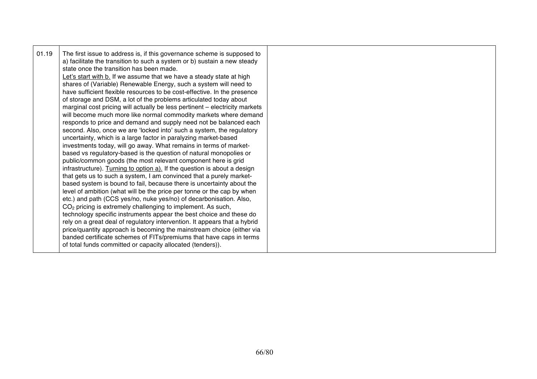|--|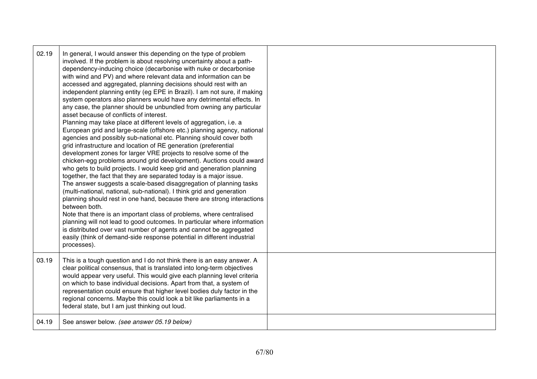| 02.19 | In general, I would answer this depending on the type of problem<br>involved. If the problem is about resolving uncertainty about a path-<br>dependency-inducing choice (decarbonise with nuke or decarbonise<br>with wind and PV) and where relevant data and information can be<br>accessed and aggregated, planning decisions should rest with an<br>independent planning entity (eg EPE in Brazil). I am not sure, if making<br>system operators also planners would have any detrimental effects. In<br>any case, the planner should be unbundled from owning any particular<br>asset because of conflicts of interest.<br>Planning may take place at different levels of aggregation, i.e. a<br>European grid and large-scale (offshore etc.) planning agency, national<br>agencies and possibly sub-national etc. Planning should cover both<br>grid infrastructure and location of RE generation (preferential<br>development zones for larger VRE projects to resolve some of the<br>chicken-egg problems around grid development). Auctions could award<br>who gets to build projects. I would keep grid and generation planning<br>together, the fact that they are separated today is a major issue.<br>The answer suggests a scale-based disaggregation of planning tasks<br>(multi-national, national, sub-national). I think grid and generation<br>planning should rest in one hand, because there are strong interactions<br>between both.<br>Note that there is an important class of problems, where centralised<br>planning will not lead to good outcomes. In particular where information<br>is distributed over vast number of agents and cannot be aggregated<br>easily (think of demand-side response potential in different industrial<br>processes). |  |
|-------|---------------------------------------------------------------------------------------------------------------------------------------------------------------------------------------------------------------------------------------------------------------------------------------------------------------------------------------------------------------------------------------------------------------------------------------------------------------------------------------------------------------------------------------------------------------------------------------------------------------------------------------------------------------------------------------------------------------------------------------------------------------------------------------------------------------------------------------------------------------------------------------------------------------------------------------------------------------------------------------------------------------------------------------------------------------------------------------------------------------------------------------------------------------------------------------------------------------------------------------------------------------------------------------------------------------------------------------------------------------------------------------------------------------------------------------------------------------------------------------------------------------------------------------------------------------------------------------------------------------------------------------------------------------------------------------------------------------------------------------------------------------------------------|--|
| 03.19 | This is a tough question and I do not think there is an easy answer. A<br>clear political consensus, that is translated into long-term objectives<br>would appear very useful. This would give each planning level criteria<br>on which to base individual decisions. Apart from that, a system of<br>representation could ensure that higher level bodies duly factor in the<br>regional concerns. Maybe this could look a bit like parliaments in a<br>federal state, but I am just thinking out loud.                                                                                                                                                                                                                                                                                                                                                                                                                                                                                                                                                                                                                                                                                                                                                                                                                                                                                                                                                                                                                                                                                                                                                                                                                                                                        |  |
| 04.19 | See answer below. (see answer 05.19 below)                                                                                                                                                                                                                                                                                                                                                                                                                                                                                                                                                                                                                                                                                                                                                                                                                                                                                                                                                                                                                                                                                                                                                                                                                                                                                                                                                                                                                                                                                                                                                                                                                                                                                                                                      |  |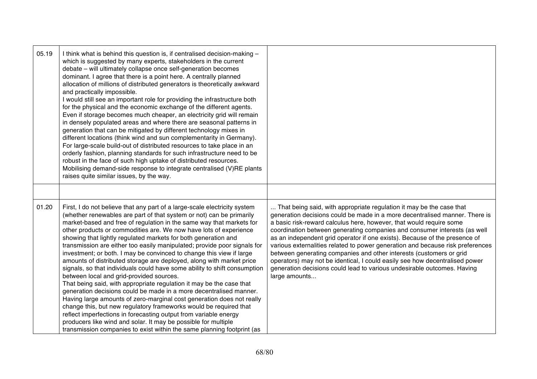| 05.19 | I think what is behind this question is, if centralised decision-making -<br>which is suggested by many experts, stakeholders in the current<br>debate - will ultimately collapse once self-generation becomes<br>dominant. I agree that there is a point here. A centrally planned<br>allocation of millions of distributed generators is theoretically awkward<br>and practically impossible.<br>I would still see an important role for providing the infrastructure both<br>for the physical and the economic exchange of the different agents.<br>Even if storage becomes much cheaper, an electricity grid will remain<br>in densely populated areas and where there are seasonal patterns in<br>generation that can be mitigated by different technology mixes in<br>different locations (think wind and sun complementarity in Germany).<br>For large-scale build-out of distributed resources to take place in an<br>orderly fashion, planning standards for such infrastructure need to be<br>robust in the face of such high uptake of distributed resources.<br>Mobilising demand-side response to integrate centralised (V)RE plants<br>raises quite similar issues, by the way.                                     |                                                                                                                                                                                                                                                                                                                                                                                                                                                                                                                                                                                                                                                                                                                           |
|-------|-----------------------------------------------------------------------------------------------------------------------------------------------------------------------------------------------------------------------------------------------------------------------------------------------------------------------------------------------------------------------------------------------------------------------------------------------------------------------------------------------------------------------------------------------------------------------------------------------------------------------------------------------------------------------------------------------------------------------------------------------------------------------------------------------------------------------------------------------------------------------------------------------------------------------------------------------------------------------------------------------------------------------------------------------------------------------------------------------------------------------------------------------------------------------------------------------------------------------------------|---------------------------------------------------------------------------------------------------------------------------------------------------------------------------------------------------------------------------------------------------------------------------------------------------------------------------------------------------------------------------------------------------------------------------------------------------------------------------------------------------------------------------------------------------------------------------------------------------------------------------------------------------------------------------------------------------------------------------|
| 01.20 | First, I do not believe that any part of a large-scale electricity system<br>(whether renewables are part of that system or not) can be primarily<br>market-based and free of regulation in the same way that markets for<br>other products or commodities are. We now have lots of experience<br>showing that lightly regulated markets for both generation and<br>transmission are either too easily manipulated; provide poor signals for<br>investment; or both. I may be convinced to change this view if large<br>amounts of distributed storage are deployed, along with market price<br>signals, so that individuals could have some ability to shift consumption<br>between local and grid-provided sources.<br>That being said, with appropriate regulation it may be the case that<br>generation decisions could be made in a more decentralised manner.<br>Having large amounts of zero-marginal cost generation does not really<br>change this, but new regulatory frameworks would be required that<br>reflect imperfections in forecasting output from variable energy<br>producers like wind and solar. It may be possible for multiple<br>transmission companies to exist within the same planning footprint (as | That being said, with appropriate regulation it may be the case that<br>generation decisions could be made in a more decentralised manner. There is<br>a basic risk-reward calculus here, however, that would require some<br>coordination between generating companies and consumer interests (as well<br>as an independent grid operator if one exists). Because of the presence of<br>various externalities related to power generation and because risk preferences<br>between generating companies and other interests (customers or grid<br>operators) may not be identical, I could easily see how decentralised power<br>generation decisions could lead to various undesirable outcomes. Having<br>large amounts |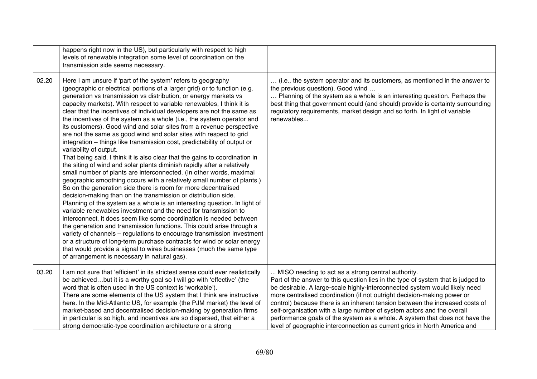|       | happens right now in the US), but particularly with respect to high<br>levels of renewable integration some level of coordination on the<br>transmission side seems necessary.                                                                                                                                                                                                                                                                                                                                                                                                                                                                                                                                                                                                                                                                                                                                                                                                                                                                                                                                                                                                                                                                                                                                                                                                                                                                                                                                                                                                                                                                                                                                            |                                                                                                                                                                                                                                                                                                                                                                                                                                                                                                                                                                                                                       |
|-------|---------------------------------------------------------------------------------------------------------------------------------------------------------------------------------------------------------------------------------------------------------------------------------------------------------------------------------------------------------------------------------------------------------------------------------------------------------------------------------------------------------------------------------------------------------------------------------------------------------------------------------------------------------------------------------------------------------------------------------------------------------------------------------------------------------------------------------------------------------------------------------------------------------------------------------------------------------------------------------------------------------------------------------------------------------------------------------------------------------------------------------------------------------------------------------------------------------------------------------------------------------------------------------------------------------------------------------------------------------------------------------------------------------------------------------------------------------------------------------------------------------------------------------------------------------------------------------------------------------------------------------------------------------------------------------------------------------------------------|-----------------------------------------------------------------------------------------------------------------------------------------------------------------------------------------------------------------------------------------------------------------------------------------------------------------------------------------------------------------------------------------------------------------------------------------------------------------------------------------------------------------------------------------------------------------------------------------------------------------------|
| 02.20 | Here I am unsure if 'part of the system' refers to geography<br>(geographic or electrical portions of a larger grid) or to function (e.g.<br>generation vs transmission vs distribution, or energy markets vs<br>capacity markets). With respect to variable renewables, I think it is<br>clear that the incentives of individual developers are not the same as<br>the incentives of the system as a whole (i.e., the system operator and<br>its customers). Good wind and solar sites from a revenue perspective<br>are not the same as good wind and solar sites with respect to grid<br>integration - things like transmission cost, predictability of output or<br>variability of output.<br>That being said, I think it is also clear that the gains to coordination in<br>the siting of wind and solar plants diminish rapidly after a relatively<br>small number of plants are interconnected. (In other words, maximal<br>geographic smoothing occurs with a relatively small number of plants.)<br>So on the generation side there is room for more decentralised<br>decision-making than on the transmission or distribution side.<br>Planning of the system as a whole is an interesting question. In light of<br>variable renewables investment and the need for transmission to<br>interconnect, it does seem like some coordination is needed between<br>the generation and transmission functions. This could arise through a<br>variety of channels - regulations to encourage transmission investment<br>or a structure of long-term purchase contracts for wind or solar energy<br>that would provide a signal to wires businesses (much the same type<br>of arrangement is necessary in natural gas). | (i.e., the system operator and its customers, as mentioned in the answer to<br>the previous question). Good wind<br>Planning of the system as a whole is an interesting question. Perhaps the<br>best thing that government could (and should) provide is certainty surrounding<br>regulatory requirements, market design and so forth. In light of variable<br>renewables                                                                                                                                                                                                                                            |
| 03.20 | I am not sure that 'efficient' in its strictest sense could ever realistically<br>be achievedbut it is a worthy goal so I will go with 'effective' (the<br>word that is often used in the US context is 'workable').<br>There are some elements of the US system that I think are instructive<br>here. In the Mid-Atlantic US, for example (the PJM market) the level of<br>market-based and decentralised decision-making by generation firms<br>in particular is so high, and incentives are so dispersed, that either a<br>strong democratic-type coordination architecture or a strong                                                                                                                                                                                                                                                                                                                                                                                                                                                                                                                                                                                                                                                                                                                                                                                                                                                                                                                                                                                                                                                                                                                                | MISO needing to act as a strong central authority.<br>Part of the answer to this question lies in the type of system that is judged to<br>be desirable. A large-scale highly-interconnected system would likely need<br>more centralised coordination (if not outright decision-making power or<br>control) because there is an inherent tension between the increased costs of<br>self-organisation with a large number of system actors and the overall<br>performance goals of the system as a whole. A system that does not have the<br>level of geographic interconnection as current grids in North America and |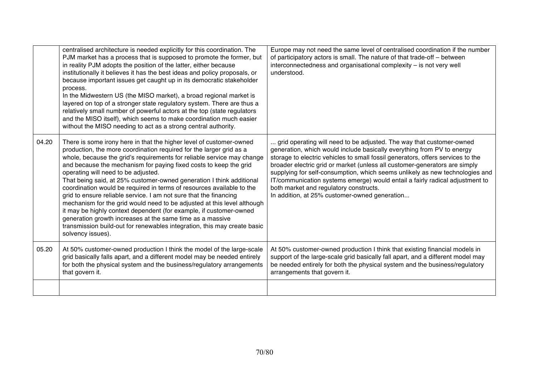|       | centralised architecture is needed explicitly for this coordination. The<br>PJM market has a process that is supposed to promote the former, but<br>in reality PJM adopts the position of the latter, either because<br>institutionally it believes it has the best ideas and policy proposals, or<br>because important issues get caught up in its democratic stakeholder<br>process.<br>In the Midwestern US (the MISO market), a broad regional market is<br>layered on top of a stronger state regulatory system. There are thus a<br>relatively small number of powerful actors at the top (state regulators<br>and the MISO itself), which seems to make coordination much easier<br>without the MISO needing to act as a strong central authority.                                                                                                             | Europe may not need the same level of centralised coordination if the number<br>of participatory actors is small. The nature of that trade-off - between<br>interconnectedness and organisational complexity - is not very well<br>understood.                                                                                                                                                                                                                                                                                                                             |
|-------|-----------------------------------------------------------------------------------------------------------------------------------------------------------------------------------------------------------------------------------------------------------------------------------------------------------------------------------------------------------------------------------------------------------------------------------------------------------------------------------------------------------------------------------------------------------------------------------------------------------------------------------------------------------------------------------------------------------------------------------------------------------------------------------------------------------------------------------------------------------------------|----------------------------------------------------------------------------------------------------------------------------------------------------------------------------------------------------------------------------------------------------------------------------------------------------------------------------------------------------------------------------------------------------------------------------------------------------------------------------------------------------------------------------------------------------------------------------|
| 04.20 | There is some irony here in that the higher level of customer-owned<br>production, the more coordination required for the larger grid as a<br>whole, because the grid's requirements for reliable service may change<br>and because the mechanism for paying fixed costs to keep the grid<br>operating will need to be adjusted.<br>That being said, at 25% customer-owned generation I think additional<br>coordination would be required in terms of resources available to the<br>grid to ensure reliable service. I am not sure that the financing<br>mechanism for the grid would need to be adjusted at this level although<br>it may be highly context dependent (for example, if customer-owned<br>generation growth increases at the same time as a massive<br>transmission build-out for renewables integration, this may create basic<br>solvency issues). | grid operating will need to be adjusted. The way that customer-owned<br>generation, which would include basically everything from PV to energy<br>storage to electric vehicles to small fossil generators, offers services to the<br>broader electric grid or market (unless all customer-generators are simply<br>supplying for self-consumption, which seems unlikely as new technologies and<br>IT/communication systems emerge) would entail a fairly radical adjustment to<br>both market and regulatory constructs.<br>In addition, at 25% customer-owned generation |
| 05.20 | At 50% customer-owned production I think the model of the large-scale<br>grid basically falls apart, and a different model may be needed entirely<br>for both the physical system and the business/regulatory arrangements<br>that govern it.                                                                                                                                                                                                                                                                                                                                                                                                                                                                                                                                                                                                                         | At 50% customer-owned production I think that existing financial models in<br>support of the large-scale grid basically fall apart, and a different model may<br>be needed entirely for both the physical system and the business/regulatory<br>arrangements that govern it.                                                                                                                                                                                                                                                                                               |
|       |                                                                                                                                                                                                                                                                                                                                                                                                                                                                                                                                                                                                                                                                                                                                                                                                                                                                       |                                                                                                                                                                                                                                                                                                                                                                                                                                                                                                                                                                            |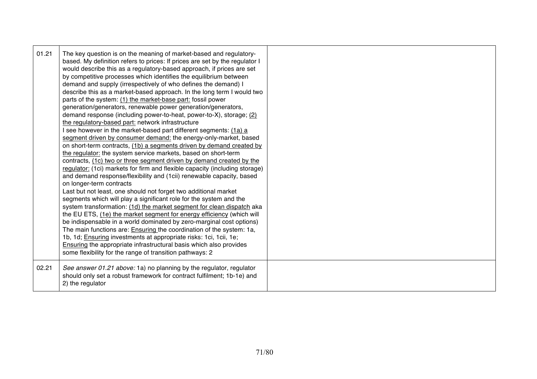| 01.21 | The key question is on the meaning of market-based and regulatory-<br>based. My definition refers to prices: If prices are set by the regulator I<br>would describe this as a regulatory-based approach, if prices are set<br>by competitive processes which identifies the equilibrium between<br>demand and supply (irrespectively of who defines the demand) I<br>describe this as a market-based approach. In the long term I would two<br>parts of the system: (1) the market-base part: fossil power<br>generation/generators, renewable power generation/generators,<br>demand response (including power-to-heat, power-to-X), storage; (2)<br>the regulatory-based part: network infrastructure<br>I see however in the market-based part different segments: (1a) a<br>segment driven by consumer demand: the energy-only-market, based<br>on short-term contracts, (1b) a segments driven by demand created by<br>the regulator: the system service markets, based on short-term<br>contracts, (1c) two or three segment driven by demand created by the<br>regulator: (1ci) markets for firm and flexible capacity (including storage)<br>and demand response/flexibility and (1cii) renewable capacity, based<br>on longer-term contracts<br>Last but not least, one should not forget two additional market<br>segments which will play a significant role for the system and the<br>system transformation: (1d) the market segment for clean dispatch aka<br>the EU ETS, (1e) the market segment for energy efficiency (which will<br>be indispensable in a world dominated by zero-marginal cost options)<br>The main functions are: Ensuring the coordination of the system: 1a,<br>1b, 1d; <i>Ensuring</i> investments at appropriate risks: 1ci, 1cii, 1e;<br><b>Ensuring the appropriate infrastructural basis which also provides</b><br>some flexibility for the range of transition pathways: 2 |  |
|-------|-----------------------------------------------------------------------------------------------------------------------------------------------------------------------------------------------------------------------------------------------------------------------------------------------------------------------------------------------------------------------------------------------------------------------------------------------------------------------------------------------------------------------------------------------------------------------------------------------------------------------------------------------------------------------------------------------------------------------------------------------------------------------------------------------------------------------------------------------------------------------------------------------------------------------------------------------------------------------------------------------------------------------------------------------------------------------------------------------------------------------------------------------------------------------------------------------------------------------------------------------------------------------------------------------------------------------------------------------------------------------------------------------------------------------------------------------------------------------------------------------------------------------------------------------------------------------------------------------------------------------------------------------------------------------------------------------------------------------------------------------------------------------------------------------------------------------------------------------------------------------------------------------------------------------|--|
| 02.21 | See answer 01.21 above: 1a) no planning by the regulator, regulator<br>should only set a robust framework for contract fulfilment; 1b-1e) and<br>2) the regulator                                                                                                                                                                                                                                                                                                                                                                                                                                                                                                                                                                                                                                                                                                                                                                                                                                                                                                                                                                                                                                                                                                                                                                                                                                                                                                                                                                                                                                                                                                                                                                                                                                                                                                                                                     |  |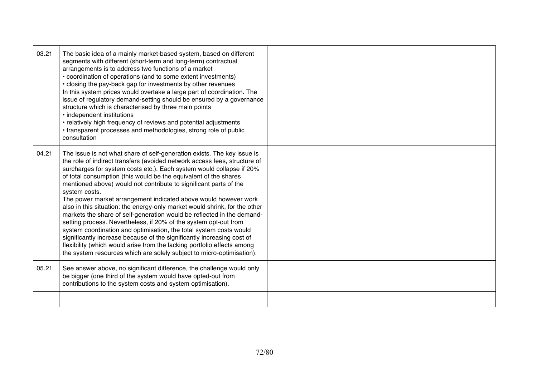| 03.21 | The basic idea of a mainly market-based system, based on different<br>segments with different (short-term and long-term) contractual<br>arrangements is to address two functions of a market<br>• coordination of operations (and to some extent investments)<br>• closing the pay-back gap for investments by other revenues<br>In this system prices would overtake a large part of coordination. The<br>issue of regulatory demand-setting should be ensured by a governance<br>structure which is characterised by three main points<br>· independent institutions<br>• relatively high frequency of reviews and potential adjustments<br>• transparent processes and methodologies, strong role of public<br>consultation                                                                                                                                                                                                                                                            |  |
|-------|-------------------------------------------------------------------------------------------------------------------------------------------------------------------------------------------------------------------------------------------------------------------------------------------------------------------------------------------------------------------------------------------------------------------------------------------------------------------------------------------------------------------------------------------------------------------------------------------------------------------------------------------------------------------------------------------------------------------------------------------------------------------------------------------------------------------------------------------------------------------------------------------------------------------------------------------------------------------------------------------|--|
| 04.21 | The issue is not what share of self-generation exists. The key issue is<br>the role of indirect transfers (avoided network access fees, structure of<br>surcharges for system costs etc.). Each system would collapse if 20%<br>of total consumption (this would be the equivalent of the shares<br>mentioned above) would not contribute to significant parts of the<br>system costs.<br>The power market arrangement indicated above would however work<br>also in this situation: the energy-only market would shrink, for the other<br>markets the share of self-generation would be reflected in the demand-<br>setting process. Nevertheless, if 20% of the system opt-out from<br>system coordination and optimisation, the total system costs would<br>significantly increase because of the significantly increasing cost of<br>flexibility (which would arise from the lacking portfolio effects among<br>the system resources which are solely subject to micro-optimisation). |  |
| 05.21 | See answer above, no significant difference, the challenge would only<br>be bigger (one third of the system would have opted-out from<br>contributions to the system costs and system optimisation).                                                                                                                                                                                                                                                                                                                                                                                                                                                                                                                                                                                                                                                                                                                                                                                      |  |
|       |                                                                                                                                                                                                                                                                                                                                                                                                                                                                                                                                                                                                                                                                                                                                                                                                                                                                                                                                                                                           |  |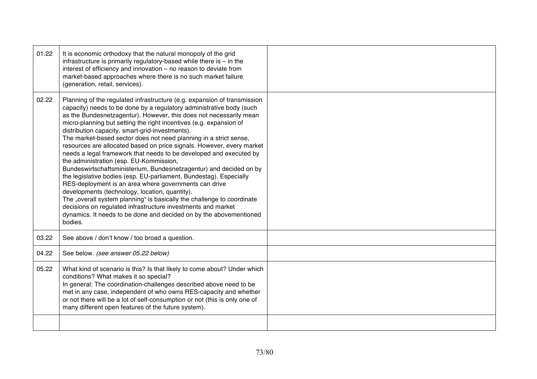| 01.22 | It is economic orthodoxy that the natural monopoly of the grid<br>infrastructure is primarily regulatory-based while there is $-$ in the<br>interest of efficiency and innovation - no reason to deviate from<br>market-based approaches where there is no such market failure<br>(generation, retail, services).                                                                                                                                                                                                                                                                                                                                                                                                                                                                                                                                                                                                                                                                                                                                                                                |  |
|-------|--------------------------------------------------------------------------------------------------------------------------------------------------------------------------------------------------------------------------------------------------------------------------------------------------------------------------------------------------------------------------------------------------------------------------------------------------------------------------------------------------------------------------------------------------------------------------------------------------------------------------------------------------------------------------------------------------------------------------------------------------------------------------------------------------------------------------------------------------------------------------------------------------------------------------------------------------------------------------------------------------------------------------------------------------------------------------------------------------|--|
| 02.22 | Planning of the regulated infrastructure (e.g. expansion of transmission<br>capacity) needs to be done by a regulatory administrative body (such<br>as the Bundesnetzagentur). However, this does not necessarily mean<br>micro-planning but setting the right incentives (e.g. expansion of<br>distribution capacity, smart-grid-investments).<br>The market-based sector does not need planning in a strict sense,<br>resources are allocated based on price signals. However, every market<br>needs a legal framework that needs to be developed and executed by<br>the administration (esp. EU-Kommission,<br>Bundeswirtschaftsministerium, Bundesnetzagentur) and decided on by<br>the legislative bodies (esp. EU-parliament, Bundestag). Especially<br>RES-deployment is an area where governments can drive<br>developments (technology, location, quantity).<br>The "overall system planning" is basically the challenge to coordinate<br>decisions on regulated infrastructure investments and market<br>dynamics. It needs to be done and decided on by the abovementioned<br>bodies. |  |
| 03.22 | See above / don't know / too broad a question.                                                                                                                                                                                                                                                                                                                                                                                                                                                                                                                                                                                                                                                                                                                                                                                                                                                                                                                                                                                                                                                   |  |
| 04.22 | See below. (see answer 05.22 below)                                                                                                                                                                                                                                                                                                                                                                                                                                                                                                                                                                                                                                                                                                                                                                                                                                                                                                                                                                                                                                                              |  |
| 05.22 | What kind of scenario is this? Is that likely to come about? Under which<br>conditions? What makes it so special?<br>In general: The coordination-challenges described above need to be<br>met in any case, independent of who owns RES-capacity and whether<br>or not there will be a lot of self-consumption or not (this is only one of<br>many different open features of the future system).                                                                                                                                                                                                                                                                                                                                                                                                                                                                                                                                                                                                                                                                                                |  |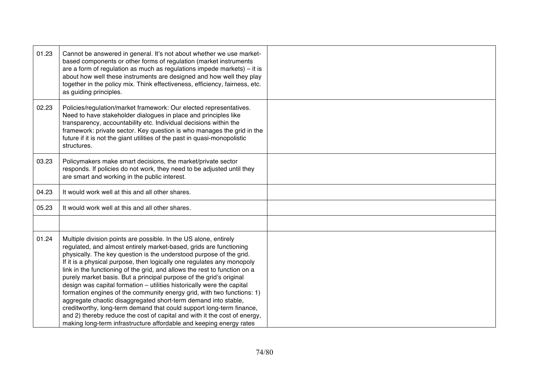| 01.23 | Cannot be answered in general. It's not about whether we use market-<br>based components or other forms of regulation (market instruments<br>are a form of regulation as much as regulations impede markets) $-$ it is<br>about how well these instruments are designed and how well they play<br>together in the policy mix. Think effectiveness, efficiency, fairness, etc.<br>as guiding principles.                                                                                                                                                                                                                                                                                                                                                                                                                                                                                       |  |
|-------|-----------------------------------------------------------------------------------------------------------------------------------------------------------------------------------------------------------------------------------------------------------------------------------------------------------------------------------------------------------------------------------------------------------------------------------------------------------------------------------------------------------------------------------------------------------------------------------------------------------------------------------------------------------------------------------------------------------------------------------------------------------------------------------------------------------------------------------------------------------------------------------------------|--|
| 02.23 | Policies/regulation/market framework: Our elected representatives.<br>Need to have stakeholder dialogues in place and principles like<br>transparency, accountability etc. Individual decisions within the<br>framework: private sector. Key question is who manages the grid in the<br>future if it is not the giant utilities of the past in quasi-monopolistic<br>structures.                                                                                                                                                                                                                                                                                                                                                                                                                                                                                                              |  |
| 03.23 | Policymakers make smart decisions, the market/private sector<br>responds. If policies do not work, they need to be adjusted until they<br>are smart and working in the public interest.                                                                                                                                                                                                                                                                                                                                                                                                                                                                                                                                                                                                                                                                                                       |  |
| 04.23 | It would work well at this and all other shares.                                                                                                                                                                                                                                                                                                                                                                                                                                                                                                                                                                                                                                                                                                                                                                                                                                              |  |
| 05.23 | It would work well at this and all other shares.                                                                                                                                                                                                                                                                                                                                                                                                                                                                                                                                                                                                                                                                                                                                                                                                                                              |  |
|       |                                                                                                                                                                                                                                                                                                                                                                                                                                                                                                                                                                                                                                                                                                                                                                                                                                                                                               |  |
| 01.24 | Multiple division points are possible. In the US alone, entirely<br>regulated, and almost entirely market-based, grids are functioning<br>physically. The key question is the understood purpose of the grid.<br>If it is a physical purpose, then logically one regulates any monopoly<br>link in the functioning of the grid, and allows the rest to function on a<br>purely market basis. But a principal purpose of the grid's original<br>design was capital formation - utilities historically were the capital<br>formation engines of the community energy grid, with two functions: 1)<br>aggregate chaotic disaggregated short-term demand into stable,<br>creditworthy, long-term demand that could support long-term finance,<br>and 2) thereby reduce the cost of capital and with it the cost of energy,<br>making long-term infrastructure affordable and keeping energy rates |  |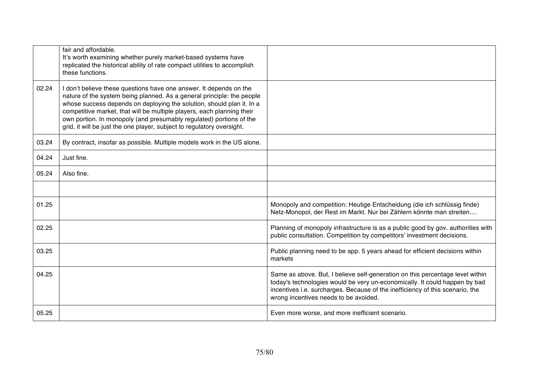|       | fair and affordable.<br>It's worth examining whether purely market-based systems have<br>replicated the historical ability of rate compact utilities to accomplish<br>these functions.                                                                                                                                                                                                                                                           |                                                                                                                                                                                                                                                                                       |
|-------|--------------------------------------------------------------------------------------------------------------------------------------------------------------------------------------------------------------------------------------------------------------------------------------------------------------------------------------------------------------------------------------------------------------------------------------------------|---------------------------------------------------------------------------------------------------------------------------------------------------------------------------------------------------------------------------------------------------------------------------------------|
| 02.24 | I don't believe these questions have one answer. It depends on the<br>nature of the system being planned. As a general principle: the people<br>whose success depends on deploying the solution, should plan it. In a<br>competitive market, that will be multiple players, each planning their<br>own portion. In monopoly (and presumably regulated) portions of the<br>grid, it will be just the one player, subject to regulatory oversight. |                                                                                                                                                                                                                                                                                       |
| 03.24 | By contract, insofar as possible. Multiple models work in the US alone.                                                                                                                                                                                                                                                                                                                                                                          |                                                                                                                                                                                                                                                                                       |
| 04.24 | Just fine.                                                                                                                                                                                                                                                                                                                                                                                                                                       |                                                                                                                                                                                                                                                                                       |
| 05.24 | Also fine.                                                                                                                                                                                                                                                                                                                                                                                                                                       |                                                                                                                                                                                                                                                                                       |
|       |                                                                                                                                                                                                                                                                                                                                                                                                                                                  |                                                                                                                                                                                                                                                                                       |
| 01.25 |                                                                                                                                                                                                                                                                                                                                                                                                                                                  | Monopoly and competition: Heutige Entscheidung (die ich schlüssig finde)<br>Netz-Monopol, der Rest im Markt. Nur bei Zählern könnte man streiten                                                                                                                                      |
| 02.25 |                                                                                                                                                                                                                                                                                                                                                                                                                                                  | Planning of monopoly infrastructure is as a public good by gov. authorities with<br>public consultation. Competition by competitors' investment decisions.                                                                                                                            |
| 03.25 |                                                                                                                                                                                                                                                                                                                                                                                                                                                  | Public planning need to be app. 5 years ahead for efficient decisions within<br>markets                                                                                                                                                                                               |
| 04.25 |                                                                                                                                                                                                                                                                                                                                                                                                                                                  | Same as above. But, I believe self-generation on this percentage level within<br>today's technologies would be very un-economically. It could happen by bad<br>incentives i.e. surcharges. Because of the inefficiency of this scenario, the<br>wrong incentives needs to be avoided. |
| 05.25 |                                                                                                                                                                                                                                                                                                                                                                                                                                                  | Even more worse, and more inefficient scenario.                                                                                                                                                                                                                                       |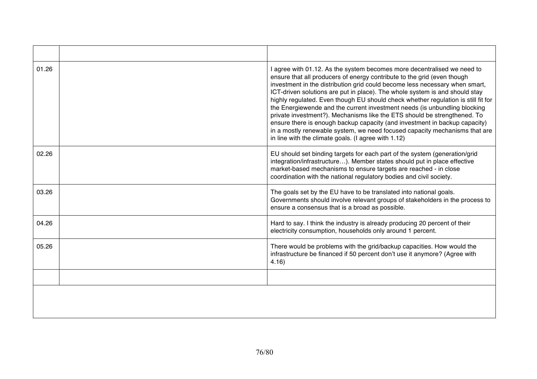| 01.26 | I agree with 01.12. As the system becomes more decentralised we need to<br>ensure that all producers of energy contribute to the grid (even though<br>investment in the distribution grid could become less necessary when smart,<br>ICT-driven solutions are put in place). The whole system is and should stay<br>highly regulated. Even though EU should check whether regulation is still fit for<br>the Energiewende and the current investment needs (is unbundling blocking<br>private investment?). Mechanisms like the ETS should be strengthened. To<br>ensure there is enough backup capacity (and investment in backup capacity)<br>in a mostly renewable system, we need focused capacity mechanisms that are<br>in line with the climate goals. (I agree with 1.12) |
|-------|-----------------------------------------------------------------------------------------------------------------------------------------------------------------------------------------------------------------------------------------------------------------------------------------------------------------------------------------------------------------------------------------------------------------------------------------------------------------------------------------------------------------------------------------------------------------------------------------------------------------------------------------------------------------------------------------------------------------------------------------------------------------------------------|
| 02.26 | EU should set binding targets for each part of the system (generation/grid<br>integration/infrastructure). Member states should put in place effective<br>market-based mechanisms to ensure targets are reached - in close<br>coordination with the national regulatory bodies and civil society.                                                                                                                                                                                                                                                                                                                                                                                                                                                                                 |
| 03.26 | The goals set by the EU have to be translated into national goals.<br>Governments should involve relevant groups of stakeholders in the process to<br>ensure a consensus that is a broad as possible.                                                                                                                                                                                                                                                                                                                                                                                                                                                                                                                                                                             |
| 04.26 | Hard to say. I think the industry is already producing 20 percent of their<br>electricity consumption, households only around 1 percent.                                                                                                                                                                                                                                                                                                                                                                                                                                                                                                                                                                                                                                          |
| 05.26 | There would be problems with the grid/backup capacities. How would the<br>infrastructure be financed if 50 percent don't use it anymore? (Agree with<br>4.16                                                                                                                                                                                                                                                                                                                                                                                                                                                                                                                                                                                                                      |
|       |                                                                                                                                                                                                                                                                                                                                                                                                                                                                                                                                                                                                                                                                                                                                                                                   |
|       |                                                                                                                                                                                                                                                                                                                                                                                                                                                                                                                                                                                                                                                                                                                                                                                   |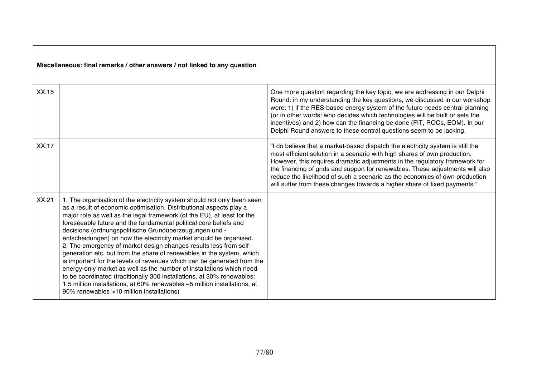| XX.15 |                                                                                                                                                                                                                                                                                                                                                                                                                                                                                                                                                                                                                                                                                                                                                                                                                                                                                                                                     | One more question regarding the key topic, we are addressing in our Delphi<br>Round: in my understanding the key questions, we discussed in our workshop<br>were: 1) if the RES-based energy system of the future needs central planning<br>(or in other words: who decides which technologies will be built or sets the<br>incentives) and 2) how can the financing be done (FIT, ROCs, EOM). In our<br>Delphi Round answers to these central questions seem to be lacking.             |
|-------|-------------------------------------------------------------------------------------------------------------------------------------------------------------------------------------------------------------------------------------------------------------------------------------------------------------------------------------------------------------------------------------------------------------------------------------------------------------------------------------------------------------------------------------------------------------------------------------------------------------------------------------------------------------------------------------------------------------------------------------------------------------------------------------------------------------------------------------------------------------------------------------------------------------------------------------|------------------------------------------------------------------------------------------------------------------------------------------------------------------------------------------------------------------------------------------------------------------------------------------------------------------------------------------------------------------------------------------------------------------------------------------------------------------------------------------|
| XX.17 |                                                                                                                                                                                                                                                                                                                                                                                                                                                                                                                                                                                                                                                                                                                                                                                                                                                                                                                                     | "I do believe that a market-based dispatch the electricity system is still the<br>most efficient solution in a scenario with high shares of own production.<br>However, this requires dramatic adjustments in the regulatory framework for<br>the financing of grids and support for renewables. These adjustments will also<br>reduce the likelihood of such a scenario as the economics of own production<br>will suffer from these changes towards a higher share of fixed payments." |
| XX.21 | 1. The organisation of the electricity system should not only been seen<br>as a result of economic optimisation. Distributional aspects play a<br>major role as well as the legal framework (of the EU), at least for the<br>foreseeable future and the fundamental political core beliefs and<br>decisions (ordnungspolitische Grundüberzeugungen und -<br>entscheidungen) on how the electricity market should be organised.<br>2. The emergency of market design changes results less from self-<br>generation etc. but from the share of renewables in the system, which<br>is important for the levels of revenues which can be generated from the<br>energy-only market as well as the number of installations which need<br>to be coordinated (traditionally 300 installations, at 30% renewables:<br>1.5 million installations, at 60% renewables ~5 million installations, at<br>90% renewables >10 million installations) |                                                                                                                                                                                                                                                                                                                                                                                                                                                                                          |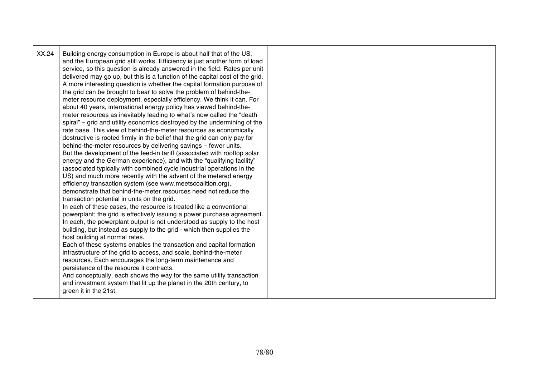| XX.24 | Building energy consumption in Europe is about half that of the US,<br>and the European grid still works. Efficiency is just another form of load<br>service, so this question is already answered in the field. Rates per unit<br>delivered may go up, but this is a function of the capital cost of the grid.<br>A more interesting question is whether the capital formation purpose of<br>the grid can be brought to bear to solve the problem of behind-the-<br>meter resource deployment, especially efficiency. We think it can. For<br>about 40 years, international energy policy has viewed behind-the-<br>meter resources as inevitably leading to what's now called the "death"<br>spiral" – grid and utility economics destroyed by the undermining of the<br>rate base. This view of behind-the-meter resources as economically<br>destructive is rooted firmly in the belief that the grid can only pay for<br>behind-the-meter resources by delivering savings - fewer units.<br>But the development of the feed-in tariff (associated with rooftop solar<br>energy and the German experience), and with the "qualifying facility"<br>(associated typically with combined cycle industrial operations in the<br>US) and much more recently with the advent of the metered energy<br>efficiency transaction system (see www.meetscoalition.org),<br>demonstrate that behind-the-meter resources need not reduce the<br>transaction potential in units on the grid.<br>In each of these cases, the resource is treated like a conventional<br>powerplant; the grid is effectively issuing a power purchase agreement.<br>In each, the powerplant output is not understood as supply to the host<br>building, but instead as supply to the grid - which then supplies the<br>host building at normal rates.<br>Each of these systems enables the transaction and capital formation<br>infrastructure of the grid to access, and scale, behind-the-meter<br>resources. Each encourages the long-term maintenance and<br>persistence of the resource it contracts.<br>And conceptually, each shows the way for the same utility transaction<br>and investment system that lit up the planet in the 20th century, to<br>green it in the 21st. |  |
|-------|---------------------------------------------------------------------------------------------------------------------------------------------------------------------------------------------------------------------------------------------------------------------------------------------------------------------------------------------------------------------------------------------------------------------------------------------------------------------------------------------------------------------------------------------------------------------------------------------------------------------------------------------------------------------------------------------------------------------------------------------------------------------------------------------------------------------------------------------------------------------------------------------------------------------------------------------------------------------------------------------------------------------------------------------------------------------------------------------------------------------------------------------------------------------------------------------------------------------------------------------------------------------------------------------------------------------------------------------------------------------------------------------------------------------------------------------------------------------------------------------------------------------------------------------------------------------------------------------------------------------------------------------------------------------------------------------------------------------------------------------------------------------------------------------------------------------------------------------------------------------------------------------------------------------------------------------------------------------------------------------------------------------------------------------------------------------------------------------------------------------------------------------------------------------------------------------------------------------------------------------------------|--|
|-------|---------------------------------------------------------------------------------------------------------------------------------------------------------------------------------------------------------------------------------------------------------------------------------------------------------------------------------------------------------------------------------------------------------------------------------------------------------------------------------------------------------------------------------------------------------------------------------------------------------------------------------------------------------------------------------------------------------------------------------------------------------------------------------------------------------------------------------------------------------------------------------------------------------------------------------------------------------------------------------------------------------------------------------------------------------------------------------------------------------------------------------------------------------------------------------------------------------------------------------------------------------------------------------------------------------------------------------------------------------------------------------------------------------------------------------------------------------------------------------------------------------------------------------------------------------------------------------------------------------------------------------------------------------------------------------------------------------------------------------------------------------------------------------------------------------------------------------------------------------------------------------------------------------------------------------------------------------------------------------------------------------------------------------------------------------------------------------------------------------------------------------------------------------------------------------------------------------------------------------------------------------|--|